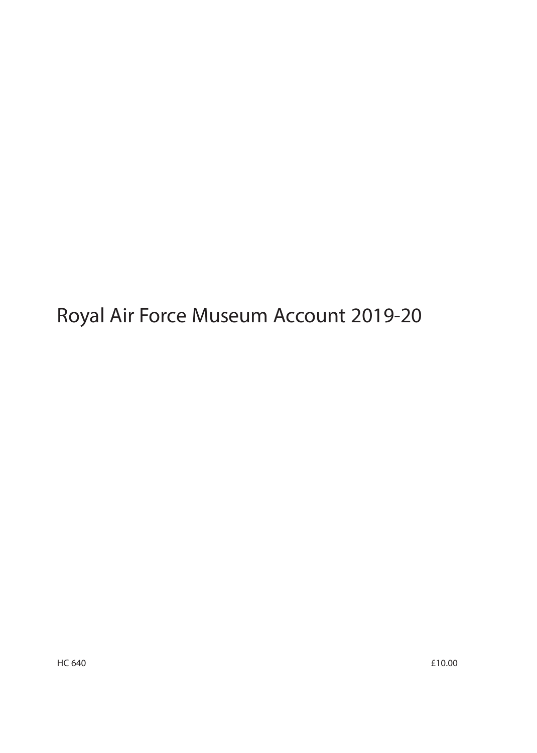Royal Air Force Museum Account 2019-20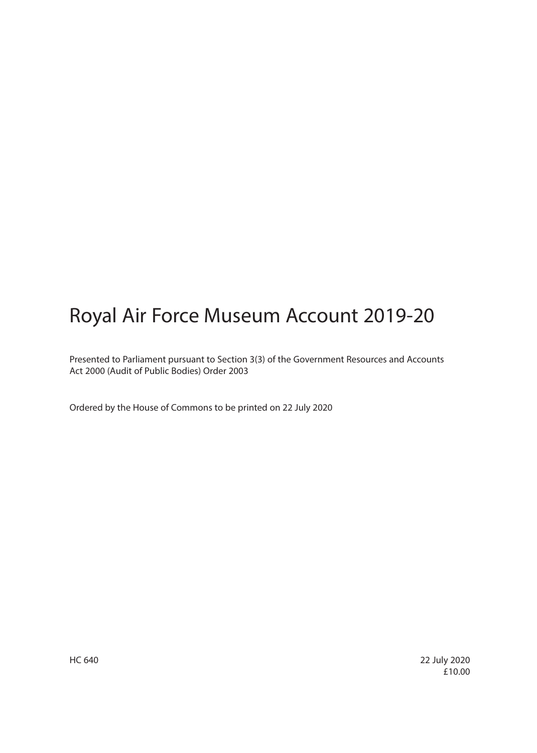# Royal Air Force Museum Account 2019-20

Presented to Parliament pursuant to Section 3(3) of the Government Resources and Accounts Act 2000 (Audit of Public Bodies) Order 2003

Ordered by the House of Commons to be printed on 22 July 2020

HC 640 22 July 2020 £10.00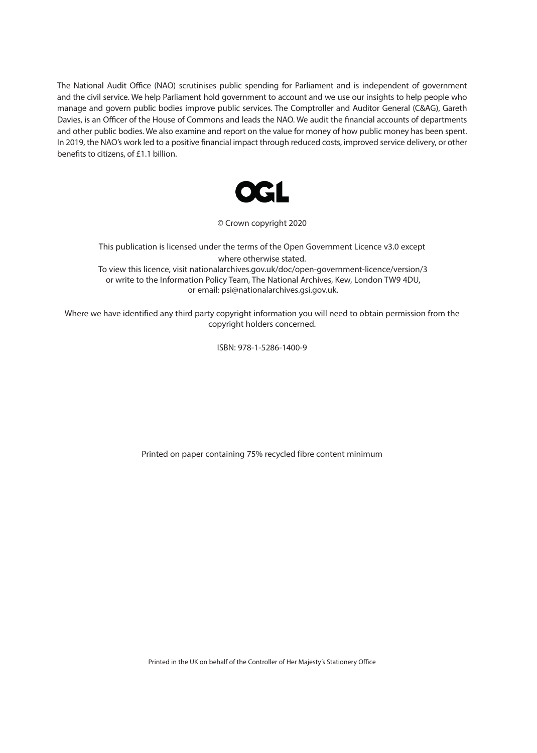The National Audit Office (NAO) scrutinises public spending for Parliament and is independent of government and the civil service. We help Parliament hold government to account and we use our insights to help people who manage and govern public bodies improve public services. The Comptroller and Auditor General (C&AG), Gareth Davies, is an Officer of the House of Commons and leads the NAO. We audit the financial accounts of departments and other public bodies. We also examine and report on the value for money of how public money has been spent. In 2019, the NAO's work led to a positive financial impact through reduced costs, improved service delivery, or other benefits to citizens, of £1.1 billion.



© Crown copyright 2020

This publication is licensed under the terms of the Open Government Licence v3.0 except where otherwise stated. To view this licence, visit nationalarchives.gov.uk/doc/open-government-licence/version/3 or write to the Information Policy Team, The National Archives, Kew, London TW9 4DU, or email: psi@nationalarchives.gsi.gov.uk.

Where we have identified any third party copyright information you will need to obtain permission from the copyright holders concerned.

ISBN: 978-1-5286-1400-9

Printed on paper containing 75% recycled fibre content minimum

Printed in the UK on behalf of the Controller of Her Majesty's Stationery Office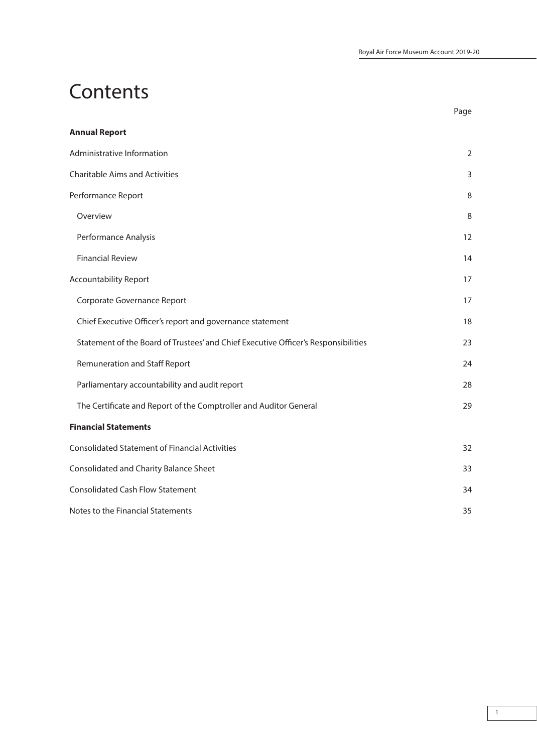# **Contents**

| <b>Annual Report</b>                                                               |                |
|------------------------------------------------------------------------------------|----------------|
| Administrative Information                                                         | $\overline{2}$ |
| <b>Charitable Aims and Activities</b>                                              | 3              |
| Performance Report                                                                 | 8              |
| Overview                                                                           | 8              |
| Performance Analysis                                                               | 12             |
| <b>Financial Review</b>                                                            | 14             |
| <b>Accountability Report</b>                                                       | 17             |
| Corporate Governance Report                                                        | 17             |
| Chief Executive Officer's report and governance statement                          | 18             |
| Statement of the Board of Trustees' and Chief Executive Officer's Responsibilities | 23             |
| Remuneration and Staff Report                                                      | 24             |
| Parliamentary accountability and audit report                                      | 28             |
| The Certificate and Report of the Comptroller and Auditor General                  | 29             |
| <b>Financial Statements</b>                                                        |                |
| <b>Consolidated Statement of Financial Activities</b>                              | 32             |
| Consolidated and Charity Balance Sheet                                             | 33             |
| <b>Consolidated Cash Flow Statement</b>                                            | 34             |
| Notes to the Financial Statements                                                  | 35             |

Page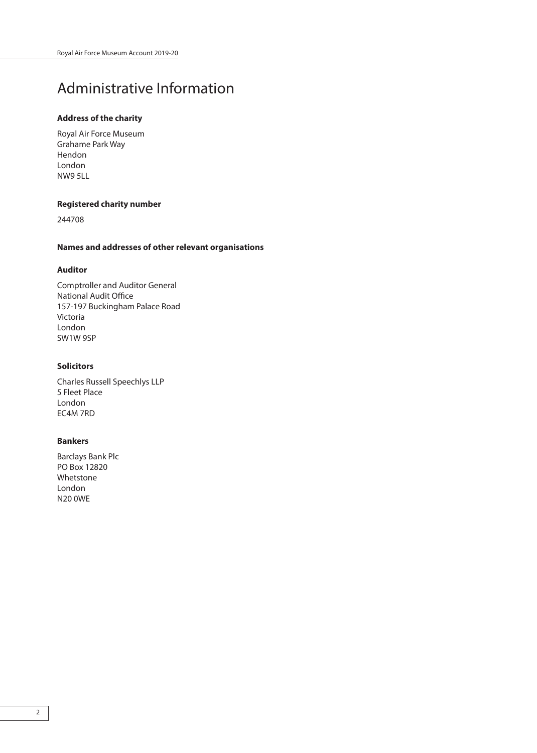## Administrative Information

## **Address of the charity**

Royal Air Force Museum Grahame Park Way Hendon London NW9 5LL

### **Registered charity number**

244708

#### **Names and addresses of other relevant organisations**

#### **Auditor**

Comptroller and Auditor General National Audit Office 157-197 Buckingham Palace Road Victoria London SW1W 9SP

#### **Solicitors**

Charles Russell Speechlys LLP 5 Fleet Place London EC4M 7RD

#### **Bankers**

Barclays Bank Plc PO Box 12820 Whetstone London N20 0WE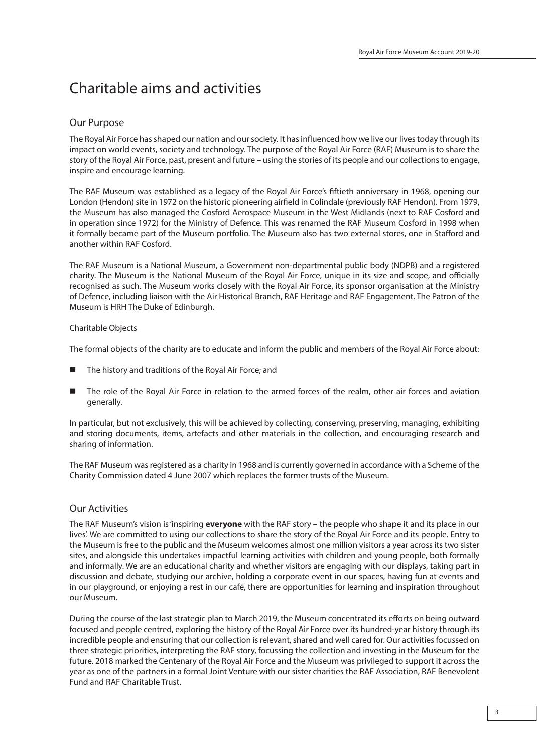## Charitable aims and activities

## Our Purpose

The Royal Air Force has shaped our nation and our society. It has influenced how we live our lives today through its impact on world events, society and technology. The purpose of the Royal Air Force (RAF) Museum is to share the story of the Royal Air Force, past, present and future – using the stories of its people and our collections to engage, inspire and encourage learning.

The RAF Museum was established as a legacy of the Royal Air Force's fiftieth anniversary in 1968, opening our London (Hendon) site in 1972 on the historic pioneering airfield in Colindale (previously RAF Hendon). From 1979, the Museum has also managed the Cosford Aerospace Museum in the West Midlands (next to RAF Cosford and in operation since 1972) for the Ministry of Defence. This was renamed the RAF Museum Cosford in 1998 when it formally became part of the Museum portfolio. The Museum also has two external stores, one in Stafford and another within RAF Cosford.

The RAF Museum is a National Museum, a Government non-departmental public body (NDPB) and a registered charity. The Museum is the National Museum of the Royal Air Force, unique in its size and scope, and officially recognised as such. The Museum works closely with the Royal Air Force, its sponsor organisation at the Ministry of Defence, including liaison with the Air Historical Branch, RAF Heritage and RAF Engagement. The Patron of the Museum is HRH The Duke of Edinburgh.

#### Charitable Objects

The formal objects of the charity are to educate and inform the public and members of the Royal Air Force about:

- The history and traditions of the Royal Air Force; and
- The role of the Royal Air Force in relation to the armed forces of the realm, other air forces and aviation generally.

In particular, but not exclusively, this will be achieved by collecting, conserving, preserving, managing, exhibiting and storing documents, items, artefacts and other materials in the collection, and encouraging research and sharing of information.

The RAF Museum was registered as a charity in 1968 and is currently governed in accordance with a Scheme of the Charity Commission dated 4 June 2007 which replaces the former trusts of the Museum.

## Our Activities

The RAF Museum's vision is 'inspiring **everyone** with the RAF story – the people who shape it and its place in our lives'. We are committed to using our collections to share the story of the Royal Air Force and its people. Entry to the Museum is free to the public and the Museum welcomes almost one million visitors a year across its two sister sites, and alongside this undertakes impactful learning activities with children and young people, both formally and informally. We are an educational charity and whether visitors are engaging with our displays, taking part in discussion and debate, studying our archive, holding a corporate event in our spaces, having fun at events and in our playground, or enjoying a rest in our café, there are opportunities for learning and inspiration throughout our Museum.

During the course of the last strategic plan to March 2019, the Museum concentrated its efforts on being outward focused and people centred, exploring the history of the Royal Air Force over its hundred-year history through its incredible people and ensuring that our collection is relevant, shared and well cared for. Our activities focussed on three strategic priorities, interpreting the RAF story, focussing the collection and investing in the Museum for the future. 2018 marked the Centenary of the Royal Air Force and the Museum was privileged to support it across the year as one of the partners in a formal Joint Venture with our sister charities the RAF Association, RAF Benevolent Fund and RAF Charitable Trust.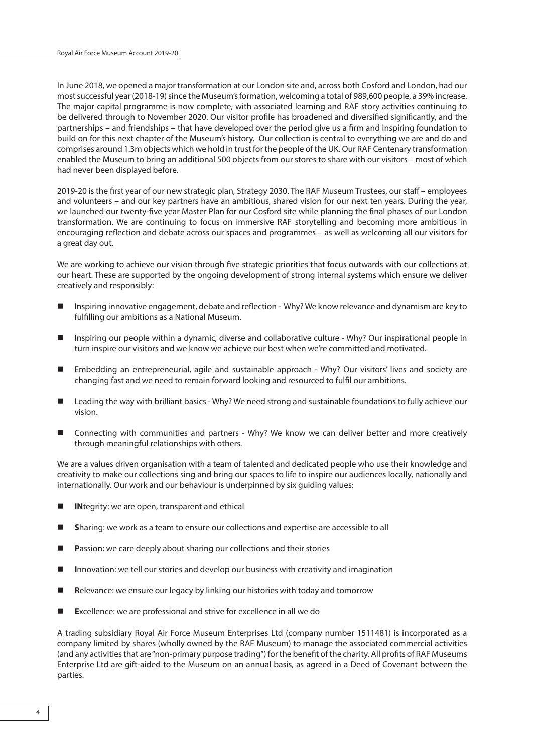In June 2018, we opened a major transformation at our London site and, across both Cosford and London, had our most successful year (2018-19) since the Museum's formation, welcoming a total of 989,600 people, a 39% increase. The major capital programme is now complete, with associated learning and RAF story activities continuing to be delivered through to November 2020. Our visitor profile has broadened and diversified significantly, and the partnerships – and friendships – that have developed over the period give us a firm and inspiring foundation to build on for this next chapter of the Museum's history. Our collection is central to everything we are and do and comprises around 1.3m objects which we hold in trust for the people of the UK. Our RAF Centenary transformation enabled the Museum to bring an additional 500 objects from our stores to share with our visitors – most of which had never been displayed before.

2019-20 is the first year of our new strategic plan, Strategy 2030. The RAF Museum Trustees, our staff – employees and volunteers – and our key partners have an ambitious, shared vision for our next ten years. During the year, we launched our twenty-five year Master Plan for our Cosford site while planning the final phases of our London transformation. We are continuing to focus on immersive RAF storytelling and becoming more ambitious in encouraging reflection and debate across our spaces and programmes – as well as welcoming all our visitors for a great day out.

We are working to achieve our vision through five strategic priorities that focus outwards with our collections at our heart. These are supported by the ongoing development of strong internal systems which ensure we deliver creatively and responsibly:

- n Inspiring innovative engagement, debate and reflection Why? We know relevance and dynamism are key to fulfilling our ambitions as a National Museum.
- Inspiring our people within a dynamic, diverse and collaborative culture Why? Our inspirational people in turn inspire our visitors and we know we achieve our best when we're committed and motivated.
- Embedding an entrepreneurial, agile and sustainable approach Why? Our visitors' lives and society are changing fast and we need to remain forward looking and resourced to fulfil our ambitions.
- Leading the way with brilliant basics Why? We need strong and sustainable foundations to fully achieve our vision.
- Connecting with communities and partners Why? We know we can deliver better and more creatively through meaningful relationships with others.

We are a values driven organisation with a team of talented and dedicated people who use their knowledge and creativity to make our collections sing and bring our spaces to life to inspire our audiences locally, nationally and internationally. Our work and our behaviour is underpinned by six guiding values:

- **N** INtegrity: we are open, transparent and ethical
- **Sharing: we work as a team to ensure our collections and expertise are accessible to all**
- **n P**assion: we care deeply about sharing our collections and their stories
- **I** Innovation: we tell our stories and develop our business with creativity and imagination
- Relevance: we ensure our legacy by linking our histories with today and tomorrow
- **Excellence:** we are professional and strive for excellence in all we do

A trading subsidiary Royal Air Force Museum Enterprises Ltd (company number 1511481) is incorporated as a company limited by shares (wholly owned by the RAF Museum) to manage the associated commercial activities (and any activities that are "non-primary purpose trading") for the benefit of the charity. All profits of RAF Museums Enterprise Ltd are gift-aided to the Museum on an annual basis, as agreed in a Deed of Covenant between the parties.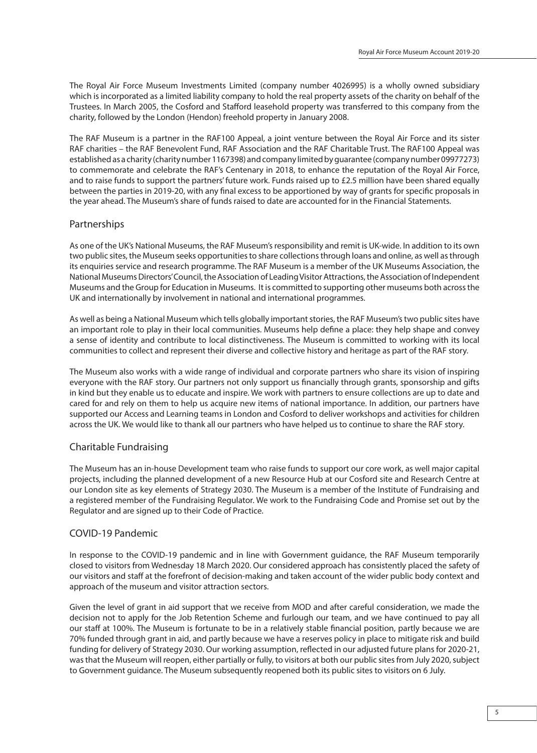The Royal Air Force Museum Investments Limited (company number 4026995) is a wholly owned subsidiary which is incorporated as a limited liability company to hold the real property assets of the charity on behalf of the Trustees. In March 2005, the Cosford and Stafford leasehold property was transferred to this company from the charity, followed by the London (Hendon) freehold property in January 2008.

The RAF Museum is a partner in the RAF100 Appeal, a joint venture between the Royal Air Force and its sister RAF charities – the RAF Benevolent Fund, RAF Association and the RAF Charitable Trust. The RAF100 Appeal was established as a charity (charity number 1167398) and company limited by guarantee (company number 09977273) to commemorate and celebrate the RAF's Centenary in 2018, to enhance the reputation of the Royal Air Force, and to raise funds to support the partners' future work. Funds raised up to £2.5 million have been shared equally between the parties in 2019-20, with any final excess to be apportioned by way of grants for specific proposals in the year ahead. The Museum's share of funds raised to date are accounted for in the Financial Statements.

## Partnerships

As one of the UK's National Museums, the RAF Museum's responsibility and remit is UK-wide. In addition to its own two public sites, the Museum seeks opportunities to share collections through loans and online, as well as through its enquiries service and research programme. The RAF Museum is a member of the UK Museums Association, the National Museums Directors' Council, the Association of Leading Visitor Attractions, the Association of Independent Museums and the Group for Education in Museums. It is committed to supporting other museums both across the UK and internationally by involvement in national and international programmes.

As well as being a National Museum which tells globally important stories, the RAF Museum's two public sites have an important role to play in their local communities. Museums help define a place: they help shape and convey a sense of identity and contribute to local distinctiveness. The Museum is committed to working with its local communities to collect and represent their diverse and collective history and heritage as part of the RAF story.

The Museum also works with a wide range of individual and corporate partners who share its vision of inspiring everyone with the RAF story. Our partners not only support us financially through grants, sponsorship and gifts in kind but they enable us to educate and inspire. We work with partners to ensure collections are up to date and cared for and rely on them to help us acquire new items of national importance. In addition, our partners have supported our Access and Learning teams in London and Cosford to deliver workshops and activities for children across the UK. We would like to thank all our partners who have helped us to continue to share the RAF story.

## Charitable Fundraising

The Museum has an in-house Development team who raise funds to support our core work, as well major capital projects, including the planned development of a new Resource Hub at our Cosford site and Research Centre at our London site as key elements of Strategy 2030. The Museum is a member of the Institute of Fundraising and a registered member of the Fundraising Regulator. We work to the Fundraising Code and Promise set out by the Regulator and are signed up to their Code of Practice.

## COVID-19 Pandemic

In response to the COVID-19 pandemic and in line with Government guidance, the RAF Museum temporarily closed to visitors from Wednesday 18 March 2020. Our considered approach has consistently placed the safety of our visitors and staff at the forefront of decision-making and taken account of the wider public body context and approach of the museum and visitor attraction sectors.

Given the level of grant in aid support that we receive from MOD and after careful consideration, we made the decision not to apply for the Job Retention Scheme and furlough our team, and we have continued to pay all our staff at 100%. The Museum is fortunate to be in a relatively stable financial position, partly because we are 70% funded through grant in aid, and partly because we have a reserves policy in place to mitigate risk and build funding for delivery of Strategy 2030. Our working assumption, reflected in our adjusted future plans for 2020-21, was that the Museum will reopen, either partially or fully, to visitors at both our public sites from July 2020, subject to Government guidance. The Museum subsequently reopened both its public sites to visitors on 6 July.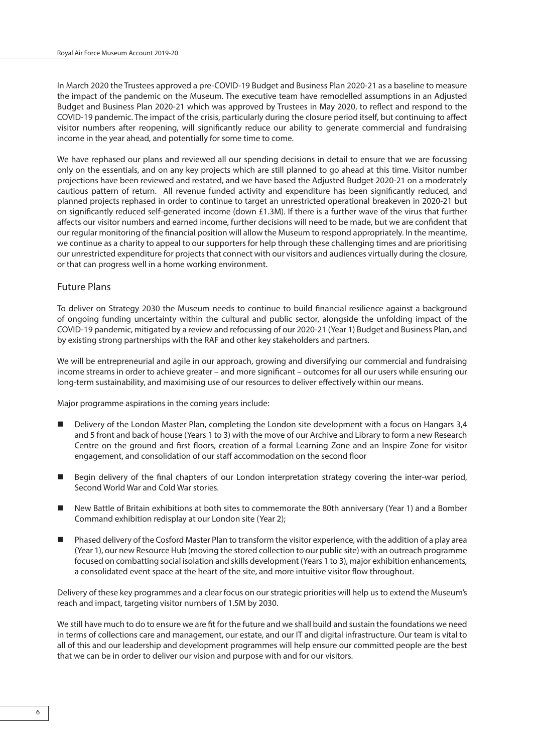In March 2020 the Trustees approved a pre-COVID-19 Budget and Business Plan 2020-21 as a baseline to measure the impact of the pandemic on the Museum. The executive team have remodelled assumptions in an Adjusted Budget and Business Plan 2020-21 which was approved by Trustees in May 2020, to reflect and respond to the COVID-19 pandemic. The impact of the crisis, particularly during the closure period itself, but continuing to affect visitor numbers after reopening, will significantly reduce our ability to generate commercial and fundraising income in the year ahead, and potentially for some time to come.

We have rephased our plans and reviewed all our spending decisions in detail to ensure that we are focussing only on the essentials, and on any key projects which are still planned to go ahead at this time. Visitor number projections have been reviewed and restated, and we have based the Adjusted Budget 2020-21 on a moderately cautious pattern of return. All revenue funded activity and expenditure has been significantly reduced, and planned projects rephased in order to continue to target an unrestricted operational breakeven in 2020-21 but on significantly reduced self-generated income (down £1.3M). If there is a further wave of the virus that further affects our visitor numbers and earned income, further decisions will need to be made, but we are confident that our regular monitoring of the financial position will allow the Museum to respond appropriately. In the meantime, we continue as a charity to appeal to our supporters for help through these challenging times and are prioritising our unrestricted expenditure for projects that connect with our visitors and audiences virtually during the closure, or that can progress well in a home working environment.

#### Future Plans

To deliver on Strategy 2030 the Museum needs to continue to build financial resilience against a background of ongoing funding uncertainty within the cultural and public sector, alongside the unfolding impact of the COVID-19 pandemic, mitigated by a review and refocussing of our 2020-21 (Year 1) Budget and Business Plan, and by existing strong partnerships with the RAF and other key stakeholders and partners.

We will be entrepreneurial and agile in our approach, growing and diversifying our commercial and fundraising income streams in order to achieve greater – and more significant – outcomes for all our users while ensuring our long-term sustainability, and maximising use of our resources to deliver effectively within our means.

Major programme aspirations in the coming years include:

- n Delivery of the London Master Plan, completing the London site development with a focus on Hangars 3,4 and 5 front and back of house (Years 1 to 3) with the move of our Archive and Library to form a new Research Centre on the ground and first floors, creation of a formal Learning Zone and an Inspire Zone for visitor engagement, and consolidation of our staff accommodation on the second floor
- Begin delivery of the final chapters of our London interpretation strategy covering the inter-war period, Second World War and Cold War stories.
- New Battle of Britain exhibitions at both sites to commemorate the 80th anniversary (Year 1) and a Bomber Command exhibition redisplay at our London site (Year 2);
- Phased delivery of the Cosford Master Plan to transform the visitor experience, with the addition of a play area (Year 1), our new Resource Hub (moving the stored collection to our public site) with an outreach programme focused on combatting social isolation and skills development (Years 1 to 3), major exhibition enhancements, a consolidated event space at the heart of the site, and more intuitive visitor flow throughout.

Delivery of these key programmes and a clear focus on our strategic priorities will help us to extend the Museum's reach and impact, targeting visitor numbers of 1.5M by 2030.

We still have much to do to ensure we are fit for the future and we shall build and sustain the foundations we need in terms of collections care and management, our estate, and our IT and digital infrastructure. Our team is vital to all of this and our leadership and development programmes will help ensure our committed people are the best that we can be in order to deliver our vision and purpose with and for our visitors.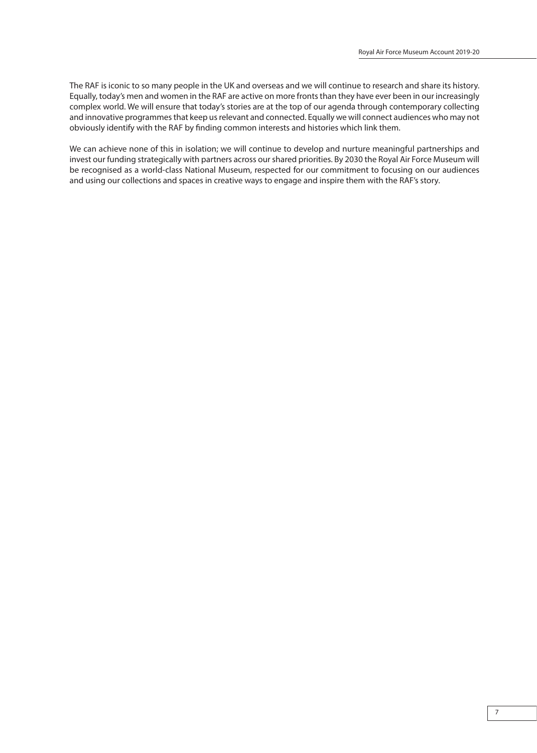The RAF is iconic to so many people in the UK and overseas and we will continue to research and share its history. Equally, today's men and women in the RAF are active on more fronts than they have ever been in our increasingly complex world. We will ensure that today's stories are at the top of our agenda through contemporary collecting and innovative programmes that keep us relevant and connected. Equally we will connect audiences who may not obviously identify with the RAF by finding common interests and histories which link them.

We can achieve none of this in isolation; we will continue to develop and nurture meaningful partnerships and invest our funding strategically with partners across our shared priorities. By 2030 the Royal Air Force Museum will be recognised as a world-class National Museum, respected for our commitment to focusing on our audiences and using our collections and spaces in creative ways to engage and inspire them with the RAF's story.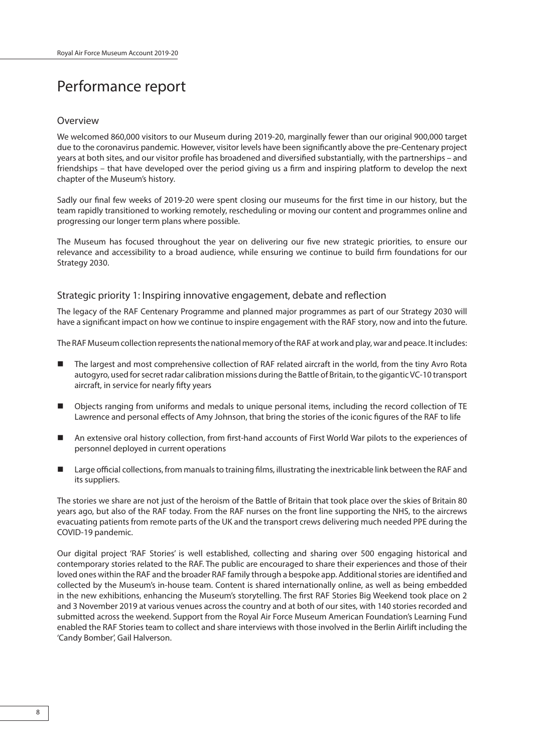## Performance report

## Overview

We welcomed 860,000 visitors to our Museum during 2019-20, marginally fewer than our original 900,000 target due to the coronavirus pandemic. However, visitor levels have been significantly above the pre-Centenary project years at both sites, and our visitor profile has broadened and diversified substantially, with the partnerships – and friendships – that have developed over the period giving us a firm and inspiring platform to develop the next chapter of the Museum's history.

Sadly our final few weeks of 2019-20 were spent closing our museums for the first time in our history, but the team rapidly transitioned to working remotely, rescheduling or moving our content and programmes online and progressing our longer term plans where possible.

The Museum has focused throughout the year on delivering our five new strategic priorities, to ensure our relevance and accessibility to a broad audience, while ensuring we continue to build firm foundations for our Strategy 2030.

## Strategic priority 1: Inspiring innovative engagement, debate and reflection

The legacy of the RAF Centenary Programme and planned major programmes as part of our Strategy 2030 will have a significant impact on how we continue to inspire engagement with the RAF story, now and into the future.

The RAF Museum collection represents the national memory of the RAF at work and play, war and peace. It includes:

- n The largest and most comprehensive collection of RAF related aircraft in the world, from the tiny Avro Rota autogyro, used for secret radar calibration missions during the Battle of Britain, to the gigantic VC-10 transport aircraft, in service for nearly fifty years
- Objects ranging from uniforms and medals to unique personal items, including the record collection of TE Lawrence and personal effects of Amy Johnson, that bring the stories of the iconic figures of the RAF to life
- An extensive oral history collection, from first-hand accounts of First World War pilots to the experiences of personnel deployed in current operations
- Large official collections, from manuals to training films, illustrating the inextricable link between the RAF and its suppliers.

The stories we share are not just of the heroism of the Battle of Britain that took place over the skies of Britain 80 years ago, but also of the RAF today. From the RAF nurses on the front line supporting the NHS, to the aircrews evacuating patients from remote parts of the UK and the transport crews delivering much needed PPE during the COVID-19 pandemic.

Our digital project 'RAF Stories' is well established, collecting and sharing over 500 engaging historical and contemporary stories related to the RAF. The public are encouraged to share their experiences and those of their loved ones within the RAF and the broader RAF family through a bespoke app. Additional stories are identified and collected by the Museum's in-house team. Content is shared internationally online, as well as being embedded in the new exhibitions, enhancing the Museum's storytelling. The first RAF Stories Big Weekend took place on 2 and 3 November 2019 at various venues across the country and at both of our sites, with 140 stories recorded and submitted across the weekend. Support from the Royal Air Force Museum American Foundation's Learning Fund enabled the RAF Stories team to collect and share interviews with those involved in the Berlin Airlift including the 'Candy Bomber', Gail Halverson.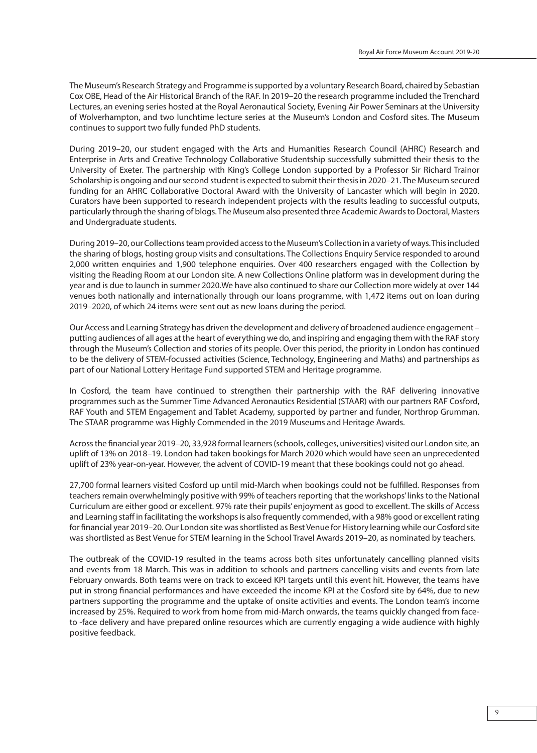The Museum's Research Strategy and Programme is supported by a voluntary Research Board, chaired by Sebastian Cox OBE, Head of the Air Historical Branch of the RAF. In 2019–20 the research programme included the Trenchard Lectures, an evening series hosted at the Royal Aeronautical Society, Evening Air Power Seminars at the University of Wolverhampton, and two lunchtime lecture series at the Museum's London and Cosford sites. The Museum continues to support two fully funded PhD students.

During 2019–20, our student engaged with the Arts and Humanities Research Council (AHRC) Research and Enterprise in Arts and Creative Technology Collaborative Studentship successfully submitted their thesis to the University of Exeter. The partnership with King's College London supported by a Professor Sir Richard Trainor Scholarship is ongoing and our second student is expected to submit their thesis in 2020–21. The Museum secured funding for an AHRC Collaborative Doctoral Award with the University of Lancaster which will begin in 2020. Curators have been supported to research independent projects with the results leading to successful outputs, particularly through the sharing of blogs. The Museum also presented three Academic Awards to Doctoral, Masters and Undergraduate students.

During 2019–20, our Collections team provided access to the Museum's Collection in a variety of ways. This included the sharing of blogs, hosting group visits and consultations. The Collections Enquiry Service responded to around 2,000 written enquiries and 1,900 telephone enquiries. Over 400 researchers engaged with the Collection by visiting the Reading Room at our London site. A new Collections Online platform was in development during the year and is due to launch in summer 2020.We have also continued to share our Collection more widely at over 144 venues both nationally and internationally through our loans programme, with 1,472 items out on loan during 2019–2020, of which 24 items were sent out as new loans during the period.

Our Access and Learning Strategy has driven the development and delivery of broadened audience engagement – putting audiences of all ages at the heart of everything we do, and inspiring and engaging them with the RAF story through the Museum's Collection and stories of its people. Over this period, the priority in London has continued to be the delivery of STEM-focussed activities (Science, Technology, Engineering and Maths) and partnerships as part of our National Lottery Heritage Fund supported STEM and Heritage programme.

In Cosford, the team have continued to strengthen their partnership with the RAF delivering innovative programmes such as the Summer Time Advanced Aeronautics Residential (STAAR) with our partners RAF Cosford, RAF Youth and STEM Engagement and Tablet Academy, supported by partner and funder, Northrop Grumman. The STAAR programme was Highly Commended in the 2019 Museums and Heritage Awards.

Across the financial year 2019–20, 33,928 formal learners (schools, colleges, universities) visited our London site, an uplift of 13% on 2018–19. London had taken bookings for March 2020 which would have seen an unprecedented uplift of 23% year-on-year. However, the advent of COVID-19 meant that these bookings could not go ahead.

27,700 formal learners visited Cosford up until mid-March when bookings could not be fulfilled. Responses from teachers remain overwhelmingly positive with 99% of teachers reporting that the workshops' links to the National Curriculum are either good or excellent. 97% rate their pupils' enjoyment as good to excellent. The skills of Access and Learning staff in facilitating the workshops is also frequently commended, with a 98% good or excellent rating for financial year 2019–20. Our London site was shortlisted as Best Venue for History learning while our Cosford site was shortlisted as Best Venue for STEM learning in the School Travel Awards 2019–20, as nominated by teachers.

The outbreak of the COVID-19 resulted in the teams across both sites unfortunately cancelling planned visits and events from 18 March. This was in addition to schools and partners cancelling visits and events from late February onwards. Both teams were on track to exceed KPI targets until this event hit. However, the teams have put in strong financial performances and have exceeded the income KPI at the Cosford site by 64%, due to new partners supporting the programme and the uptake of onsite activities and events. The London team's income increased by 25%. Required to work from home from mid-March onwards, the teams quickly changed from faceto -face delivery and have prepared online resources which are currently engaging a wide audience with highly positive feedback.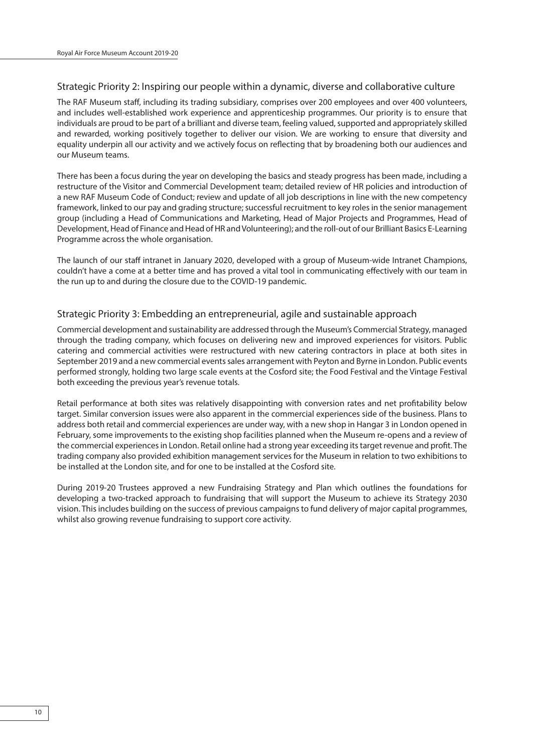## Strategic Priority 2: Inspiring our people within a dynamic, diverse and collaborative culture

The RAF Museum staff, including its trading subsidiary, comprises over 200 employees and over 400 volunteers, and includes well-established work experience and apprenticeship programmes. Our priority is to ensure that individuals are proud to be part of a brilliant and diverse team, feeling valued, supported and appropriately skilled and rewarded, working positively together to deliver our vision. We are working to ensure that diversity and equality underpin all our activity and we actively focus on reflecting that by broadening both our audiences and our Museum teams.

There has been a focus during the year on developing the basics and steady progress has been made, including a restructure of the Visitor and Commercial Development team; detailed review of HR policies and introduction of a new RAF Museum Code of Conduct; review and update of all job descriptions in line with the new competency framework, linked to our pay and grading structure; successful recruitment to key roles in the senior management group (including a Head of Communications and Marketing, Head of Major Projects and Programmes, Head of Development, Head of Finance and Head of HR and Volunteering); and the roll-out of our Brilliant Basics E-Learning Programme across the whole organisation.

The launch of our staff intranet in January 2020, developed with a group of Museum-wide Intranet Champions, couldn't have a come at a better time and has proved a vital tool in communicating effectively with our team in the run up to and during the closure due to the COVID-19 pandemic.

### Strategic Priority 3: Embedding an entrepreneurial, agile and sustainable approach

Commercial development and sustainability are addressed through the Museum's Commercial Strategy, managed through the trading company, which focuses on delivering new and improved experiences for visitors. Public catering and commercial activities were restructured with new catering contractors in place at both sites in September 2019 and a new commercial events sales arrangement with Peyton and Byrne in London. Public events performed strongly, holding two large scale events at the Cosford site; the Food Festival and the Vintage Festival both exceeding the previous year's revenue totals.

Retail performance at both sites was relatively disappointing with conversion rates and net profitability below target. Similar conversion issues were also apparent in the commercial experiences side of the business. Plans to address both retail and commercial experiences are under way, with a new shop in Hangar 3 in London opened in February, some improvements to the existing shop facilities planned when the Museum re-opens and a review of the commercial experiences in London. Retail online had a strong year exceeding its target revenue and profit. The trading company also provided exhibition management services for the Museum in relation to two exhibitions to be installed at the London site, and for one to be installed at the Cosford site.

During 2019-20 Trustees approved a new Fundraising Strategy and Plan which outlines the foundations for developing a two-tracked approach to fundraising that will support the Museum to achieve its Strategy 2030 vision. This includes building on the success of previous campaigns to fund delivery of major capital programmes, whilst also growing revenue fundraising to support core activity.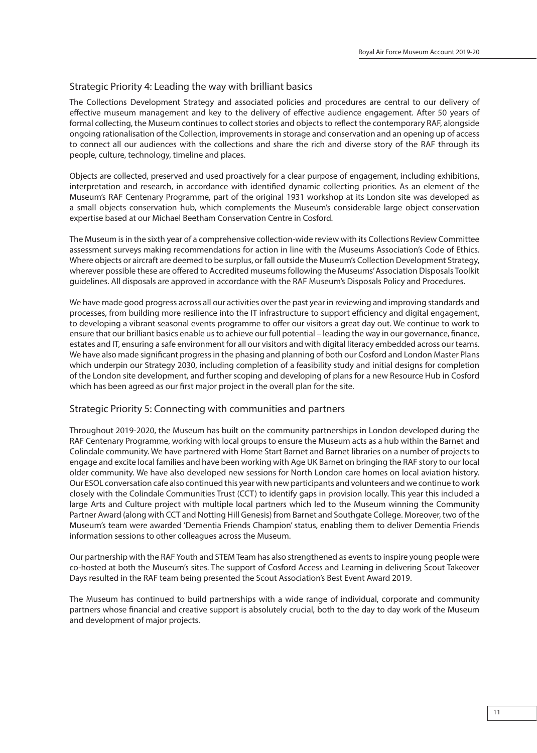## Strategic Priority 4: Leading the way with brilliant basics

The Collections Development Strategy and associated policies and procedures are central to our delivery of effective museum management and key to the delivery of effective audience engagement. After 50 years of formal collecting, the Museum continues to collect stories and objects to reflect the contemporary RAF, alongside ongoing rationalisation of the Collection, improvements in storage and conservation and an opening up of access to connect all our audiences with the collections and share the rich and diverse story of the RAF through its people, culture, technology, timeline and places.

Objects are collected, preserved and used proactively for a clear purpose of engagement, including exhibitions, interpretation and research, in accordance with identified dynamic collecting priorities. As an element of the Museum's RAF Centenary Programme, part of the original 1931 workshop at its London site was developed as a small objects conservation hub, which complements the Museum's considerable large object conservation expertise based at our Michael Beetham Conservation Centre in Cosford.

The Museum is in the sixth year of a comprehensive collection-wide review with its Collections Review Committee assessment surveys making recommendations for action in line with the Museums Association's Code of Ethics. Where objects or aircraft are deemed to be surplus, or fall outside the Museum's Collection Development Strategy, wherever possible these are offered to Accredited museums following the Museums' Association Disposals Toolkit guidelines. All disposals are approved in accordance with the RAF Museum's Disposals Policy and Procedures.

We have made good progress across all our activities over the past year in reviewing and improving standards and processes, from building more resilience into the IT infrastructure to support efficiency and digital engagement, to developing a vibrant seasonal events programme to offer our visitors a great day out. We continue to work to ensure that our brilliant basics enable us to achieve our full potential – leading the way in our governance, finance, estates and IT, ensuring a safe environment for all our visitors and with digital literacy embedded across our teams. We have also made significant progress in the phasing and planning of both our Cosford and London Master Plans which underpin our Strategy 2030, including completion of a feasibility study and initial designs for completion of the London site development, and further scoping and developing of plans for a new Resource Hub in Cosford which has been agreed as our first major project in the overall plan for the site.

## Strategic Priority 5: Connecting with communities and partners

Throughout 2019-2020, the Museum has built on the community partnerships in London developed during the RAF Centenary Programme, working with local groups to ensure the Museum acts as a hub within the Barnet and Colindale community. We have partnered with Home Start Barnet and Barnet libraries on a number of projects to engage and excite local families and have been working with Age UK Barnet on bringing the RAF story to our local older community. We have also developed new sessions for North London care homes on local aviation history. Our ESOL conversation cafe also continued this year with new participants and volunteers and we continue to work closely with the Colindale Communities Trust (CCT) to identify gaps in provision locally. This year this included a large Arts and Culture project with multiple local partners which led to the Museum winning the Community Partner Award (along with CCT and Notting Hill Genesis) from Barnet and Southgate College. Moreover, two of the Museum's team were awarded 'Dementia Friends Champion' status, enabling them to deliver Dementia Friends information sessions to other colleagues across the Museum.

Our partnership with the RAF Youth and STEM Team has also strengthened as events to inspire young people were co-hosted at both the Museum's sites. The support of Cosford Access and Learning in delivering Scout Takeover Days resulted in the RAF team being presented the Scout Association's Best Event Award 2019.

The Museum has continued to build partnerships with a wide range of individual, corporate and community partners whose financial and creative support is absolutely crucial, both to the day to day work of the Museum and development of major projects.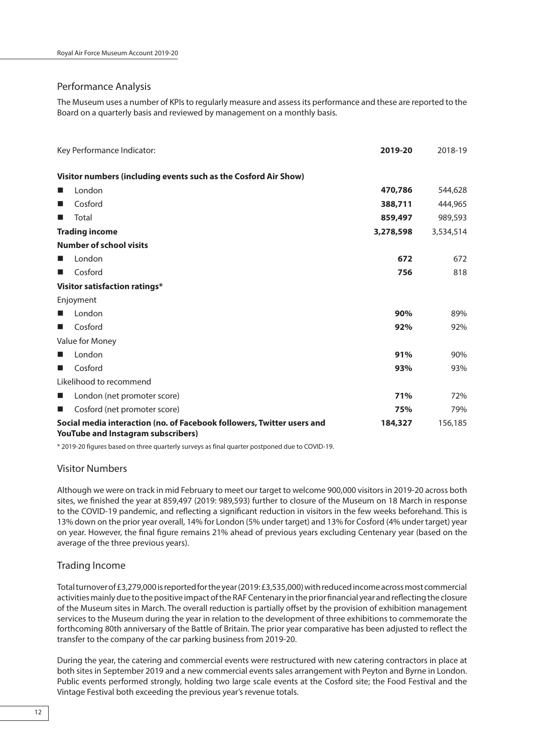### Performance Analysis

The Museum uses a number of KPIs to regularly measure and assess its performance and these are reported to the Board on a quarterly basis and reviewed by management on a monthly basis.

|   | Key Performance Indicator:                                                                                          | 2019-20   | 2018-19   |
|---|---------------------------------------------------------------------------------------------------------------------|-----------|-----------|
|   | Visitor numbers (including events such as the Cosford Air Show)                                                     |           |           |
| ш | London                                                                                                              | 470,786   | 544,628   |
| ш | Cosford                                                                                                             | 388,711   | 444,965   |
| ш | Total                                                                                                               | 859,497   | 989,593   |
|   | <b>Trading income</b>                                                                                               | 3,278,598 | 3,534,514 |
|   | <b>Number of school visits</b>                                                                                      |           |           |
|   | London                                                                                                              | 672       | 672       |
|   | Cosford                                                                                                             | 756       | 818       |
|   | <b>Visitor satisfaction ratings*</b>                                                                                |           |           |
|   | Enjoyment                                                                                                           |           |           |
|   | London                                                                                                              | 90%       | 89%       |
|   | Cosford                                                                                                             | 92%       | 92%       |
|   | Value for Money                                                                                                     |           |           |
| ш | London                                                                                                              | 91%       | 90%       |
| ш | Cosford                                                                                                             | 93%       | 93%       |
|   | Likelihood to recommend                                                                                             |           |           |
|   | London (net promoter score)                                                                                         | 71%       | 72%       |
| H | Cosford (net promoter score)                                                                                        | 75%       | 79%       |
|   | Social media interaction (no. of Facebook followers, Twitter users and<br><b>YouTube and Instagram subscribers)</b> | 184,327   | 156,185   |

\* 2019-20 figures based on three quarterly surveys as final quarter postponed due to COVID-19.

#### Visitor Numbers

Although we were on track in mid February to meet our target to welcome 900,000 visitors in 2019-20 across both sites, we finished the year at 859,497 (2019: 989,593) further to closure of the Museum on 18 March in response to the COVID-19 pandemic, and reflecting a significant reduction in visitors in the few weeks beforehand. This is 13% down on the prior year overall, 14% for London (5% under target) and 13% for Cosford (4% under target) year on year. However, the final figure remains 21% ahead of previous years excluding Centenary year (based on the average of the three previous years).

#### Trading Income

Total turnover of £3,279,000 is reported for the year (2019: £3,535,000) with reduced income across most commercial activities mainly due to the positive impact of the RAF Centenary in the prior financial year and reflecting the closure of the Museum sites in March. The overall reduction is partially offset by the provision of exhibition management services to the Museum during the year in relation to the development of three exhibitions to commemorate the forthcoming 80th anniversary of the Battle of Britain. The prior year comparative has been adjusted to reflect the transfer to the company of the car parking business from 2019-20.

During the year, the catering and commercial events were restructured with new catering contractors in place at both sites in September 2019 and a new commercial events sales arrangement with Peyton and Byrne in London. Public events performed strongly, holding two large scale events at the Cosford site; the Food Festival and the Vintage Festival both exceeding the previous year's revenue totals.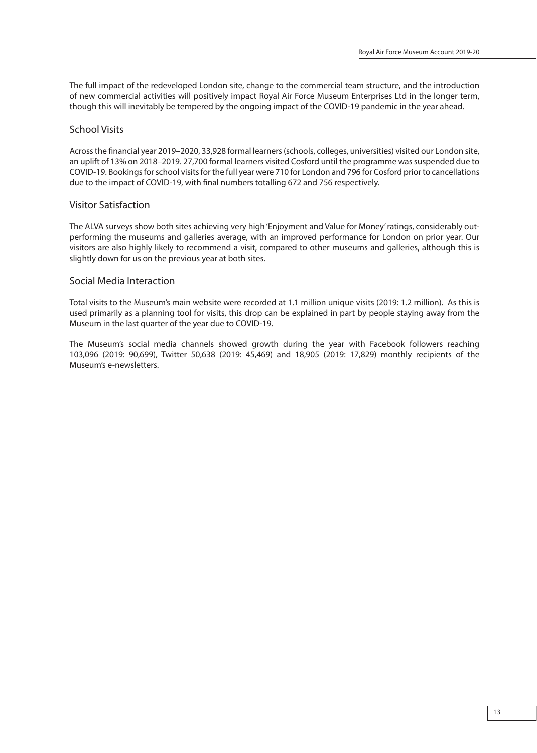The full impact of the redeveloped London site, change to the commercial team structure, and the introduction of new commercial activities will positively impact Royal Air Force Museum Enterprises Ltd in the longer term, though this will inevitably be tempered by the ongoing impact of the COVID-19 pandemic in the year ahead.

### School Visits

Across the financial year 2019–2020, 33,928 formal learners (schools, colleges, universities) visited our London site, an uplift of 13% on 2018–2019. 27,700 formal learners visited Cosford until the programme was suspended due to COVID-19. Bookings for school visits for the full year were 710 for London and 796 for Cosford prior to cancellations due to the impact of COVID-19, with final numbers totalling 672 and 756 respectively.

### Visitor Satisfaction

The ALVA surveys show both sites achieving very high 'Enjoyment and Value for Money' ratings, considerably outperforming the museums and galleries average, with an improved performance for London on prior year. Our visitors are also highly likely to recommend a visit, compared to other museums and galleries, although this is slightly down for us on the previous year at both sites.

#### Social Media Interaction

Total visits to the Museum's main website were recorded at 1.1 million unique visits (2019: 1.2 million). As this is used primarily as a planning tool for visits, this drop can be explained in part by people staying away from the Museum in the last quarter of the year due to COVID-19.

The Museum's social media channels showed growth during the year with Facebook followers reaching 103,096 (2019: 90,699), Twitter 50,638 (2019: 45,469) and 18,905 (2019: 17,829) monthly recipients of the Museum's e-newsletters.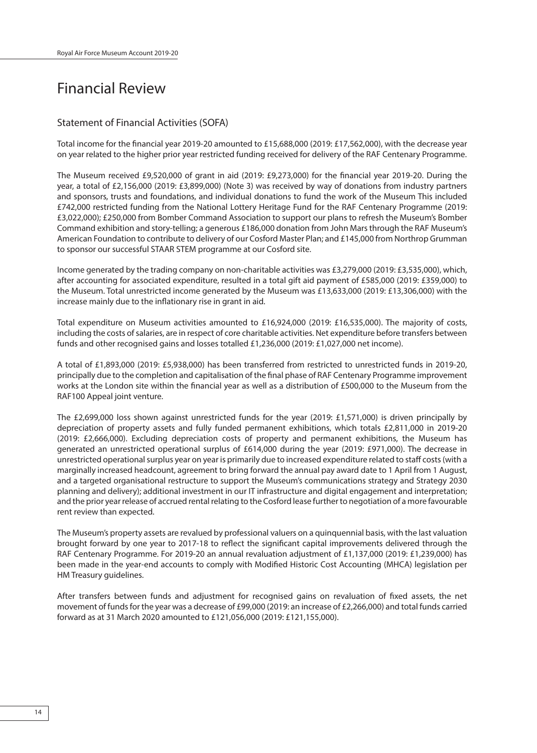## Financial Review

## Statement of Financial Activities (SOFA)

Total income for the financial year 2019-20 amounted to £15,688,000 (2019: £17,562,000), with the decrease year on year related to the higher prior year restricted funding received for delivery of the RAF Centenary Programme.

The Museum received £9,520,000 of grant in aid (2019: £9,273,000) for the financial year 2019-20. During the year, a total of £2,156,000 (2019: £3,899,000) (Note 3) was received by way of donations from industry partners and sponsors, trusts and foundations, and individual donations to fund the work of the Museum This included £742,000 restricted funding from the National Lottery Heritage Fund for the RAF Centenary Programme (2019: £3,022,000); £250,000 from Bomber Command Association to support our plans to refresh the Museum's Bomber Command exhibition and story-telling; a generous £186,000 donation from John Mars through the RAF Museum's American Foundation to contribute to delivery of our Cosford Master Plan; and £145,000 from Northrop Grumman to sponsor our successful STAAR STEM programme at our Cosford site.

Income generated by the trading company on non-charitable activities was £3,279,000 (2019: £3,535,000), which, after accounting for associated expenditure, resulted in a total gift aid payment of £585,000 (2019: £359,000) to the Museum. Total unrestricted income generated by the Museum was £13,633,000 (2019: £13,306,000) with the increase mainly due to the inflationary rise in grant in aid.

Total expenditure on Museum activities amounted to £16,924,000 (2019: £16,535,000). The majority of costs, including the costs of salaries, are in respect of core charitable activities. Net expenditure before transfers between funds and other recognised gains and losses totalled £1,236,000 (2019: £1,027,000 net income).

A total of £1,893,000 (2019: £5,938,000) has been transferred from restricted to unrestricted funds in 2019-20, principally due to the completion and capitalisation of the final phase of RAF Centenary Programme improvement works at the London site within the financial year as well as a distribution of £500,000 to the Museum from the RAF100 Appeal joint venture.

The £2,699,000 loss shown against unrestricted funds for the year (2019: £1,571,000) is driven principally by depreciation of property assets and fully funded permanent exhibitions, which totals £2,811,000 in 2019-20 (2019: £2,666,000). Excluding depreciation costs of property and permanent exhibitions, the Museum has generated an unrestricted operational surplus of £614,000 during the year (2019: £971,000). The decrease in unrestricted operational surplus year on year is primarily due to increased expenditure related to staff costs (with a marginally increased headcount, agreement to bring forward the annual pay award date to 1 April from 1 August, and a targeted organisational restructure to support the Museum's communications strategy and Strategy 2030 planning and delivery); additional investment in our IT infrastructure and digital engagement and interpretation; and the prior year release of accrued rental relating to the Cosford lease further to negotiation of a more favourable rent review than expected.

The Museum's property assets are revalued by professional valuers on a quinquennial basis, with the last valuation brought forward by one year to 2017-18 to reflect the significant capital improvements delivered through the RAF Centenary Programme. For 2019-20 an annual revaluation adjustment of £1,137,000 (2019: £1,239,000) has been made in the year-end accounts to comply with Modified Historic Cost Accounting (MHCA) legislation per HM Treasury guidelines.

After transfers between funds and adjustment for recognised gains on revaluation of fixed assets, the net movement of funds for the year was a decrease of £99,000 (2019: an increase of £2,266,000) and total funds carried forward as at 31 March 2020 amounted to £121,056,000 (2019: £121,155,000).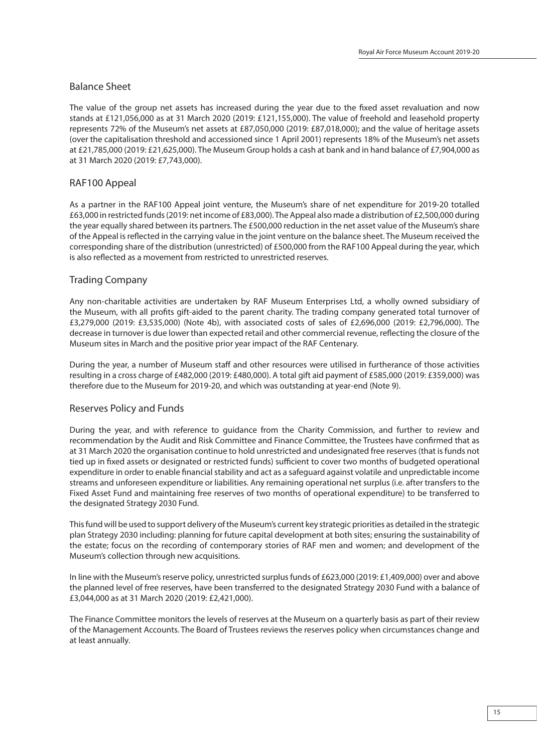## Balance Sheet

The value of the group net assets has increased during the year due to the fixed asset revaluation and now stands at £121,056,000 as at 31 March 2020 (2019: £121,155,000). The value of freehold and leasehold property represents 72% of the Museum's net assets at £87,050,000 (2019: £87,018,000); and the value of heritage assets (over the capitalisation threshold and accessioned since 1 April 2001) represents 18% of the Museum's net assets at £21,785,000 (2019: £21,625,000). The Museum Group holds a cash at bank and in hand balance of £7,904,000 as at 31 March 2020 (2019: £7,743,000).

## RAF100 Appeal

As a partner in the RAF100 Appeal joint venture, the Museum's share of net expenditure for 2019-20 totalled £63,000 in restricted funds (2019: net income of £83,000). The Appeal also made a distribution of £2,500,000 during the year equally shared between its partners. The £500,000 reduction in the net asset value of the Museum's share of the Appeal is reflected in the carrying value in the joint venture on the balance sheet. The Museum received the corresponding share of the distribution (unrestricted) of £500,000 from the RAF100 Appeal during the year, which is also reflected as a movement from restricted to unrestricted reserves.

## Trading Company

Any non-charitable activities are undertaken by RAF Museum Enterprises Ltd, a wholly owned subsidiary of the Museum, with all profits gift-aided to the parent charity. The trading company generated total turnover of £3,279,000 (2019: £3,535,000) (Note 4b), with associated costs of sales of £2,696,000 (2019: £2,796,000). The decrease in turnover is due lower than expected retail and other commercial revenue, reflecting the closure of the Museum sites in March and the positive prior year impact of the RAF Centenary.

During the year, a number of Museum staff and other resources were utilised in furtherance of those activities resulting in a cross charge of £482,000 (2019: £480,000). A total gift aid payment of £585,000 (2019: £359,000) was therefore due to the Museum for 2019-20, and which was outstanding at year-end (Note 9).

## Reserves Policy and Funds

During the year, and with reference to guidance from the Charity Commission, and further to review and recommendation by the Audit and Risk Committee and Finance Committee, the Trustees have confirmed that as at 31 March 2020 the organisation continue to hold unrestricted and undesignated free reserves (that is funds not tied up in fixed assets or designated or restricted funds) sufficient to cover two months of budgeted operational expenditure in order to enable financial stability and act as a safeguard against volatile and unpredictable income streams and unforeseen expenditure or liabilities. Any remaining operational net surplus (i.e. after transfers to the Fixed Asset Fund and maintaining free reserves of two months of operational expenditure) to be transferred to the designated Strategy 2030 Fund.

This fund will be used to support delivery of the Museum's current key strategic priorities as detailed in the strategic plan Strategy 2030 including: planning for future capital development at both sites; ensuring the sustainability of the estate; focus on the recording of contemporary stories of RAF men and women; and development of the Museum's collection through new acquisitions.

In line with the Museum's reserve policy, unrestricted surplus funds of £623,000 (2019: £1,409,000) over and above the planned level of free reserves, have been transferred to the designated Strategy 2030 Fund with a balance of £3,044,000 as at 31 March 2020 (2019: £2,421,000).

The Finance Committee monitors the levels of reserves at the Museum on a quarterly basis as part of their review of the Management Accounts. The Board of Trustees reviews the reserves policy when circumstances change and at least annually.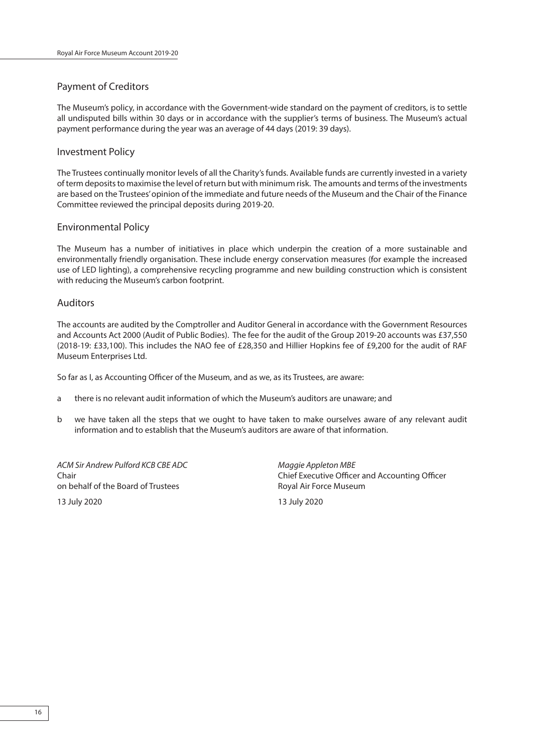## Payment of Creditors

The Museum's policy, in accordance with the Government-wide standard on the payment of creditors, is to settle all undisputed bills within 30 days or in accordance with the supplier's terms of business. The Museum's actual payment performance during the year was an average of 44 days (2019: 39 days).

### Investment Policy

The Trustees continually monitor levels of all the Charity's funds. Available funds are currently invested in a variety of term deposits to maximise the level of return but with minimum risk. The amounts and terms of the investments are based on the Trustees' opinion of the immediate and future needs of the Museum and the Chair of the Finance Committee reviewed the principal deposits during 2019-20.

#### Environmental Policy

The Museum has a number of initiatives in place which underpin the creation of a more sustainable and environmentally friendly organisation. These include energy conservation measures (for example the increased use of LED lighting), a comprehensive recycling programme and new building construction which is consistent with reducing the Museum's carbon footprint.

### Auditors

The accounts are audited by the Comptroller and Auditor General in accordance with the Government Resources and Accounts Act 2000 (Audit of Public Bodies). The fee for the audit of the Group 2019-20 accounts was £37,550 (2018-19: £33,100). This includes the NAO fee of £28,350 and Hillier Hopkins fee of £9,200 for the audit of RAF Museum Enterprises Ltd.

So far as I, as Accounting Officer of the Museum, and as we, as its Trustees, are aware:

- a there is no relevant audit information of which the Museum's auditors are unaware; and
- b we have taken all the steps that we ought to have taken to make ourselves aware of any relevant audit information and to establish that the Museum's auditors are aware of that information.

*ACM Sir Andrew Pulford KCB CBE ADC Maggie Appleton MBE* on behalf of the Board of Trustees **Royal Air Force Museum** 

13 July 2020 13 July 2020

Chair Chief Executive Officer and Accounting Officer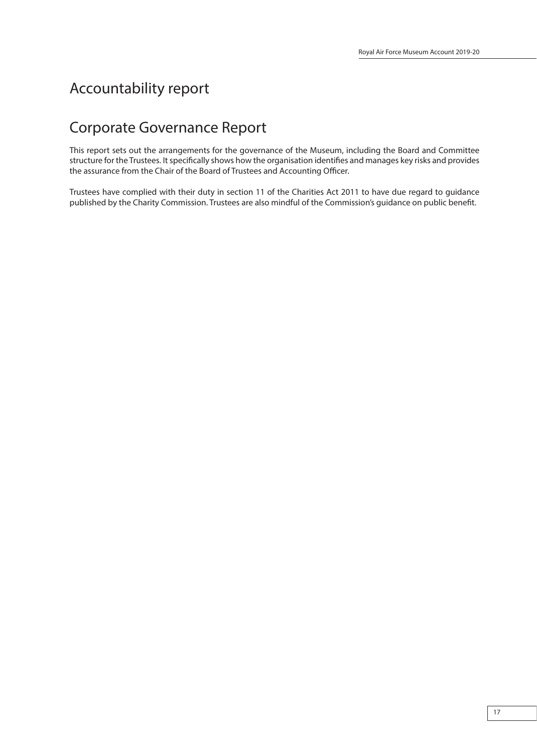## Accountability report

## Corporate Governance Report

This report sets out the arrangements for the governance of the Museum, including the Board and Committee structure for the Trustees. It specifically shows how the organisation identifies and manages key risks and provides the assurance from the Chair of the Board of Trustees and Accounting Officer.

Trustees have complied with their duty in section 11 of the Charities Act 2011 to have due regard to guidance published by the Charity Commission. Trustees are also mindful of the Commission's guidance on public benefit.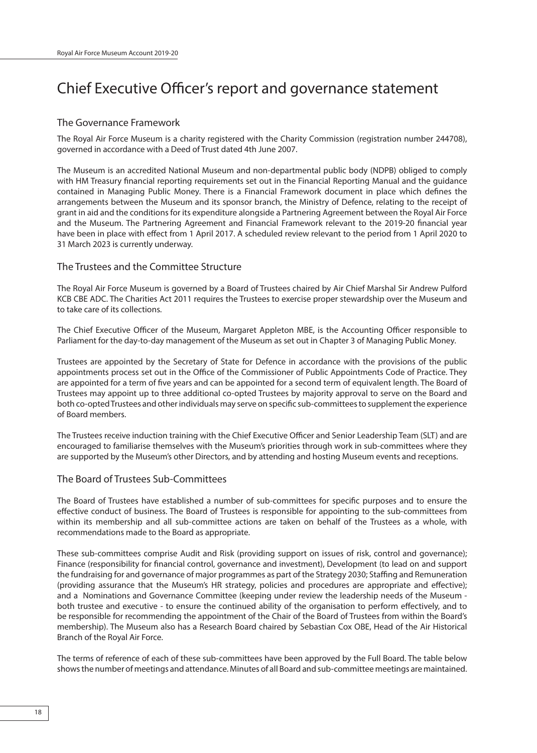## Chief Executive Officer's report and governance statement

## The Governance Framework

The Royal Air Force Museum is a charity registered with the Charity Commission (registration number 244708), governed in accordance with a Deed of Trust dated 4th June 2007.

The Museum is an accredited National Museum and non-departmental public body (NDPB) obliged to comply with HM Treasury financial reporting requirements set out in the Financial Reporting Manual and the guidance contained in Managing Public Money. There is a Financial Framework document in place which defines the arrangements between the Museum and its sponsor branch, the Ministry of Defence, relating to the receipt of grant in aid and the conditions for its expenditure alongside a Partnering Agreement between the Royal Air Force and the Museum. The Partnering Agreement and Financial Framework relevant to the 2019-20 financial year have been in place with effect from 1 April 2017. A scheduled review relevant to the period from 1 April 2020 to 31 March 2023 is currently underway.

## The Trustees and the Committee Structure

The Royal Air Force Museum is governed by a Board of Trustees chaired by Air Chief Marshal Sir Andrew Pulford KCB CBE ADC. The Charities Act 2011 requires the Trustees to exercise proper stewardship over the Museum and to take care of its collections.

The Chief Executive Officer of the Museum, Margaret Appleton MBE, is the Accounting Officer responsible to Parliament for the day-to-day management of the Museum as set out in Chapter 3 of Managing Public Money.

Trustees are appointed by the Secretary of State for Defence in accordance with the provisions of the public appointments process set out in the Office of the Commissioner of Public Appointments Code of Practice. They are appointed for a term of five years and can be appointed for a second term of equivalent length. The Board of Trustees may appoint up to three additional co-opted Trustees by majority approval to serve on the Board and both co-opted Trustees and other individuals may serve on specific sub-committees to supplement the experience of Board members.

The Trustees receive induction training with the Chief Executive Officer and Senior Leadership Team (SLT) and are encouraged to familiarise themselves with the Museum's priorities through work in sub-committees where they are supported by the Museum's other Directors, and by attending and hosting Museum events and receptions.

## The Board of Trustees Sub-Committees

The Board of Trustees have established a number of sub-committees for specific purposes and to ensure the effective conduct of business. The Board of Trustees is responsible for appointing to the sub-committees from within its membership and all sub-committee actions are taken on behalf of the Trustees as a whole, with recommendations made to the Board as appropriate.

These sub-committees comprise Audit and Risk (providing support on issues of risk, control and governance); Finance (responsibility for financial control, governance and investment), Development (to lead on and support the fundraising for and governance of major programmes as part of the Strategy 2030; Staffing and Remuneration (providing assurance that the Museum's HR strategy, policies and procedures are appropriate and effective); and a Nominations and Governance Committee (keeping under review the leadership needs of the Museum both trustee and executive - to ensure the continued ability of the organisation to perform effectively, and to be responsible for recommending the appointment of the Chair of the Board of Trustees from within the Board's membership). The Museum also has a Research Board chaired by Sebastian Cox OBE, Head of the Air Historical Branch of the Royal Air Force.

The terms of reference of each of these sub-committees have been approved by the Full Board. The table below shows the number of meetings and attendance. Minutes of all Board and sub-committee meetings are maintained.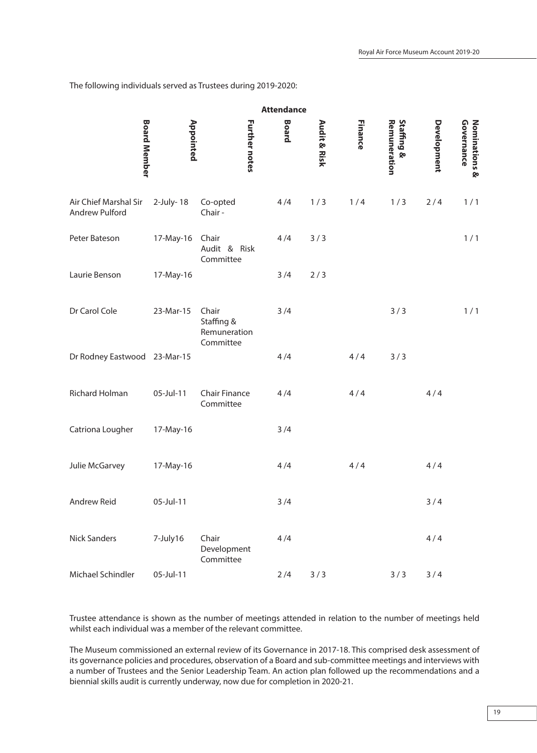The following individuals served as Trustees during 2019-2020:

|                                                |           |                                                  | <b>Attendance</b> |                         |         |                            |             |                             |
|------------------------------------------------|-----------|--------------------------------------------------|-------------------|-------------------------|---------|----------------------------|-------------|-----------------------------|
| <b>Board Member</b>                            | Appointed | <b>Further notes</b>                             | <b>Board</b>      | <b>Audit &amp; Risk</b> | Finance | Remuneration<br>Staffing & | Development | Nominations &<br>Governance |
| Air Chief Marshal Sir<br><b>Andrew Pulford</b> | 2-July-18 | Co-opted<br>Chair-                               | 4/4               | 1/3                     | 1/4     | 1/3                        | 2/4         | 1/1                         |
| Peter Bateson                                  | 17-May-16 | Chair<br>Audit & Risk<br>Committee               | 4/4               | 3/3                     |         |                            |             | 1/1                         |
| Laurie Benson                                  | 17-May-16 |                                                  | 3/4               | 2/3                     |         |                            |             |                             |
| Dr Carol Cole                                  | 23-Mar-15 | Chair<br>Staffing &<br>Remuneration<br>Committee | 3/4               |                         |         | 3/3                        |             | 1/1                         |
| Dr Rodney Eastwood 23-Mar-15                   |           |                                                  | 4/4               |                         | 4/4     | 3/3                        |             |                             |
| Richard Holman                                 | 05-Jul-11 | Chair Finance<br>Committee                       | 4/4               |                         | 4/4     |                            | 4/4         |                             |
| Catriona Lougher                               | 17-May-16 |                                                  | 3/4               |                         |         |                            |             |                             |
| Julie McGarvey                                 | 17-May-16 |                                                  | 4/4               |                         | 4/4     |                            | 4/4         |                             |
| Andrew Reid                                    | 05-Jul-11 |                                                  | 3/4               |                         |         |                            | 3/4         |                             |
| <b>Nick Sanders</b>                            | 7-July16  | Chair<br>Development<br>Committee                | 4/4               |                         |         |                            | 4/4         |                             |
| Michael Schindler                              | 05-Jul-11 |                                                  | 2/4               | 3/3                     |         | 3/3                        | 3/4         |                             |

Trustee attendance is shown as the number of meetings attended in relation to the number of meetings held whilst each individual was a member of the relevant committee.

The Museum commissioned an external review of its Governance in 2017-18. This comprised desk assessment of its governance policies and procedures, observation of a Board and sub-committee meetings and interviews with a number of Trustees and the Senior Leadership Team. An action plan followed up the recommendations and a biennial skills audit is currently underway, now due for completion in 2020-21.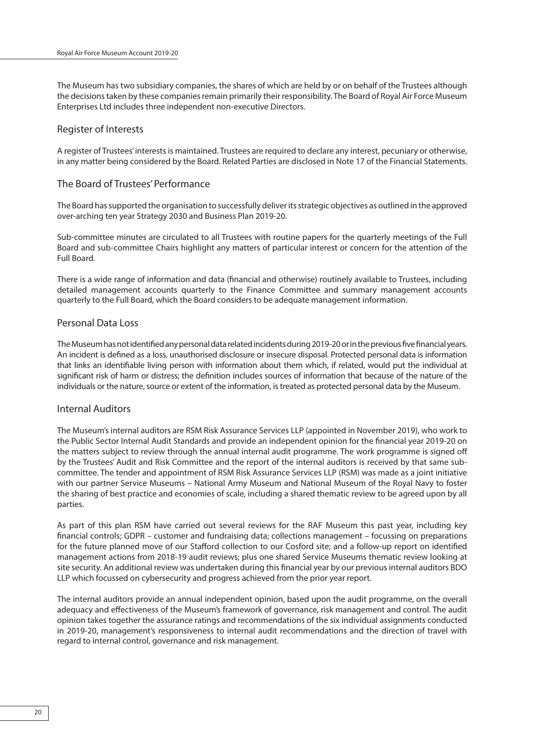The Museum has two subsidiary companies, the shares of which are held by or on behalf of the Trustees although the decisions taken by these companies remain primarily their responsibility. The Board of Royal Air Force Museum Enterprises Ltd includes three independent non-executive Directors.

#### Register of Interests

A register of Trustees' interests is maintained. Trustees are required to declare any interest, pecuniary or otherwise, in any matter being considered by the Board. Related Parties are disclosed in Note 17 of the Financial Statements.

### The Board of Trustees' Performance

The Board has supported the organisation to successfully deliver its strategic objectives as outlined in the approved over-arching ten year Strategy 2030 and Business Plan 2019-20.

Sub-committee minutes are circulated to all Trustees with routine papers for the quarterly meetings of the Full Board and sub-committee Chairs highlight any matters of particular interest or concern for the attention of the Full Board.

There is a wide range of information and data (financial and otherwise) routinely available to Trustees, including detailed management accounts quarterly to the Finance Committee and summary management accounts quarterly to the Full Board, which the Board considers to be adequate management information.

#### Personal Data Loss

The Museum has not identified any personal data related incidents during 2019-20 or in the previous five financial years. An incident is defined as a loss, unauthorised disclosure or insecure disposal. Protected personal data is information that links an identifiable living person with information about them which, if related, would put the individual at significant risk of harm or distress; the definition includes sources of information that because of the nature of the individuals or the nature, source or extent of the information, is treated as protected personal data by the Museum.

#### Internal Auditors

The Museum's internal auditors are RSM Risk Assurance Services LLP (appointed in November 2019), who work to the Public Sector Internal Audit Standards and provide an independent opinion for the financial year 2019-20 on the matters subject to review through the annual internal audit programme. The work programme is signed off by the Trustees' Audit and Risk Committee and the report of the internal auditors is received by that same subcommittee. The tender and appointment of RSM Risk Assurance Services LLP (RSM) was made as a joint initiative with our partner Service Museums – National Army Museum and National Museum of the Royal Navy to foster the sharing of best practice and economies of scale, including a shared thematic review to be agreed upon by all parties.

As part of this plan RSM have carried out several reviews for the RAF Museum this past year, including key financial controls; GDPR – customer and fundraising data; collections management – focussing on preparations for the future planned move of our Stafford collection to our Cosford site; and a follow-up report on identified management actions from 2018-19 audit reviews; plus one shared Service Museums thematic review looking at site security. An additional review was undertaken during this financial year by our previous internal auditors BDO LLP which focussed on cybersecurity and progress achieved from the prior year report.

The internal auditors provide an annual independent opinion, based upon the audit programme, on the overall adequacy and effectiveness of the Museum's framework of governance, risk management and control. The audit opinion takes together the assurance ratings and recommendations of the six individual assignments conducted in 2019-20, management's responsiveness to internal audit recommendations and the direction of travel with regard to internal control, governance and risk management.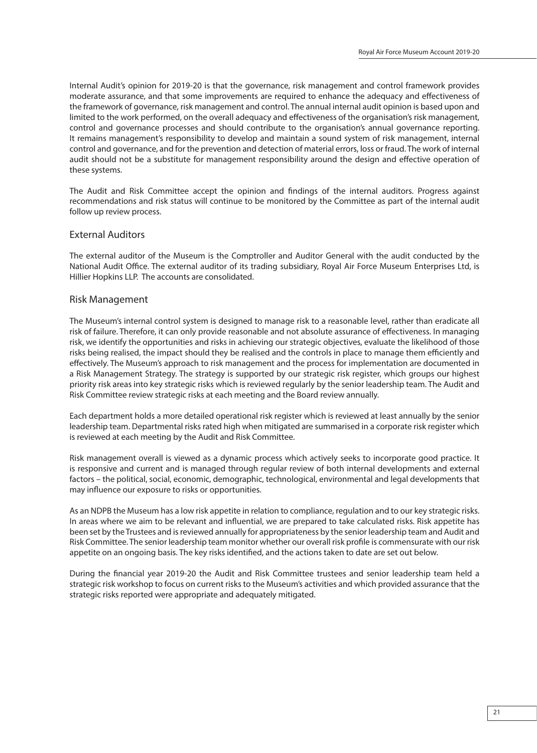Internal Audit's opinion for 2019-20 is that the governance, risk management and control framework provides moderate assurance, and that some improvements are required to enhance the adequacy and effectiveness of the framework of governance, risk management and control. The annual internal audit opinion is based upon and limited to the work performed, on the overall adequacy and effectiveness of the organisation's risk management, control and governance processes and should contribute to the organisation's annual governance reporting. It remains management's responsibility to develop and maintain a sound system of risk management, internal control and governance, and for the prevention and detection of material errors, loss or fraud. The work of internal audit should not be a substitute for management responsibility around the design and effective operation of these systems.

The Audit and Risk Committee accept the opinion and findings of the internal auditors. Progress against recommendations and risk status will continue to be monitored by the Committee as part of the internal audit follow up review process.

### External Auditors

The external auditor of the Museum is the Comptroller and Auditor General with the audit conducted by the National Audit Office. The external auditor of its trading subsidiary, Royal Air Force Museum Enterprises Ltd, is Hillier Hopkins LLP. The accounts are consolidated.

#### Risk Management

The Museum's internal control system is designed to manage risk to a reasonable level, rather than eradicate all risk of failure. Therefore, it can only provide reasonable and not absolute assurance of effectiveness. In managing risk, we identify the opportunities and risks in achieving our strategic objectives, evaluate the likelihood of those risks being realised, the impact should they be realised and the controls in place to manage them efficiently and effectively. The Museum's approach to risk management and the process for implementation are documented in a Risk Management Strategy. The strategy is supported by our strategic risk register, which groups our highest priority risk areas into key strategic risks which is reviewed regularly by the senior leadership team. The Audit and Risk Committee review strategic risks at each meeting and the Board review annually.

Each department holds a more detailed operational risk register which is reviewed at least annually by the senior leadership team. Departmental risks rated high when mitigated are summarised in a corporate risk register which is reviewed at each meeting by the Audit and Risk Committee.

Risk management overall is viewed as a dynamic process which actively seeks to incorporate good practice. It is responsive and current and is managed through regular review of both internal developments and external factors – the political, social, economic, demographic, technological, environmental and legal developments that may influence our exposure to risks or opportunities.

As an NDPB the Museum has a low risk appetite in relation to compliance, regulation and to our key strategic risks. In areas where we aim to be relevant and influential, we are prepared to take calculated risks. Risk appetite has been set by the Trustees and is reviewed annually for appropriateness by the senior leadership team and Audit and Risk Committee. The senior leadership team monitor whether our overall risk profile is commensurate with our risk appetite on an ongoing basis. The key risks identified, and the actions taken to date are set out below.

During the financial year 2019-20 the Audit and Risk Committee trustees and senior leadership team held a strategic risk workshop to focus on current risks to the Museum's activities and which provided assurance that the strategic risks reported were appropriate and adequately mitigated.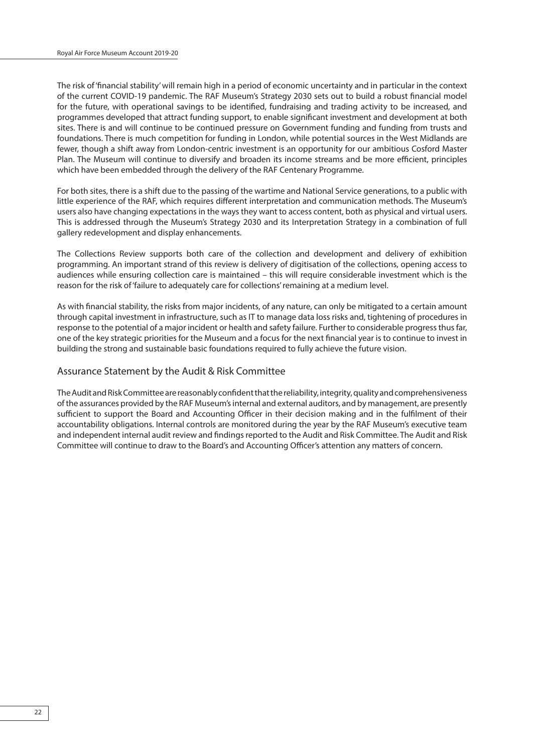The risk of 'financial stability' will remain high in a period of economic uncertainty and in particular in the context of the current COVID-19 pandemic. The RAF Museum's Strategy 2030 sets out to build a robust financial model for the future, with operational savings to be identified, fundraising and trading activity to be increased, and programmes developed that attract funding support, to enable significant investment and development at both sites. There is and will continue to be continued pressure on Government funding and funding from trusts and foundations. There is much competition for funding in London, while potential sources in the West Midlands are fewer, though a shift away from London-centric investment is an opportunity for our ambitious Cosford Master Plan. The Museum will continue to diversify and broaden its income streams and be more efficient, principles which have been embedded through the delivery of the RAF Centenary Programme.

For both sites, there is a shift due to the passing of the wartime and National Service generations, to a public with little experience of the RAF, which requires different interpretation and communication methods. The Museum's users also have changing expectations in the ways they want to access content, both as physical and virtual users. This is addressed through the Museum's Strategy 2030 and its Interpretation Strategy in a combination of full gallery redevelopment and display enhancements.

The Collections Review supports both care of the collection and development and delivery of exhibition programming. An important strand of this review is delivery of digitisation of the collections, opening access to audiences while ensuring collection care is maintained – this will require considerable investment which is the reason for the risk of 'failure to adequately care for collections' remaining at a medium level.

As with financial stability, the risks from major incidents, of any nature, can only be mitigated to a certain amount through capital investment in infrastructure, such as IT to manage data loss risks and, tightening of procedures in response to the potential of a major incident or health and safety failure. Further to considerable progress thus far, one of the key strategic priorities for the Museum and a focus for the next financial year is to continue to invest in building the strong and sustainable basic foundations required to fully achieve the future vision.

#### Assurance Statement by the Audit & Risk Committee

The Audit and Risk Committee are reasonably confident that the reliability, integrity, quality and comprehensiveness of the assurances provided by the RAF Museum's internal and external auditors, and by management, are presently sufficient to support the Board and Accounting Officer in their decision making and in the fulfilment of their accountability obligations. Internal controls are monitored during the year by the RAF Museum's executive team and independent internal audit review and findings reported to the Audit and Risk Committee. The Audit and Risk Committee will continue to draw to the Board's and Accounting Officer's attention any matters of concern.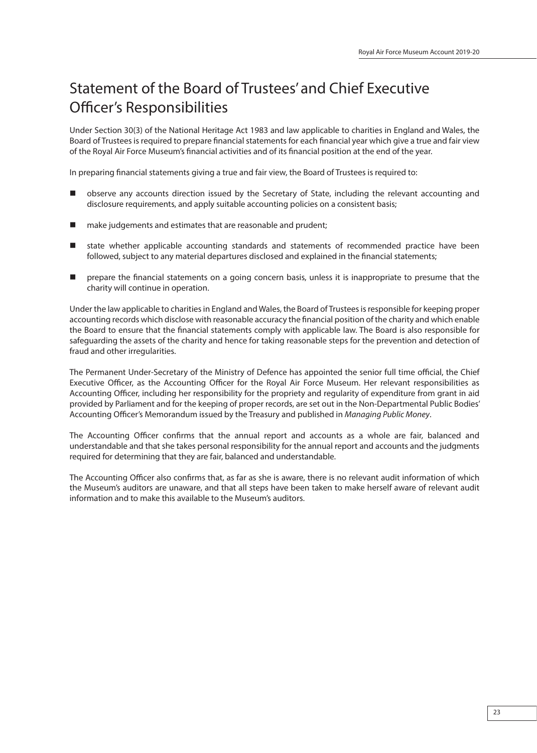## Statement of the Board of Trustees' and Chief Executive Officer's Responsibilities

Under Section 30(3) of the National Heritage Act 1983 and law applicable to charities in England and Wales, the Board of Trustees is required to prepare financial statements for each financial year which give a true and fair view of the Royal Air Force Museum's financial activities and of its financial position at the end of the year.

In preparing financial statements giving a true and fair view, the Board of Trustees is required to:

- n observe any accounts direction issued by the Secretary of State, including the relevant accounting and disclosure requirements, and apply suitable accounting policies on a consistent basis;
- make judgements and estimates that are reasonable and prudent;
- state whether applicable accounting standards and statements of recommended practice have been followed, subject to any material departures disclosed and explained in the financial statements;
- **n** prepare the financial statements on a going concern basis, unless it is inappropriate to presume that the charity will continue in operation.

Under the law applicable to charities in England and Wales, the Board of Trustees is responsible for keeping proper accounting records which disclose with reasonable accuracy the financial position of the charity and which enable the Board to ensure that the financial statements comply with applicable law. The Board is also responsible for safeguarding the assets of the charity and hence for taking reasonable steps for the prevention and detection of fraud and other irregularities.

The Permanent Under-Secretary of the Ministry of Defence has appointed the senior full time official, the Chief Executive Officer, as the Accounting Officer for the Royal Air Force Museum. Her relevant responsibilities as Accounting Officer, including her responsibility for the propriety and regularity of expenditure from grant in aid provided by Parliament and for the keeping of proper records, are set out in the Non-Departmental Public Bodies' Accounting Officer's Memorandum issued by the Treasury and published in *Managing Public Money*.

The Accounting Officer confirms that the annual report and accounts as a whole are fair, balanced and understandable and that she takes personal responsibility for the annual report and accounts and the judgments required for determining that they are fair, balanced and understandable.

The Accounting Officer also confirms that, as far as she is aware, there is no relevant audit information of which the Museum's auditors are unaware, and that all steps have been taken to make herself aware of relevant audit information and to make this available to the Museum's auditors.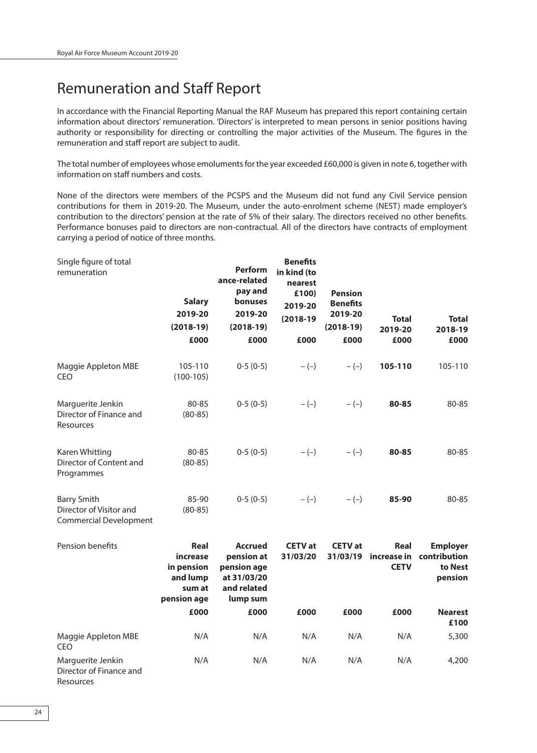## Remuneration and Staff Report

In accordance with the Financial Reporting Manual the RAF Museum has prepared this report containing certain information about directors' remuneration. 'Directors' is interpreted to mean persons in senior positions having authority or responsibility for directing or controlling the major activities of the Museum. The figures in the remuneration and staff report are subject to audit.

The total number of employees whose emoluments for the year exceeded £60,000 is given in note 6, together with information on staff numbers and costs.

None of the directors were members of the PCSPS and the Museum did not fund any Civil Service pension contributions for them in 2019-20. The Museum, under the auto-enrolment scheme (NEST) made employer's contribution to the directors' pension at the rate of 5% of their salary. The directors received no other benefits. Performance bonuses paid to directors are non-contractual. All of the directors have contracts of employment carrying a period of notice of three months.

| Single figure of total<br>remuneration                                         | <b>Salary</b><br>2019-20<br>$(2018-19)$                             | <b>Perform</b><br>ance-related<br>pay and<br>bonuses<br>2019-20<br>$(2018-19)$        | <b>Benefits</b><br>in kind (to<br>nearest<br>£100)<br>2019-20<br>$(2018-19)$ | <b>Pension</b><br><b>Benefits</b><br>2019-20<br>$(2018-19)$ | <b>Total</b><br>2019-20            | <b>Total</b><br>2018-19                               |
|--------------------------------------------------------------------------------|---------------------------------------------------------------------|---------------------------------------------------------------------------------------|------------------------------------------------------------------------------|-------------------------------------------------------------|------------------------------------|-------------------------------------------------------|
|                                                                                | £000                                                                | £000                                                                                  | £000                                                                         | £000                                                        | £000                               | £000                                                  |
| Maggie Appleton MBE<br>CEO                                                     | 105-110<br>$(100-105)$                                              | $0-5(0-5)$                                                                            | $-(-)$                                                                       | $-(-)$                                                      | 105-110                            | 105-110                                               |
| Marguerite Jenkin<br>Director of Finance and<br>Resources                      | 80-85<br>$(80 - 85)$                                                | $0-5(0-5)$                                                                            | $-(-)$                                                                       | $-(-)$                                                      | 80-85                              | 80-85                                                 |
| Karen Whitting<br>Director of Content and<br>Programmes                        | 80-85<br>$(80 - 85)$                                                | $0-5(0-5)$                                                                            | $-(-)$                                                                       | $-(-)$                                                      | 80-85                              | 80-85                                                 |
| <b>Barry Smith</b><br>Director of Visitor and<br><b>Commercial Development</b> | 85-90<br>$(80 - 85)$                                                | $0-5(0-5)$                                                                            | $-(-)$                                                                       | $-(-)$                                                      | 85-90                              | 80-85                                                 |
| Pension benefits                                                               | Real<br>increase<br>in pension<br>and lump<br>sum at<br>pension age | <b>Accrued</b><br>pension at<br>pension age<br>at 31/03/20<br>and related<br>lump sum | <b>CETV</b> at<br>31/03/20                                                   | <b>CETV</b> at<br>31/03/19                                  | Real<br>increase in<br><b>CETV</b> | <b>Employer</b><br>contribution<br>to Nest<br>pension |
|                                                                                | £000                                                                | £000                                                                                  | £000                                                                         | £000                                                        | £000                               | <b>Nearest</b><br>£100                                |
| Maggie Appleton MBE<br>CEO                                                     | N/A                                                                 | N/A                                                                                   | N/A                                                                          | N/A                                                         | N/A                                | 5,300                                                 |
| Marguerite Jenkin<br>Director of Finance and<br>Resources                      | N/A                                                                 | N/A                                                                                   | N/A                                                                          | N/A                                                         | N/A                                | 4,200                                                 |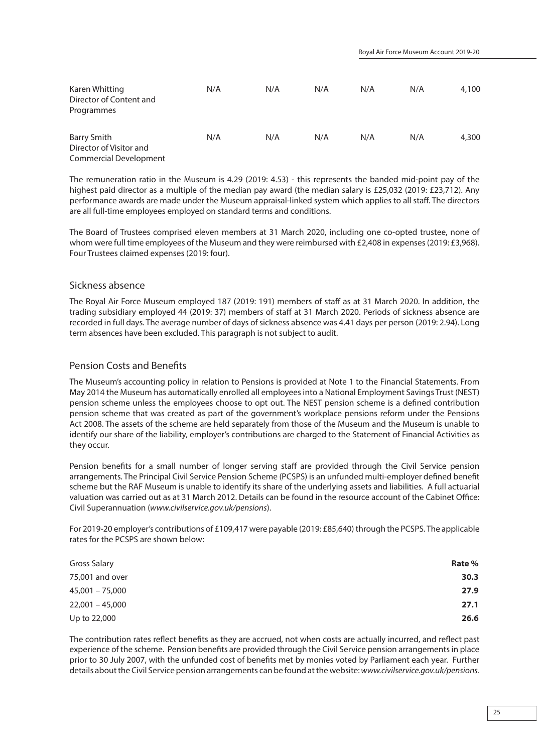| Karen Whitting<br>Director of Content and<br>Programmes                        | N/A | N/A | N/A | N/A | N/A | 4,100 |
|--------------------------------------------------------------------------------|-----|-----|-----|-----|-----|-------|
| <b>Barry Smith</b><br>Director of Visitor and<br><b>Commercial Development</b> | N/A | N/A | N/A | N/A | N/A | 4,300 |

The remuneration ratio in the Museum is 4.29 (2019: 4.53) - this represents the banded mid-point pay of the highest paid director as a multiple of the median pay award (the median salary is £25,032 (2019: £23,712). Any performance awards are made under the Museum appraisal-linked system which applies to all staff. The directors are all full-time employees employed on standard terms and conditions.

The Board of Trustees comprised eleven members at 31 March 2020, including one co-opted trustee, none of whom were full time employees of the Museum and they were reimbursed with £2,408 in expenses (2019: £3,968). Four Trustees claimed expenses (2019: four).

## Sickness absence

The Royal Air Force Museum employed 187 (2019: 191) members of staff as at 31 March 2020. In addition, the trading subsidiary employed 44 (2019: 37) members of staff at 31 March 2020. Periods of sickness absence are recorded in full days. The average number of days of sickness absence was 4.41 days per person (2019: 2.94). Long term absences have been excluded. This paragraph is not subject to audit.

### Pension Costs and Benefits

The Museum's accounting policy in relation to Pensions is provided at Note 1 to the Financial Statements. From May 2014 the Museum has automatically enrolled all employees into a National Employment Savings Trust (NEST) pension scheme unless the employees choose to opt out. The NEST pension scheme is a defined contribution pension scheme that was created as part of the government's workplace pensions reform under the Pensions Act 2008. The assets of the scheme are held separately from those of the Museum and the Museum is unable to identify our share of the liability, employer's contributions are charged to the Statement of Financial Activities as they occur.

Pension benefits for a small number of longer serving staff are provided through the Civil Service pension arrangements. The Principal Civil Service Pension Scheme (PCSPS) is an unfunded multi-employer defined benefit scheme but the RAF Museum is unable to identify its share of the underlying assets and liabilities. A full actuarial valuation was carried out as at 31 March 2012. Details can be found in the resource account of the Cabinet Office: Civil Superannuation (*www.civilservice.gov.uk/pensions*).

For 2019-20 employer's contributions of £109,417 were payable (2019: £85,640) through the PCSPS. The applicable rates for the PCSPS are shown below:

| <b>Gross Salary</b> | Rate % |
|---------------------|--------|
| 75,001 and over     | 30.3   |
| $45,001 - 75,000$   | 27.9   |
| $22,001 - 45,000$   | 27.1   |
| Up to 22,000        | 26.6   |

The contribution rates reflect benefits as they are accrued, not when costs are actually incurred, and reflect past experience of the scheme. Pension benefits are provided through the Civil Service pension arrangements in place prior to 30 July 2007, with the unfunded cost of benefits met by monies voted by Parliament each year. Further details about the Civil Service pension arrangements can be found at the website: *www.civilservice.gov.uk/pensions.*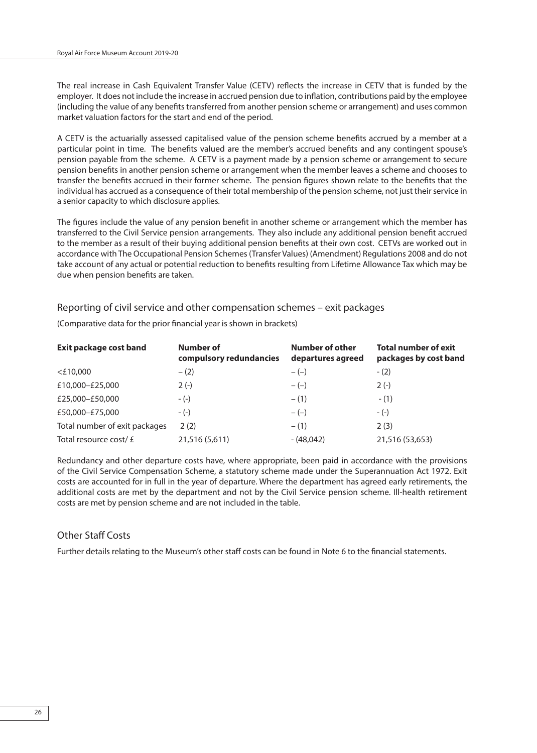The real increase in Cash Equivalent Transfer Value (CETV) reflects the increase in CETV that is funded by the employer. It does not include the increase in accrued pension due to inflation, contributions paid by the employee (including the value of any benefits transferred from another pension scheme or arrangement) and uses common market valuation factors for the start and end of the period.

A CETV is the actuarially assessed capitalised value of the pension scheme benefits accrued by a member at a particular point in time. The benefits valued are the member's accrued benefits and any contingent spouse's pension payable from the scheme. A CETV is a payment made by a pension scheme or arrangement to secure pension benefits in another pension scheme or arrangement when the member leaves a scheme and chooses to transfer the benefits accrued in their former scheme. The pension figures shown relate to the benefits that the individual has accrued as a consequence of their total membership of the pension scheme, not just their service in a senior capacity to which disclosure applies.

The figures include the value of any pension benefit in another scheme or arrangement which the member has transferred to the Civil Service pension arrangements. They also include any additional pension benefit accrued to the member as a result of their buying additional pension benefits at their own cost. CETVs are worked out in accordance with The Occupational Pension Schemes (Transfer Values) (Amendment) Regulations 2008 and do not take account of any actual or potential reduction to benefits resulting from Lifetime Allowance Tax which may be due when pension benefits are taken.

### Reporting of civil service and other compensation schemes – exit packages

| <b>Exit package cost band</b> | Number of<br>compulsory redundancies | Number of other<br>departures agreed | <b>Total number of exit</b><br>packages by cost band |  |
|-------------------------------|--------------------------------------|--------------------------------------|------------------------------------------------------|--|
| $<$ £10,000                   | $- (2)$                              | $-(-)$                               | $-(2)$                                               |  |
| £10,000-£25,000               | $2(-)$                               | $-(-)$                               | $2(-)$                                               |  |
| £25,000-£50,000               | $-(-)$                               | $- (1)$                              | $- (1)$                                              |  |
| £50,000-£75,000               | $-(-)$                               | $-(-)$                               | $-(-)$                                               |  |
| Total number of exit packages | 2(2)                                 | $- (1)$                              | 2(3)                                                 |  |
| Total resource cost/ £        | 21,516 (5,611)                       | $-(48,042)$                          | 21,516 (53,653)                                      |  |

(Comparative data for the prior financial year is shown in brackets)

Redundancy and other departure costs have, where appropriate, been paid in accordance with the provisions of the Civil Service Compensation Scheme, a statutory scheme made under the Superannuation Act 1972. Exit costs are accounted for in full in the year of departure. Where the department has agreed early retirements, the additional costs are met by the department and not by the Civil Service pension scheme. Ill-health retirement costs are met by pension scheme and are not included in the table.

## Other Staff Costs

Further details relating to the Museum's other staff costs can be found in Note 6 to the financial statements.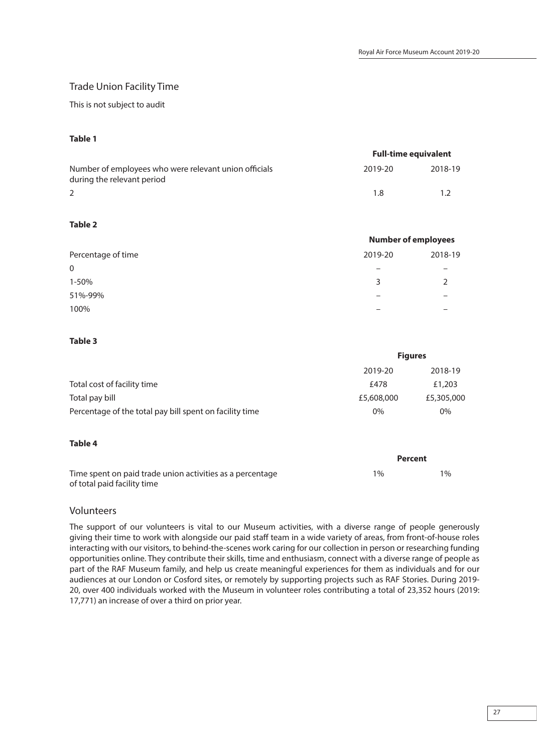## Trade Union Facility Time

#### This is not subject to audit

### **Table 1**

|                                                                                     | <b>Full-time equivalent</b> |         |  |  |
|-------------------------------------------------------------------------------------|-----------------------------|---------|--|--|
| Number of employees who were relevant union officials<br>during the relevant period | 2019-20                     | 2018-19 |  |  |
|                                                                                     | 18                          |         |  |  |

#### **Table 2**

|                    |         | <b>Number of employees</b> |
|--------------------|---------|----------------------------|
| Percentage of time | 2019-20 | 2018-19                    |
| $\mathbf 0$        |         |                            |
| 1-50%              | 3       | $\mathcal{P}$              |
| 51%-99%            |         |                            |
| 100%               |         |                            |

#### **Table 3**

|                                                         | <b>Figures</b> |            |  |
|---------------------------------------------------------|----------------|------------|--|
|                                                         | 2019-20        | 2018-19    |  |
| Total cost of facility time                             | £478           | £1,203     |  |
| Total pay bill                                          | £5,608,000     | £5,305,000 |  |
| Percentage of the total pay bill spent on facility time | $0\%$          | $0\%$      |  |

#### **Table 4**

|                                                           | Percent |    |
|-----------------------------------------------------------|---------|----|
| Time spent on paid trade union activities as a percentage | 1%      | 1% |
| of total paid facility time                               |         |    |

### Volunteers

The support of our volunteers is vital to our Museum activities, with a diverse range of people generously giving their time to work with alongside our paid staff team in a wide variety of areas, from front-of-house roles interacting with our visitors, to behind-the-scenes work caring for our collection in person or researching funding opportunities online. They contribute their skills, time and enthusiasm, connect with a diverse range of people as part of the RAF Museum family, and help us create meaningful experiences for them as individuals and for our audiences at our London or Cosford sites, or remotely by supporting projects such as RAF Stories. During 2019- 20, over 400 individuals worked with the Museum in volunteer roles contributing a total of 23,352 hours (2019: 17,771) an increase of over a third on prior year.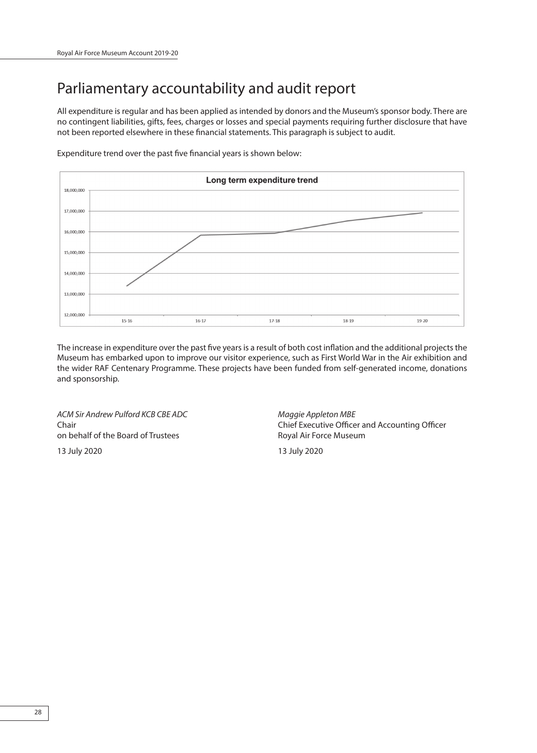## Parliamentary accountability and audit report

All expenditure is regular and has been applied as intended by donors and the Museum's sponsor body. There are no contingent liabilities, gifts, fees, charges or losses and special payments requiring further disclosure that have not been reported elsewhere in these financial statements. This paragraph is subject to audit.



Expenditure trend over the past five financial years is shown below:

The increase in expenditure over the past five years is a result of both cost inflation and the additional projects the Museum has embarked upon to improve our visitor experience, such as First World War in the Air exhibition and the wider RAF Centenary Programme. These projects have been funded from self-generated income, donations and sponsorship.

*ACM Sir Andrew Pulford KCB CBE ADC Maggie Appleton MBE* on behalf of the Board of Trustees **Royal Air Force Museum** 13 July 2020 13 July 2020

Chair Chief Executive Officer and Accounting Officer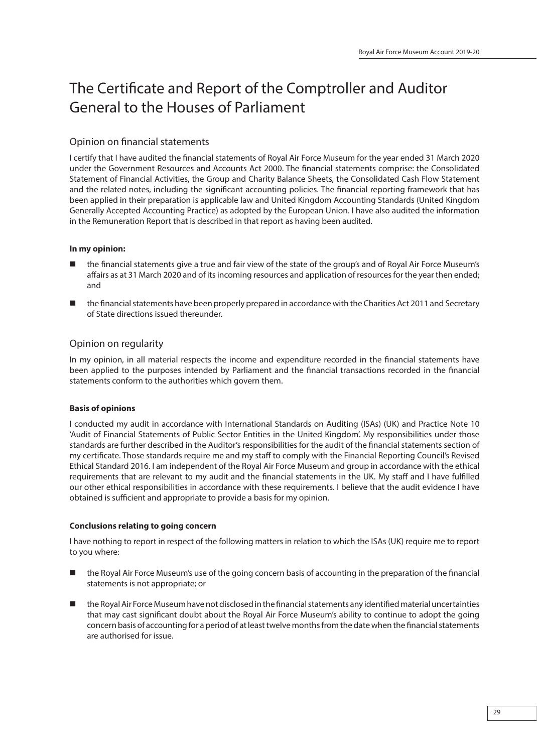## The Certificate and Report of the Comptroller and Auditor General to the Houses of Parliament

## Opinion on financial statements

I certify that I have audited the financial statements of Royal Air Force Museum for the year ended 31 March 2020 under the Government Resources and Accounts Act 2000. The financial statements comprise: the Consolidated Statement of Financial Activities, the Group and Charity Balance Sheets, the Consolidated Cash Flow Statement and the related notes, including the significant accounting policies. The financial reporting framework that has been applied in their preparation is applicable law and United Kingdom Accounting Standards (United Kingdom Generally Accepted Accounting Practice) as adopted by the European Union. I have also audited the information in the Remuneration Report that is described in that report as having been audited.

## **In my opinion:**

- n the financial statements give a true and fair view of the state of the group's and of Royal Air Force Museum's affairs as at 31 March 2020 and of its incoming resources and application of resources for the year then ended; and
- n the financial statements have been properly prepared in accordance with the Charities Act 2011 and Secretary of State directions issued thereunder.

## Opinion on regularity

In my opinion, in all material respects the income and expenditure recorded in the financial statements have been applied to the purposes intended by Parliament and the financial transactions recorded in the financial statements conform to the authorities which govern them.

## **Basis of opinions**

I conducted my audit in accordance with International Standards on Auditing (ISAs) (UK) and Practice Note 10 'Audit of Financial Statements of Public Sector Entities in the United Kingdom'. My responsibilities under those standards are further described in the Auditor's responsibilities for the audit of the financial statements section of my certificate. Those standards require me and my staff to comply with the Financial Reporting Council's Revised Ethical Standard 2016. I am independent of the Royal Air Force Museum and group in accordance with the ethical requirements that are relevant to my audit and the financial statements in the UK. My staff and I have fulfilled our other ethical responsibilities in accordance with these requirements. I believe that the audit evidence I have obtained is sufficient and appropriate to provide a basis for my opinion.

## **Conclusions relating to going concern**

I have nothing to report in respect of the following matters in relation to which the ISAs (UK) require me to report to you where:

- n the Royal Air Force Museum's use of the going concern basis of accounting in the preparation of the financial statements is not appropriate; or
- n the Royal Air Force Museum have not disclosed in the financial statements any identified material uncertainties that may cast significant doubt about the Royal Air Force Museum's ability to continue to adopt the going concern basis of accounting for a period of at least twelve months from the date when the financial statements are authorised for issue.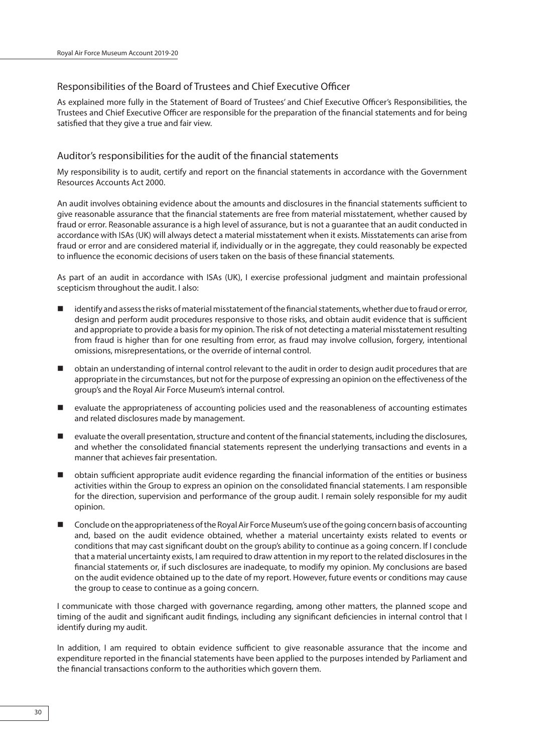## Responsibilities of the Board of Trustees and Chief Executive Officer

As explained more fully in the Statement of Board of Trustees' and Chief Executive Officer's Responsibilities, the Trustees and Chief Executive Officer are responsible for the preparation of the financial statements and for being satisfied that they give a true and fair view.

## Auditor's responsibilities for the audit of the financial statements

My responsibility is to audit, certify and report on the financial statements in accordance with the Government Resources Accounts Act 2000.

An audit involves obtaining evidence about the amounts and disclosures in the financial statements sufficient to give reasonable assurance that the financial statements are free from material misstatement, whether caused by fraud or error. Reasonable assurance is a high level of assurance, but is not a guarantee that an audit conducted in accordance with ISAs (UK) will always detect a material misstatement when it exists. Misstatements can arise from fraud or error and are considered material if, individually or in the aggregate, they could reasonably be expected to influence the economic decisions of users taken on the basis of these financial statements.

As part of an audit in accordance with ISAs (UK), I exercise professional judgment and maintain professional scepticism throughout the audit. I also:

- identify and assess the risks of material misstatement of the financial statements, whether due to fraud or error, design and perform audit procedures responsive to those risks, and obtain audit evidence that is sufficient and appropriate to provide a basis for my opinion. The risk of not detecting a material misstatement resulting from fraud is higher than for one resulting from error, as fraud may involve collusion, forgery, intentional omissions, misrepresentations, or the override of internal control.
- n obtain an understanding of internal control relevant to the audit in order to design audit procedures that are appropriate in the circumstances, but not for the purpose of expressing an opinion on the effectiveness of the group's and the Royal Air Force Museum's internal control.
- $\blacksquare$  evaluate the appropriateness of accounting policies used and the reasonableness of accounting estimates and related disclosures made by management.
- n evaluate the overall presentation, structure and content of the financial statements, including the disclosures, and whether the consolidated financial statements represent the underlying transactions and events in a manner that achieves fair presentation.
- n obtain sufficient appropriate audit evidence regarding the financial information of the entities or business activities within the Group to express an opinion on the consolidated financial statements. I am responsible for the direction, supervision and performance of the group audit. I remain solely responsible for my audit opinion.
- n Conclude on the appropriateness of the Royal Air Force Museum's use of the going concern basis of accounting and, based on the audit evidence obtained, whether a material uncertainty exists related to events or conditions that may cast significant doubt on the group's ability to continue as a going concern. If I conclude that a material uncertainty exists, I am required to draw attention in my report to the related disclosures in the financial statements or, if such disclosures are inadequate, to modify my opinion. My conclusions are based on the audit evidence obtained up to the date of my report. However, future events or conditions may cause the group to cease to continue as a going concern.

I communicate with those charged with governance regarding, among other matters, the planned scope and timing of the audit and significant audit findings, including any significant deficiencies in internal control that I identify during my audit.

In addition, I am required to obtain evidence sufficient to give reasonable assurance that the income and expenditure reported in the financial statements have been applied to the purposes intended by Parliament and the financial transactions conform to the authorities which govern them.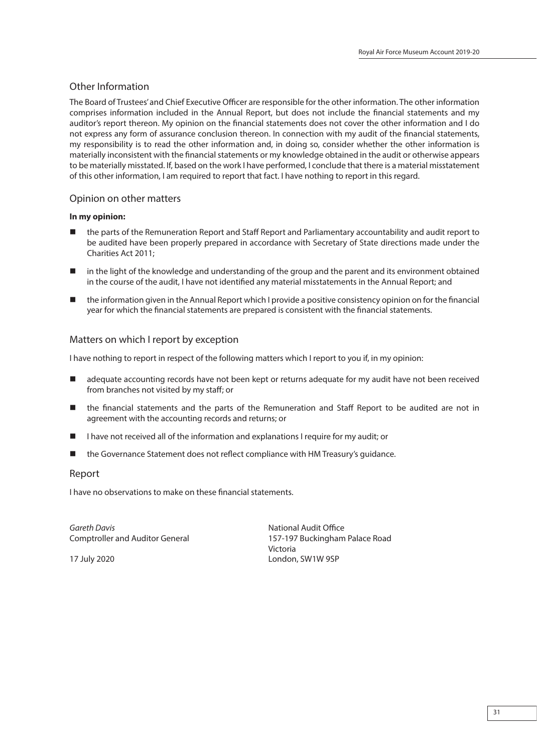## Other Information

The Board of Trustees' and Chief Executive Officer are responsible for the other information. The other information comprises information included in the Annual Report, but does not include the financial statements and my auditor's report thereon. My opinion on the financial statements does not cover the other information and I do not express any form of assurance conclusion thereon. In connection with my audit of the financial statements, my responsibility is to read the other information and, in doing so, consider whether the other information is materially inconsistent with the financial statements or my knowledge obtained in the audit or otherwise appears to be materially misstated. If, based on the work I have performed, I conclude that there is a material misstatement of this other information, I am required to report that fact. I have nothing to report in this regard.

## Opinion on other matters

#### **In my opinion:**

- n the parts of the Remuneration Report and Staff Report and Parliamentary accountability and audit report to be audited have been properly prepared in accordance with Secretary of State directions made under the Charities Act 2011;
- in the light of the knowledge and understanding of the group and the parent and its environment obtained in the course of the audit, I have not identified any material misstatements in the Annual Report; and
- n the information given in the Annual Report which I provide a positive consistency opinion on for the financial year for which the financial statements are prepared is consistent with the financial statements.

## Matters on which I report by exception

I have nothing to report in respect of the following matters which I report to you if, in my opinion:

- n adequate accounting records have not been kept or returns adequate for my audit have not been received from branches not visited by my staff; or
- n the financial statements and the parts of the Remuneration and Staff Report to be audited are not in agreement with the accounting records and returns; or
- I have not received all of the information and explanations I require for my audit; or
- the Governance Statement does not reflect compliance with HM Treasury's guidance.

## Report

I have no observations to make on these financial statements.

*Gareth Davis* National Audit Office Comptroller and Auditor General 157-197 Buckingham Palace Road

 Victoria 17 July 2020 London, SW1W 9SP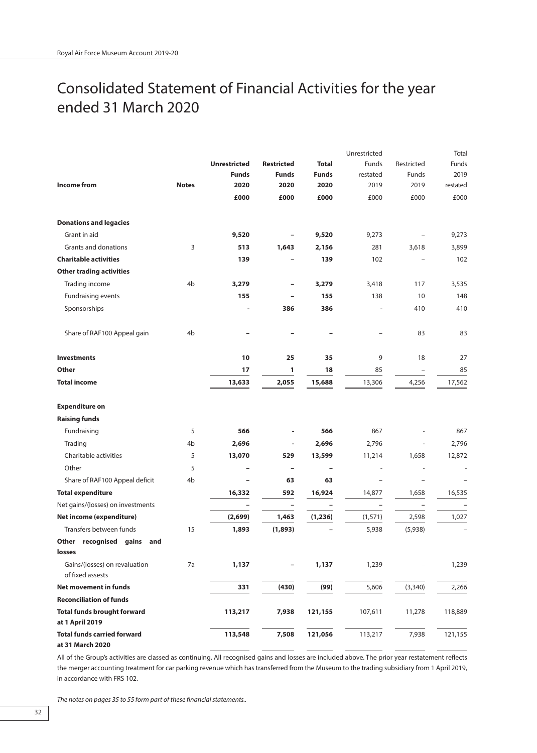## Consolidated Statement of Financial Activities for the year ended 31 March 2020

|                                                        |              |                     |                   |                          | Unrestricted |                          | Total    |
|--------------------------------------------------------|--------------|---------------------|-------------------|--------------------------|--------------|--------------------------|----------|
|                                                        |              | <b>Unrestricted</b> | <b>Restricted</b> | <b>Total</b>             | Funds        | Restricted               | Funds    |
|                                                        |              | <b>Funds</b>        | <b>Funds</b>      | <b>Funds</b>             | restated     | Funds                    | 2019     |
| <b>Income from</b>                                     | <b>Notes</b> | 2020                | 2020              | 2020                     | 2019         | 2019                     | restated |
|                                                        |              | £000                | £000              | £000                     | £000         | £000                     | £000     |
| <b>Donations and legacies</b>                          |              |                     |                   |                          |              |                          |          |
| Grant in aid                                           |              | 9,520               |                   | 9,520                    | 9,273        |                          | 9,273    |
| Grants and donations                                   | 3            | 513                 | 1,643             | 2,156                    | 281          | 3,618                    | 3,899    |
| <b>Charitable activities</b>                           |              | 139                 |                   | 139                      | 102          | ۳                        | 102      |
| <b>Other trading activities</b>                        |              |                     |                   |                          |              |                          |          |
| Trading income                                         | 4b           | 3,279               |                   | 3,279                    | 3,418        | 117                      | 3,535    |
| Fundraising events                                     |              | 155                 |                   | 155                      | 138          | 10                       | 148      |
| Sponsorships                                           |              |                     | 386               | 386                      |              | 410                      | 410      |
|                                                        |              |                     |                   |                          |              |                          |          |
| Share of RAF100 Appeal gain                            | 4b           |                     |                   |                          |              | 83                       | 83       |
| <b>Investments</b>                                     |              | 10                  | 25                | 35                       | 9            | 18                       | 27       |
| Other                                                  |              | 17                  | 1                 | 18                       | 85           | $\overline{\phantom{0}}$ | 85       |
| <b>Total income</b>                                    |              | 13,633              | 2,055             | 15,688                   | 13,306       | 4,256                    | 17,562   |
| <b>Expenditure on</b>                                  |              |                     |                   |                          |              |                          |          |
| <b>Raising funds</b>                                   |              |                     |                   |                          |              |                          |          |
| Fundraising                                            | 5            | 566                 |                   | 566                      | 867          |                          | 867      |
| Trading                                                | 4b           | 2,696               | ٠                 | 2,696                    | 2,796        | ÷,                       | 2,796    |
| Charitable activities                                  | 5            | 13,070              | 529               | 13,599                   | 11,214       | 1,658                    | 12,872   |
| Other                                                  | 5            |                     |                   | $\overline{\phantom{0}}$ |              |                          |          |
| Share of RAF100 Appeal deficit                         | 4b           |                     | 63                | 63                       |              |                          |          |
| <b>Total expenditure</b>                               |              | 16,332              | 592               | 16,924                   | 14,877       | 1,658                    | 16,535   |
| Net gains/(losses) on investments                      |              |                     |                   |                          |              | $\overline{a}$           |          |
| Net income (expenditure)                               |              | (2,699)             | 1,463             | (1,236)                  | (1,571)      | 2,598                    | 1,027    |
| Transfers between funds                                | 15           | 1,893               | (1,893)           |                          | 5,938        | (5,938)                  |          |
| Other recognised gains and                             |              |                     |                   |                          |              |                          |          |
| losses                                                 |              |                     |                   |                          |              |                          |          |
| Gains/(losses) on revaluation<br>of fixed assests      | 7a           | 1,137               |                   | 1,137                    | 1,239        |                          | 1,239    |
| <b>Net movement in funds</b>                           |              | 331                 | (430)             | (99)                     | 5,606        | (3, 340)                 | 2,266    |
| <b>Reconciliation of funds</b>                         |              |                     |                   |                          |              |                          |          |
| <b>Total funds brought forward</b><br>at 1 April 2019  |              | 113,217             | 7,938             | 121,155                  | 107,611      | 11,278                   | 118,889  |
| <b>Total funds carried forward</b><br>at 31 March 2020 |              | 113,548             | 7,508             | 121,056                  | 113,217      | 7,938                    | 121,155  |

All of the Group's activities are classed as continuing. All recognised gains and losses are included above. The prior year restatement reflects the merger accounting treatment for car parking revenue which has transferred from the Museum to the trading subsidiary from 1 April 2019, in accordance with FRS 102.

*The notes on pages 35 to 55 form part of these financial statements..*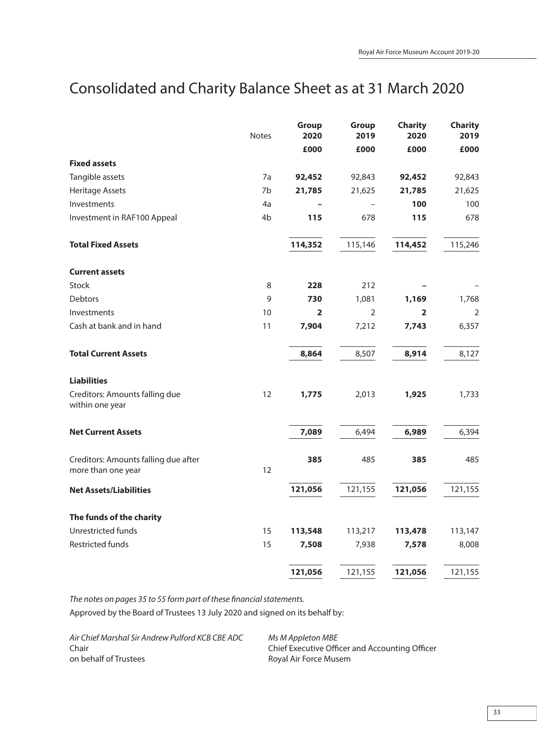## Consolidated and Charity Balance Sheet as at 31 March 2020

|                                                            | <b>Notes</b> | Group<br>2020  | Group<br>2019  | <b>Charity</b><br>2020 | <b>Charity</b><br>2019 |
|------------------------------------------------------------|--------------|----------------|----------------|------------------------|------------------------|
|                                                            |              | £000           | £000           | £000                   | £000                   |
| <b>Fixed assets</b>                                        |              |                |                |                        |                        |
| Tangible assets                                            | 7a           | 92,452         | 92,843         | 92,452                 | 92,843                 |
| <b>Heritage Assets</b>                                     | 7b           | 21,785         | 21,625         | 21,785                 | 21,625                 |
| Investments                                                | 4a           |                |                | 100                    | 100                    |
| Investment in RAF100 Appeal                                | 4b           | 115            | 678            | 115                    | 678                    |
| <b>Total Fixed Assets</b>                                  |              | 114,352        | 115,146        | 114,452                | 115,246                |
| <b>Current assets</b>                                      |              |                |                |                        |                        |
| <b>Stock</b>                                               | 8            | 228            | 212            |                        |                        |
| <b>Debtors</b>                                             | 9            | 730            | 1,081          | 1,169                  | 1,768                  |
| Investments                                                | 10           | $\overline{2}$ | $\overline{2}$ | $\overline{2}$         | 2                      |
| Cash at bank and in hand                                   | 11           | 7,904          | 7,212          | 7,743                  | 6,357                  |
| <b>Total Current Assets</b>                                |              | 8,864          | 8,507          | 8,914                  | 8,127                  |
| <b>Liabilities</b>                                         |              |                |                |                        |                        |
| Creditors: Amounts falling due<br>within one year          | 12           | 1,775          | 2,013          | 1,925                  | 1,733                  |
| <b>Net Current Assets</b>                                  |              | 7,089          | 6,494          | 6,989                  | 6,394                  |
| Creditors: Amounts falling due after<br>more than one year | 12           | 385            | 485            | 385                    | 485                    |
| <b>Net Assets/Liabilities</b>                              |              | 121,056        | 121,155        | 121,056                | 121,155                |
|                                                            |              |                |                |                        |                        |
| The funds of the charity                                   |              |                |                |                        |                        |
| Unrestricted funds                                         | 15           | 113,548        | 113,217        | 113,478                | 113,147                |
| <b>Restricted funds</b>                                    | 15           | 7,508          | 7,938          | 7,578                  | 8,008                  |
|                                                            |              | 121,056        | 121,155        | 121,056                | 121,155                |

*The notes on pages 35 to 55 form part of these financial statements.*

Approved by the Board of Trustees 13 July 2020 and signed on its behalf by:

*Air Chief Marshal Sir Andrew Pulford KCB CBE ADC Ms M Appleton MBE* on behalf of Trustees **Royal Air Force Musem** 

Chief Executive Officer and Accounting Officer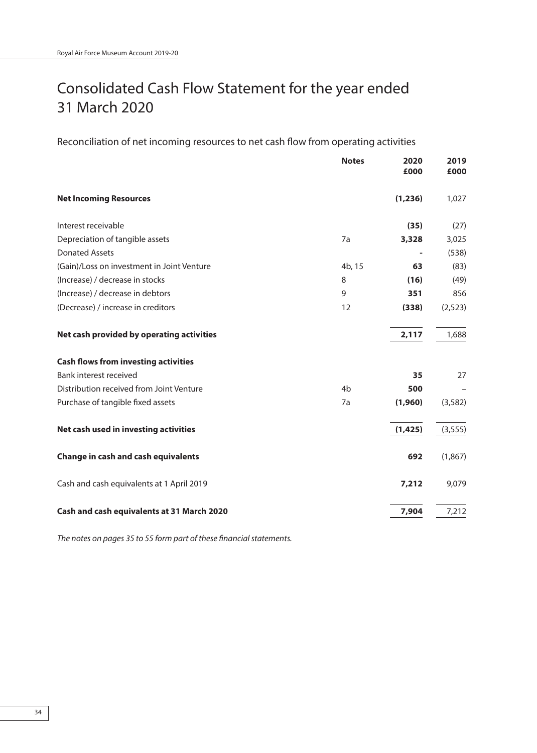## Consolidated Cash Flow Statement for the year ended 31 March 2020

Reconciliation of net incoming resources to net cash flow from operating activities

|                                             | <b>Notes</b>   | 2020<br>£000   | 2019<br>£000 |
|---------------------------------------------|----------------|----------------|--------------|
| <b>Net Incoming Resources</b>               |                | (1, 236)       | 1,027        |
| Interest receivable                         |                | (35)           | (27)         |
| Depreciation of tangible assets             | 7a             | 3,328          | 3,025        |
| <b>Donated Assets</b>                       |                | $\overline{a}$ | (538)        |
| (Gain)/Loss on investment in Joint Venture  | 4b, 15         | 63             | (83)         |
| (Increase) / decrease in stocks             | 8              | (16)           | (49)         |
| (Increase) / decrease in debtors            | 9              | 351            | 856          |
| (Decrease) / increase in creditors          | 12             | (338)          | (2, 523)     |
| Net cash provided by operating activities   |                | 2,117          | 1,688        |
| <b>Cash flows from investing activities</b> |                |                |              |
| Bank interest received                      |                | 35             | 27           |
| Distribution received from Joint Venture    | 4 <sub>b</sub> | 500            |              |
| Purchase of tangible fixed assets           | 7a             | (1,960)        | (3,582)      |
| Net cash used in investing activities       |                | (1, 425)       | (3, 555)     |
| <b>Change in cash and cash equivalents</b>  |                | 692            | (1,867)      |
| Cash and cash equivalents at 1 April 2019   |                | 7,212          | 9,079        |
| Cash and cash equivalents at 31 March 2020  |                | 7,904          | 7,212        |

*The notes on pages 35 to 55 form part of these financial statements.*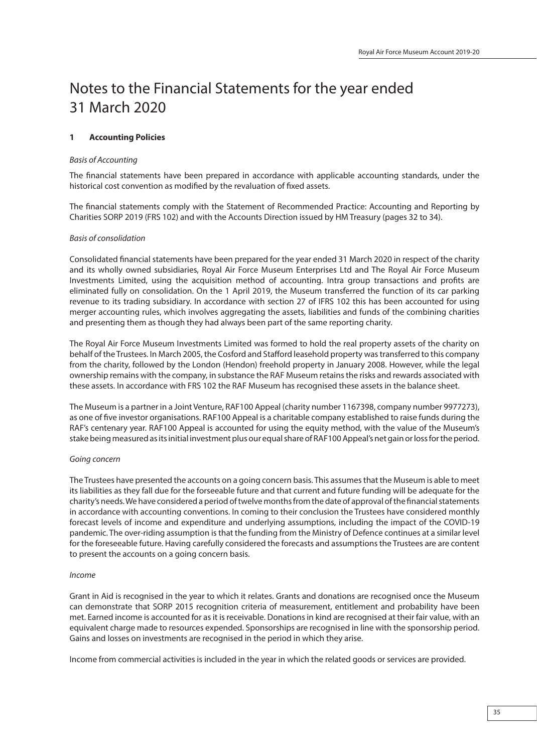## Notes to the Financial Statements for the year ended 31 March 2020

## **1 Accounting Policies**

#### *Basis of Accounting*

The financial statements have been prepared in accordance with applicable accounting standards, under the historical cost convention as modified by the revaluation of fixed assets.

The financial statements comply with the Statement of Recommended Practice: Accounting and Reporting by Charities SORP 2019 (FRS 102) and with the Accounts Direction issued by HM Treasury (pages 32 to 34).

#### *Basis of consolidation*

Consolidated financial statements have been prepared for the year ended 31 March 2020 in respect of the charity and its wholly owned subsidiaries, Royal Air Force Museum Enterprises Ltd and The Royal Air Force Museum Investments Limited, using the acquisition method of accounting. Intra group transactions and profits are eliminated fully on consolidation. On the 1 April 2019, the Museum transferred the function of its car parking revenue to its trading subsidiary. In accordance with section 27 of IFRS 102 this has been accounted for using merger accounting rules, which involves aggregating the assets, liabilities and funds of the combining charities and presenting them as though they had always been part of the same reporting charity.

The Royal Air Force Museum Investments Limited was formed to hold the real property assets of the charity on behalf of the Trustees. In March 2005, the Cosford and Stafford leasehold property was transferred to this company from the charity, followed by the London (Hendon) freehold property in January 2008. However, while the legal ownership remains with the company, in substance the RAF Museum retains the risks and rewards associated with these assets. In accordance with FRS 102 the RAF Museum has recognised these assets in the balance sheet.

The Museum is a partner in a Joint Venture, RAF100 Appeal (charity number 1167398, company number 9977273), as one of five investor organisations. RAF100 Appeal is a charitable company established to raise funds during the RAF's centenary year. RAF100 Appeal is accounted for using the equity method, with the value of the Museum's stake being measured as its initial investment plus our equal share of RAF100 Appeal's net gain or loss for the period.

#### *Going concern*

The Trustees have presented the accounts on a going concern basis. This assumes that the Museum is able to meet its liabilities as they fall due for the forseeable future and that current and future funding will be adequate for the charity's needs. We have considered a period of twelve months from the date of approval of the financial statements in accordance with accounting conventions. In coming to their conclusion the Trustees have considered monthly forecast levels of income and expenditure and underlying assumptions, including the impact of the COVID-19 pandemic. The over-riding assumption is that the funding from the Ministry of Defence continues at a similar level for the foreseeable future. Having carefully considered the forecasts and assumptions the Trustees are are content to present the accounts on a going concern basis.

#### *Income*

Grant in Aid is recognised in the year to which it relates. Grants and donations are recognised once the Museum can demonstrate that SORP 2015 recognition criteria of measurement, entitlement and probability have been met. Earned income is accounted for as it is receivable. Donations in kind are recognised at their fair value, with an equivalent charge made to resources expended. Sponsorships are recognised in line with the sponsorship period. Gains and losses on investments are recognised in the period in which they arise.

Income from commercial activities is included in the year in which the related goods or services are provided.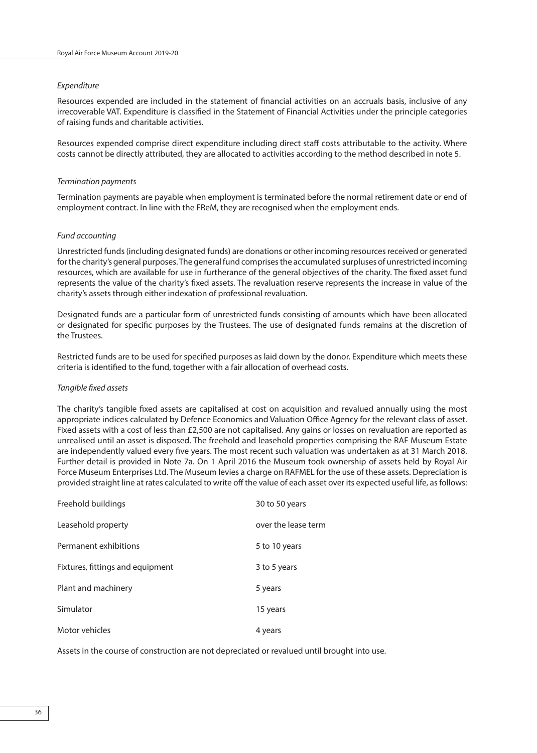#### *Expenditure*

Resources expended are included in the statement of financial activities on an accruals basis, inclusive of any irrecoverable VAT. Expenditure is classified in the Statement of Financial Activities under the principle categories of raising funds and charitable activities.

Resources expended comprise direct expenditure including direct staff costs attributable to the activity. Where costs cannot be directly attributed, they are allocated to activities according to the method described in note 5.

#### *Termination payments*

Termination payments are payable when employment is terminated before the normal retirement date or end of employment contract. In line with the FReM, they are recognised when the employment ends.

#### *Fund accounting*

Unrestricted funds (including designated funds) are donations or other incoming resources received or generated for the charity's general purposes. The general fund comprises the accumulated surpluses of unrestricted incoming resources, which are available for use in furtherance of the general objectives of the charity. The fixed asset fund represents the value of the charity's fixed assets. The revaluation reserve represents the increase in value of the charity's assets through either indexation of professional revaluation.

Designated funds are a particular form of unrestricted funds consisting of amounts which have been allocated or designated for specific purposes by the Trustees. The use of designated funds remains at the discretion of the Trustees.

Restricted funds are to be used for specified purposes as laid down by the donor. Expenditure which meets these criteria is identified to the fund, together with a fair allocation of overhead costs.

#### *Tangible fixed assets*

The charity's tangible fixed assets are capitalised at cost on acquisition and revalued annually using the most appropriate indices calculated by Defence Economics and Valuation Office Agency for the relevant class of asset. Fixed assets with a cost of less than £2,500 are not capitalised. Any gains or losses on revaluation are reported as unrealised until an asset is disposed. The freehold and leasehold properties comprising the RAF Museum Estate are independently valued every five years. The most recent such valuation was undertaken as at 31 March 2018. Further detail is provided in Note 7a. On 1 April 2016 the Museum took ownership of assets held by Royal Air Force Museum Enterprises Ltd. The Museum levies a charge on RAFMEL for the use of these assets. Depreciation is provided straight line at rates calculated to write off the value of each asset over its expected useful life, as follows:

| Freehold buildings               | 30 to 50 years      |
|----------------------------------|---------------------|
| Leasehold property               | over the lease term |
| Permanent exhibitions            | 5 to 10 years       |
| Fixtures, fittings and equipment | 3 to 5 years        |
| Plant and machinery              | 5 years             |
| Simulator                        | 15 years            |
| Motor vehicles                   | 4 years             |

Assets in the course of construction are not depreciated or revalued until brought into use.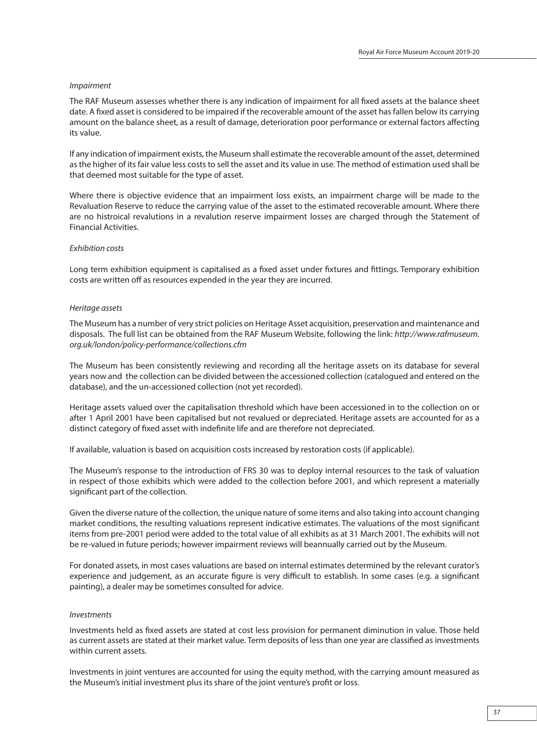#### *Impairment*

The RAF Museum assesses whether there is any indication of impairment for all fixed assets at the balance sheet date. A fixed asset is considered to be impaired if the recoverable amount of the asset has fallen below its carrying amount on the balance sheet, as a result of damage, deterioration poor performance or external factors affecting its value.

If any indication of impairment exists, the Museum shall estimate the recoverable amount of the asset, determined as the higher of its fair value less costs to sell the asset and its value in use. The method of estimation used shall be that deemed most suitable for the type of asset.

Where there is objective evidence that an impairment loss exists, an impairment charge will be made to the Revaluation Reserve to reduce the carrying value of the asset to the estimated recoverable amount. Where there are no histroical revalutions in a revalution reserve impairment losses are charged through the Statement of Financial Activities.

#### *Exhibition costs*

Long term exhibition equipment is capitalised as a fixed asset under fixtures and fittings. Temporary exhibition costs are written off as resources expended in the year they are incurred.

#### *Heritage assets*

The Museum has a number of very strict policies on Heritage Asset acquisition, preservation and maintenance and disposals. The full list can be obtained from the RAF Museum Website, following the link: *http://www.rafmuseum. org.uk/london/policy-performance/collections.cfm*

The Museum has been consistently reviewing and recording all the heritage assets on its database for several years now and the collection can be divided between the accessioned collection (catalogued and entered on the database), and the un-accessioned collection (not yet recorded).

Heritage assets valued over the capitalisation threshold which have been accessioned in to the collection on or after 1 April 2001 have been capitalised but not revalued or depreciated. Heritage assets are accounted for as a distinct category of fixed asset with indefinite life and are therefore not depreciated.

If available, valuation is based on acquisition costs increased by restoration costs (if applicable).

The Museum's response to the introduction of FRS 30 was to deploy internal resources to the task of valuation in respect of those exhibits which were added to the collection before 2001, and which represent a materially significant part of the collection.

Given the diverse nature of the collection, the unique nature of some items and also taking into account changing market conditions, the resulting valuations represent indicative estimates. The valuations of the most significant items from pre-2001 period were added to the total value of all exhibits as at 31 March 2001. The exhibits will not be re-valued in future periods; however impairment reviews will beannually carried out by the Museum.

For donated assets, in most cases valuations are based on internal estimates determined by the relevant curator's experience and judgement, as an accurate figure is very difficult to establish. In some cases (e.g. a significant painting), a dealer may be sometimes consulted for advice.

#### *Investments*

Investments held as fixed assets are stated at cost less provision for permanent diminution in value. Those held as current assets are stated at their market value. Term deposits of less than one year are classified as investments within current assets.

Investments in joint ventures are accounted for using the equity method, with the carrying amount measured as the Museum's initial investment plus its share of the joint venture's profit or loss.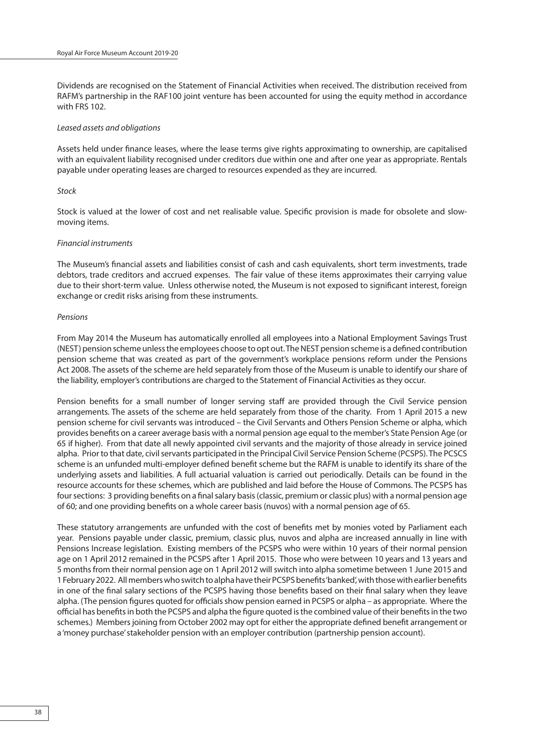Dividends are recognised on the Statement of Financial Activities when received. The distribution received from RAFM's partnership in the RAF100 joint venture has been accounted for using the equity method in accordance with FRS 102.

#### *Leased assets and obligations*

Assets held under finance leases, where the lease terms give rights approximating to ownership, are capitalised with an equivalent liability recognised under creditors due within one and after one year as appropriate. Rentals payable under operating leases are charged to resources expended as they are incurred.

#### *Stock*

Stock is valued at the lower of cost and net realisable value. Specific provision is made for obsolete and slowmoving items.

#### *Financial instruments*

The Museum's financial assets and liabilities consist of cash and cash equivalents, short term investments, trade debtors, trade creditors and accrued expenses. The fair value of these items approximates their carrying value due to their short-term value. Unless otherwise noted, the Museum is not exposed to significant interest, foreign exchange or credit risks arising from these instruments.

#### *Pensions*

From May 2014 the Museum has automatically enrolled all employees into a National Employment Savings Trust (NEST) pension scheme unless the employees choose to opt out. The NEST pension scheme is a defined contribution pension scheme that was created as part of the government's workplace pensions reform under the Pensions Act 2008. The assets of the scheme are held separately from those of the Museum is unable to identify our share of the liability, employer's contributions are charged to the Statement of Financial Activities as they occur.

Pension benefits for a small number of longer serving staff are provided through the Civil Service pension arrangements. The assets of the scheme are held separately from those of the charity. From 1 April 2015 a new pension scheme for civil servants was introduced – the Civil Servants and Others Pension Scheme or alpha, which provides benefits on a career average basis with a normal pension age equal to the member's State Pension Age (or 65 if higher). From that date all newly appointed civil servants and the majority of those already in service joined alpha. Prior to that date, civil servants participated in the Principal Civil Service Pension Scheme (PCSPS). The PCSCS scheme is an unfunded multi-employer defined benefit scheme but the RAFM is unable to identify its share of the underlying assets and liabilities. A full actuarial valuation is carried out periodically. Details can be found in the resource accounts for these schemes, which are published and laid before the House of Commons. The PCSPS has four sections: 3 providing benefits on a final salary basis (classic, premium or classic plus) with a normal pension age of 60; and one providing benefits on a whole career basis (nuvos) with a normal pension age of 65.

These statutory arrangements are unfunded with the cost of benefits met by monies voted by Parliament each year. Pensions payable under classic, premium, classic plus, nuvos and alpha are increased annually in line with Pensions Increase legislation. Existing members of the PCSPS who were within 10 years of their normal pension age on 1 April 2012 remained in the PCSPS after 1 April 2015. Those who were between 10 years and 13 years and 5 months from their normal pension age on 1 April 2012 will switch into alpha sometime between 1 June 2015 and 1 February 2022. All members who switch to alpha have their PCSPS benefits 'banked', with those with earlier benefits in one of the final salary sections of the PCSPS having those benefits based on their final salary when they leave alpha. (The pension figures quoted for officials show pension earned in PCSPS or alpha – as appropriate. Where the official has benefits in both the PCSPS and alpha the figure quoted is the combined value of their benefits in the two schemes.) Members joining from October 2002 may opt for either the appropriate defined benefit arrangement or a 'money purchase' stakeholder pension with an employer contribution (partnership pension account).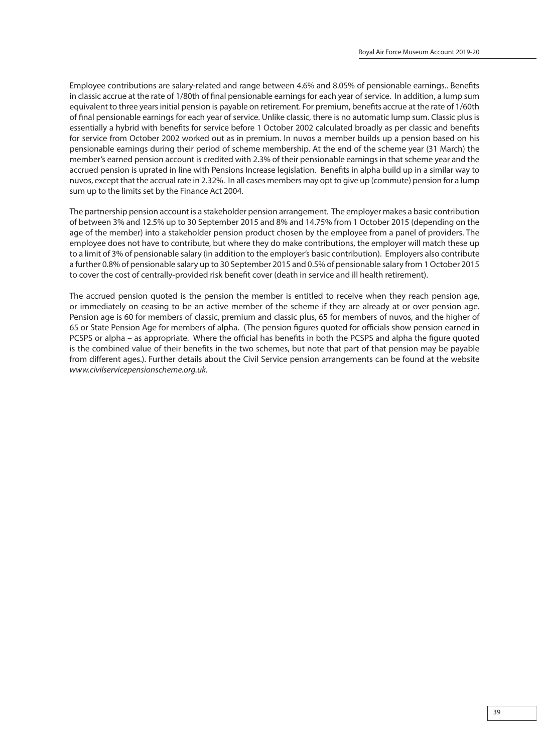Employee contributions are salary-related and range between 4.6% and 8.05% of pensionable earnings.. Benefits in classic accrue at the rate of 1/80th of final pensionable earnings for each year of service. In addition, a lump sum equivalent to three years initial pension is payable on retirement. For premium, benefits accrue at the rate of 1/60th of final pensionable earnings for each year of service. Unlike classic, there is no automatic lump sum. Classic plus is essentially a hybrid with benefits for service before 1 October 2002 calculated broadly as per classic and benefits for service from October 2002 worked out as in premium. In nuvos a member builds up a pension based on his pensionable earnings during their period of scheme membership. At the end of the scheme year (31 March) the member's earned pension account is credited with 2.3% of their pensionable earnings in that scheme year and the accrued pension is uprated in line with Pensions Increase legislation. Benefits in alpha build up in a similar way to nuvos, except that the accrual rate in 2.32%. In all cases members may opt to give up (commute) pension for a lump sum up to the limits set by the Finance Act 2004.

The partnership pension account is a stakeholder pension arrangement. The employer makes a basic contribution of between 3% and 12.5% up to 30 September 2015 and 8% and 14.75% from 1 October 2015 (depending on the age of the member) into a stakeholder pension product chosen by the employee from a panel of providers. The employee does not have to contribute, but where they do make contributions, the employer will match these up to a limit of 3% of pensionable salary (in addition to the employer's basic contribution). Employers also contribute a further 0.8% of pensionable salary up to 30 September 2015 and 0.5% of pensionable salary from 1 October 2015 to cover the cost of centrally-provided risk benefit cover (death in service and ill health retirement).

The accrued pension quoted is the pension the member is entitled to receive when they reach pension age, or immediately on ceasing to be an active member of the scheme if they are already at or over pension age. Pension age is 60 for members of classic, premium and classic plus, 65 for members of nuvos, and the higher of 65 or State Pension Age for members of alpha. (The pension figures quoted for officials show pension earned in PCSPS or alpha – as appropriate. Where the official has benefits in both the PCSPS and alpha the figure quoted is the combined value of their benefits in the two schemes, but note that part of that pension may be payable from different ages.). Further details about the Civil Service pension arrangements can be found at the website *www.civilservicepensionscheme.org.uk.*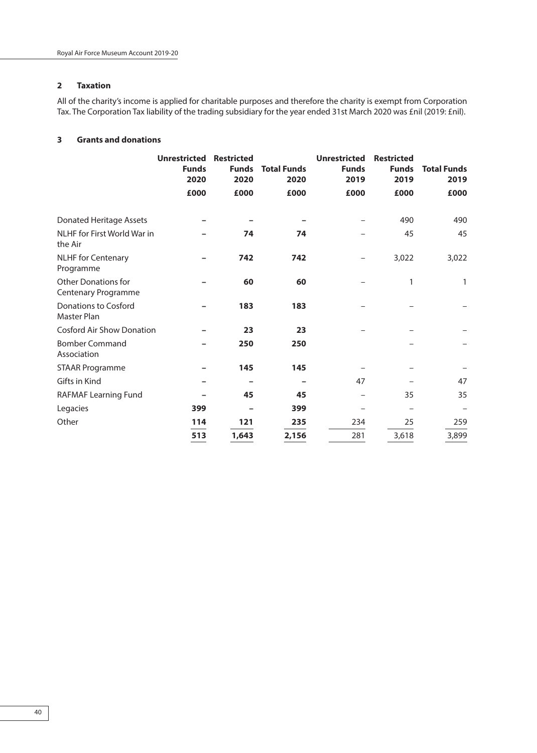#### **2 Taxation**

All of the charity's income is applied for charitable purposes and therefore the charity is exempt from Corporation Tax. The Corporation Tax liability of the trading subsidiary for the year ended 31st March 2020 was £nil (2019: £nil).

## **3 Grants and donations**

|                                                   | <b>Unrestricted</b><br><b>Funds</b><br>2020 | <b>Restricted</b><br><b>Funds</b><br>2020 | <b>Total Funds</b><br>2020 | <b>Unrestricted</b><br><b>Funds</b><br>2019 | <b>Restricted</b><br><b>Funds</b><br>2019 | <b>Total Funds</b><br>2019 |
|---------------------------------------------------|---------------------------------------------|-------------------------------------------|----------------------------|---------------------------------------------|-------------------------------------------|----------------------------|
|                                                   | £000                                        | £000                                      | £000                       | £000                                        | £000                                      | £000                       |
| Donated Heritage Assets                           |                                             |                                           |                            |                                             | 490                                       | 490                        |
| NLHF for First World War in<br>the Air            |                                             | 74                                        | 74                         |                                             | 45                                        | 45                         |
| <b>NLHF</b> for Centenary<br>Programme            |                                             | 742                                       | 742                        |                                             | 3,022                                     | 3,022                      |
| <b>Other Donations for</b><br>Centenary Programme |                                             | 60                                        | 60                         |                                             | 1                                         | 1                          |
| <b>Donations to Cosford</b><br>Master Plan        |                                             | 183                                       | 183                        |                                             |                                           |                            |
| <b>Cosford Air Show Donation</b>                  |                                             | 23                                        | 23                         |                                             |                                           |                            |
| <b>Bomber Command</b><br>Association              |                                             | 250                                       | 250                        |                                             |                                           |                            |
| <b>STAAR Programme</b>                            |                                             | 145                                       | 145                        |                                             |                                           |                            |
| Gifts in Kind                                     |                                             |                                           |                            | 47                                          |                                           | 47                         |
| RAFMAF Learning Fund                              |                                             | 45                                        | 45                         |                                             | 35                                        | 35                         |
| Legacies                                          | 399                                         |                                           | 399                        |                                             |                                           |                            |
| Other                                             | 114                                         | 121                                       | 235                        | 234                                         | 25                                        | 259                        |
|                                                   | 513                                         | 1,643                                     | 2,156                      | 281                                         | 3,618                                     | 3,899                      |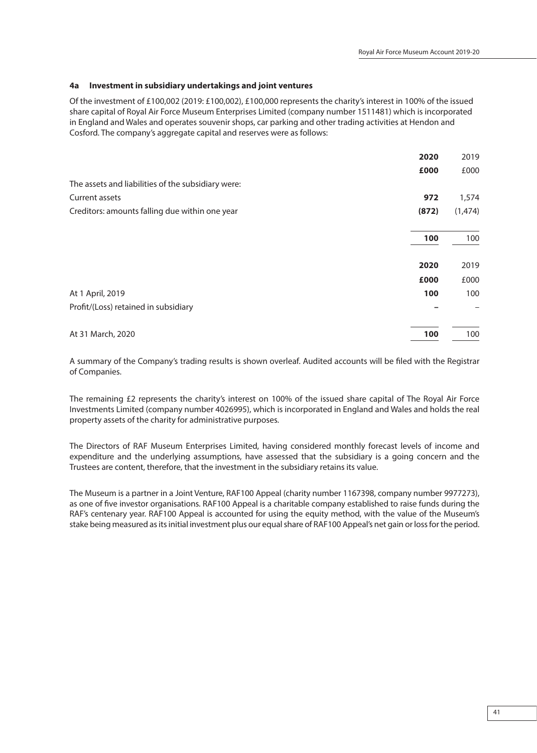### **4a Investment in subsidiary undertakings and joint ventures**

Of the investment of £100,002 (2019: £100,002), £100,000 represents the charity's interest in 100% of the issued share capital of Royal Air Force Museum Enterprises Limited (company number 1511481) which is incorporated in England and Wales and operates souvenir shops, car parking and other trading activities at Hendon and Cosford. The company's aggregate capital and reserves were as follows:

|                                                    | 2020  | 2019     |
|----------------------------------------------------|-------|----------|
|                                                    | £000  | £000     |
| The assets and liabilities of the subsidiary were: |       |          |
| Current assets                                     | 972   | 1,574    |
| Creditors: amounts falling due within one year     | (872) | (1, 474) |
|                                                    | 100   | 100      |
|                                                    | 2020  | 2019     |
|                                                    | £000  | £000     |
| At 1 April, 2019                                   | 100   | 100      |
| Profit/(Loss) retained in subsidiary               |       |          |
| At 31 March, 2020                                  | 100   | 100      |

A summary of the Company's trading results is shown overleaf. Audited accounts will be filed with the Registrar of Companies.

The remaining £2 represents the charity's interest on 100% of the issued share capital of The Royal Air Force Investments Limited (company number 4026995), which is incorporated in England and Wales and holds the real property assets of the charity for administrative purposes.

The Directors of RAF Museum Enterprises Limited, having considered monthly forecast levels of income and expenditure and the underlying assumptions, have assessed that the subsidiary is a going concern and the Trustees are content, therefore, that the investment in the subsidiary retains its value.

The Museum is a partner in a Joint Venture, RAF100 Appeal (charity number 1167398, company number 9977273), as one of five investor organisations. RAF100 Appeal is a charitable company established to raise funds during the RAF's centenary year. RAF100 Appeal is accounted for using the equity method, with the value of the Museum's stake being measured as its initial investment plus our equal share of RAF100 Appeal's net gain or loss for the period.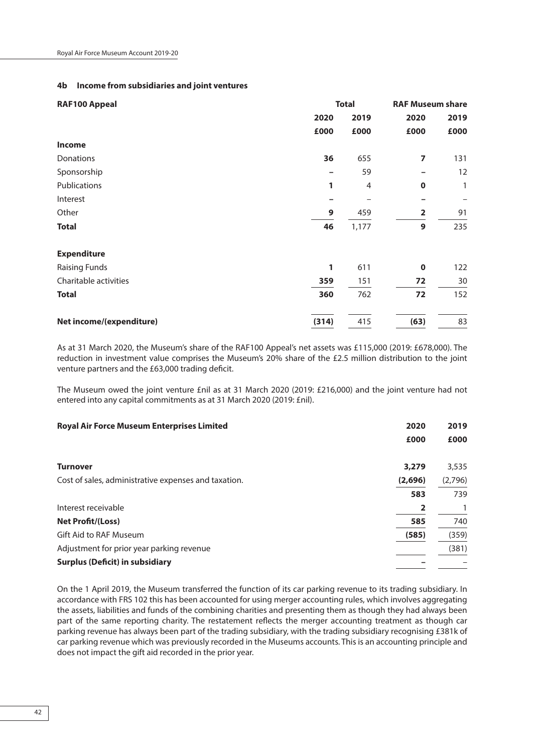#### **4b Income from subsidiaries and joint ventures**

| <b>RAF100 Appeal</b>     | <b>Total</b> |                |                         | <b>RAF Museum share</b> |  |  |
|--------------------------|--------------|----------------|-------------------------|-------------------------|--|--|
|                          | 2020         |                | 2020                    | 2019                    |  |  |
|                          | £000         | £000           | £000                    | £000                    |  |  |
| <b>Income</b>            |              |                |                         |                         |  |  |
| Donations                | 36           | 655            | $\overline{7}$          | 131                     |  |  |
| Sponsorship              |              | 59             |                         | 12                      |  |  |
| Publications             | 1            | $\overline{4}$ | $\bf{0}$                | 1                       |  |  |
| Interest                 |              |                |                         |                         |  |  |
| Other                    | 9            | 459            | $\overline{\mathbf{2}}$ | 91                      |  |  |
| <b>Total</b>             | 46           | 1,177          | 9                       | 235                     |  |  |
| <b>Expenditure</b>       |              |                |                         |                         |  |  |
| <b>Raising Funds</b>     | 1            | 611            | $\mathbf 0$             | 122                     |  |  |
| Charitable activities    | 359          | 151            | 72                      | 30                      |  |  |
| <b>Total</b>             | 360          | 762            | 72                      | 152                     |  |  |
| Net income/(expenditure) | (314)        | 415            | (63)                    | 83                      |  |  |

As at 31 March 2020, the Museum's share of the RAF100 Appeal's net assets was £115,000 (2019: £678,000). The reduction in investment value comprises the Museum's 20% share of the £2.5 million distribution to the joint venture partners and the £63,000 trading deficit.

The Museum owed the joint venture £nil as at 31 March 2020 (2019: £216,000) and the joint venture had not entered into any capital commitments as at 31 March 2020 (2019: £nil).

| <b>Royal Air Force Museum Enterprises Limited</b><br>2020       | 2019              |
|-----------------------------------------------------------------|-------------------|
| £000                                                            | £000              |
| 3,279<br><b>Turnover</b>                                        | 3,535             |
| (2,696)<br>Cost of sales, administrative expenses and taxation. | (2,796)           |
| 583                                                             | 739               |
| Interest receivable                                             | 2<br>$\mathbf{1}$ |
| 585<br><b>Net Profit/(Loss)</b>                                 | 740               |
| Gift Aid to RAF Museum<br>(585)                                 | (359)             |
| Adjustment for prior year parking revenue                       | (381)             |
| <b>Surplus (Deficit) in subsidiary</b>                          |                   |

On the 1 April 2019, the Museum transferred the function of its car parking revenue to its trading subsidiary. In accordance with FRS 102 this has been accounted for using merger accounting rules, which involves aggregating the assets, liabilities and funds of the combining charities and presenting them as though they had always been part of the same reporting charity. The restatement reflects the merger accounting treatment as though car parking revenue has always been part of the trading subsidiary, with the trading subsidiary recognising £381k of car parking revenue which was previously recorded in the Museums accounts. This is an accounting principle and does not impact the gift aid recorded in the prior year.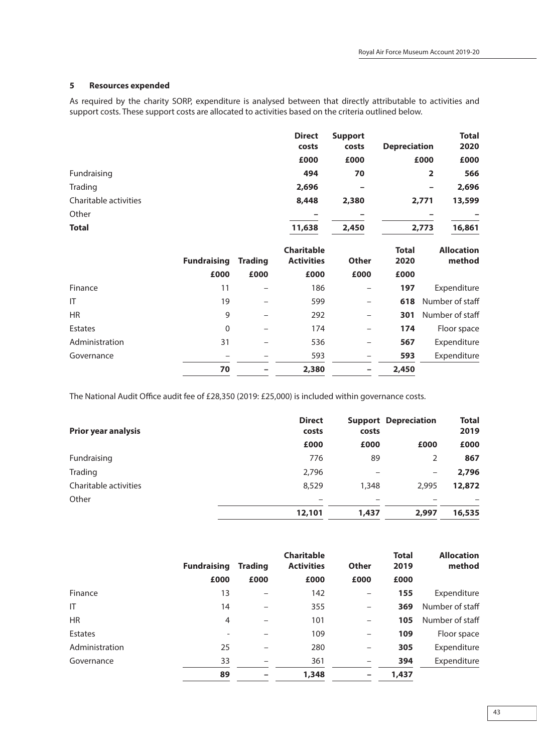### **5 Resources expended**

As required by the charity SORP, expenditure is analysed between that directly attributable to activities and support costs. These support costs are allocated to activities based on the criteria outlined below.

|                       |                    |                | <b>Direct</b><br>costs                 | <b>Support</b><br>costs | <b>Depreciation</b>  | <b>Total</b><br>2020        |
|-----------------------|--------------------|----------------|----------------------------------------|-------------------------|----------------------|-----------------------------|
|                       |                    |                | £000                                   | £000                    |                      | £000<br>£000                |
| Fundraising           |                    |                | 494                                    | 70                      |                      | $\overline{2}$<br>566       |
| Trading               |                    |                | 2,696                                  |                         |                      | 2,696                       |
| Charitable activities |                    |                | 8,448                                  | 2,380                   |                      | 2,771<br>13,599             |
| Other                 |                    |                |                                        |                         |                      |                             |
| <b>Total</b>          |                    |                | 11,638                                 | 2,450                   |                      | 16,861<br>2,773             |
|                       | <b>Fundraising</b> | <b>Trading</b> | <b>Charitable</b><br><b>Activities</b> | <b>Other</b>            | <b>Total</b><br>2020 | <b>Allocation</b><br>method |
|                       | £000               | £000           | £000                                   | £000                    | £000                 |                             |
| Finance               | 11                 |                | 186                                    | -                       | 197                  | Expenditure                 |
| IT                    | 19                 |                | 599                                    | -                       | 618                  | Number of staff             |
| <b>HR</b>             | 9                  |                | 292                                    | -                       | 301                  | Number of staff             |
| <b>Estates</b>        | $\Omega$           |                | 174                                    | -                       | 174                  | Floor space                 |
| Administration        | 31                 |                | 536                                    | -                       | 567                  | Expenditure                 |
| Governance            |                    |                | 593                                    |                         | 593                  | Expenditure                 |
|                       | 70                 |                | 2,380                                  |                         | 2,450                |                             |

The National Audit Office audit fee of £28,350 (2019: £25,000) is included within governance costs.

| <b>Prior year analysis</b> | <b>Direct</b><br>costs | costs | <b>Support Depreciation</b> | <b>Total</b><br>2019 |  |
|----------------------------|------------------------|-------|-----------------------------|----------------------|--|
|                            | £000                   | £000  | £000                        | £000                 |  |
| Fundraising                | 776                    | 89    | 2                           | 867                  |  |
| Trading                    | 2,796                  |       | $\overline{\phantom{m}}$    | 2,796                |  |
| Charitable activities      | 8,529                  | 1,348 | 2,995                       | 12,872               |  |
| Other                      |                        |       |                             |                      |  |
|                            | 12,101                 | 1,437 | 2,997                       | 16,535               |  |

|                | <b>Fundraising</b> | <b>Trading</b> | <b>Charitable</b><br><b>Activities</b> | <b>Other</b>             | <b>Total</b><br>2019 | <b>Allocation</b><br>method |
|----------------|--------------------|----------------|----------------------------------------|--------------------------|----------------------|-----------------------------|
|                | £000               | £000           | £000                                   | £000                     | £000                 |                             |
| Finance        | 13                 |                | 142                                    | $\qquad \qquad -$        | 155                  | Expenditure                 |
| IT             | 14                 |                | 355                                    | $\overline{\phantom{0}}$ | 369                  | Number of staff             |
| <b>HR</b>      | $\overline{4}$     |                | 101                                    | $\overline{\phantom{0}}$ | 105                  | Number of staff             |
| <b>Estates</b> |                    |                | 109                                    | $\overline{\phantom{0}}$ | 109                  | Floor space                 |
| Administration | 25                 |                | 280                                    | $\overline{\phantom{0}}$ | 305                  | Expenditure                 |
| Governance     | 33                 |                | 361                                    | $\overline{\phantom{0}}$ | 394                  | Expenditure                 |
|                | 89                 |                | 1,348                                  | $\qquad \qquad$          | 1,437                |                             |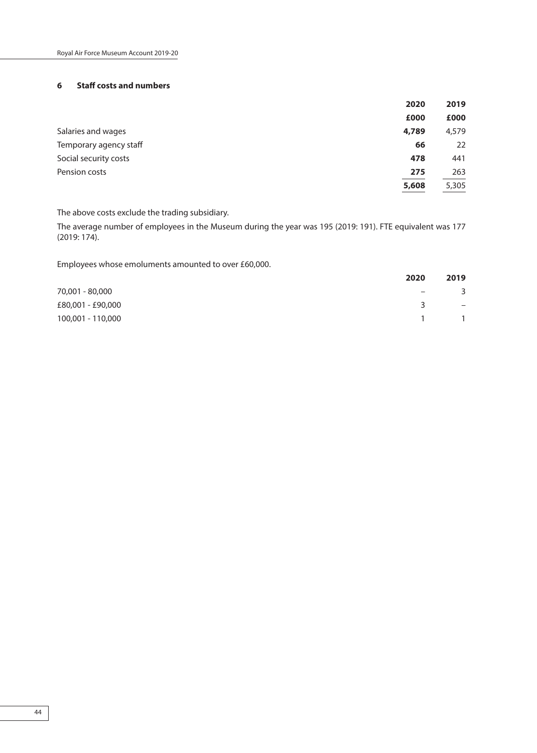#### **6 Staff costs and numbers**

| 2020                         | 2019  |
|------------------------------|-------|
| £000                         | £000  |
| 4,789<br>Salaries and wages  | 4,579 |
| Temporary agency staff<br>66 | 22    |
| Social security costs<br>478 | 441   |
| Pension costs<br>275         | 263   |
| 5,608                        | 5,305 |

The above costs exclude the trading subsidiary.

The average number of employees in the Museum during the year was 195 (2019: 191). FTE equivalent was 177 (2019: 174).

Employees whose emoluments amounted to over £60,000.

|                   | 2020                     | 2019 |
|-------------------|--------------------------|------|
| 70,001 - 80,000   | $\overline{\phantom{m}}$ | 3    |
| £80,001 - £90,000 |                          | $-$  |
| 100,001 - 110,000 |                          |      |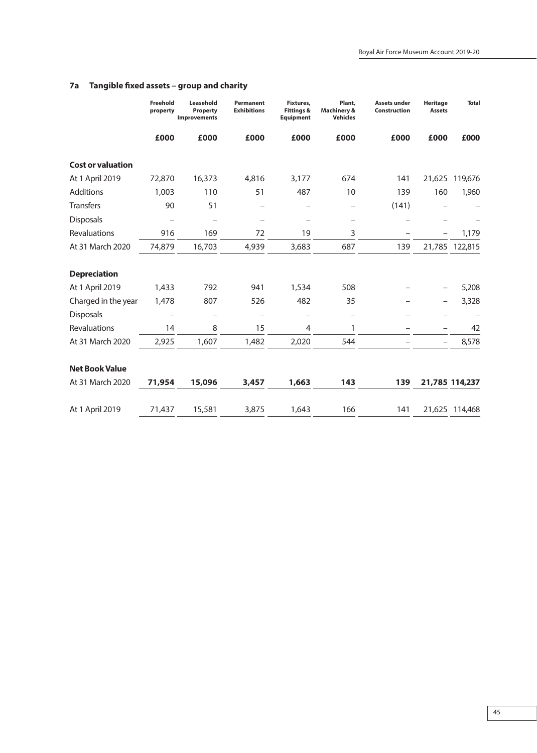## **7a Tangible fixed assets – group and charity**

|                          | <b>Freehold</b><br>property | Leasehold<br>Property<br><b>Improvements</b> | Permanent<br><b>Exhibitions</b> | Fixtures,<br><b>Fittings &amp;</b><br><b>Equipment</b> | Plant,<br><b>Machinery &amp;</b><br><b>Vehicles</b> | Assets under<br>Construction | <b>Heritage</b><br><b>Assets</b> | <b>Total</b>   |
|--------------------------|-----------------------------|----------------------------------------------|---------------------------------|--------------------------------------------------------|-----------------------------------------------------|------------------------------|----------------------------------|----------------|
|                          | £000                        | £000                                         | £000                            | £000                                                   | £000                                                | £000                         | £000                             | £000           |
| <b>Cost or valuation</b> |                             |                                              |                                 |                                                        |                                                     |                              |                                  |                |
| At 1 April 2019          | 72,870                      | 16,373                                       | 4,816                           | 3,177                                                  | 674                                                 | 141                          | 21,625                           | 119,676        |
| Additions                | 1,003                       | 110                                          | 51                              | 487                                                    | 10                                                  | 139                          | 160                              | 1,960          |
| <b>Transfers</b>         | 90                          | 51                                           |                                 |                                                        |                                                     | (141)                        |                                  |                |
| <b>Disposals</b>         |                             |                                              |                                 |                                                        | -                                                   |                              |                                  |                |
| Revaluations             | 916                         | 169                                          | 72                              | 19                                                     | 3                                                   |                              |                                  | 1,179          |
| At 31 March 2020         | 74,879                      | 16,703                                       | 4,939                           | 3,683                                                  | 687                                                 | 139                          |                                  | 21,785 122,815 |
| <b>Depreciation</b>      |                             |                                              |                                 |                                                        |                                                     |                              |                                  |                |
| At 1 April 2019          | 1,433                       | 792                                          | 941                             | 1,534                                                  | 508                                                 |                              |                                  | 5,208          |
| Charged in the year      | 1,478                       | 807                                          | 526                             | 482                                                    | 35                                                  |                              | -                                | 3,328          |
| <b>Disposals</b>         |                             |                                              |                                 |                                                        |                                                     |                              |                                  |                |
| <b>Revaluations</b>      | 14                          | 8                                            | 15                              | 4                                                      | 1                                                   | $\overline{\phantom{0}}$     | -                                | 42             |
| At 31 March 2020         | 2,925                       | 1,607                                        | 1,482                           | 2,020                                                  | 544                                                 |                              | -                                | 8,578          |
| <b>Net Book Value</b>    |                             |                                              |                                 |                                                        |                                                     |                              |                                  |                |
| At 31 March 2020         | 71,954                      | 15,096                                       | 3,457                           | 1,663                                                  | 143                                                 | 139                          |                                  | 21,785 114,237 |
| At 1 April 2019          | 71,437                      | 15,581                                       | 3,875                           | 1,643                                                  | 166                                                 | 141                          |                                  | 21,625 114,468 |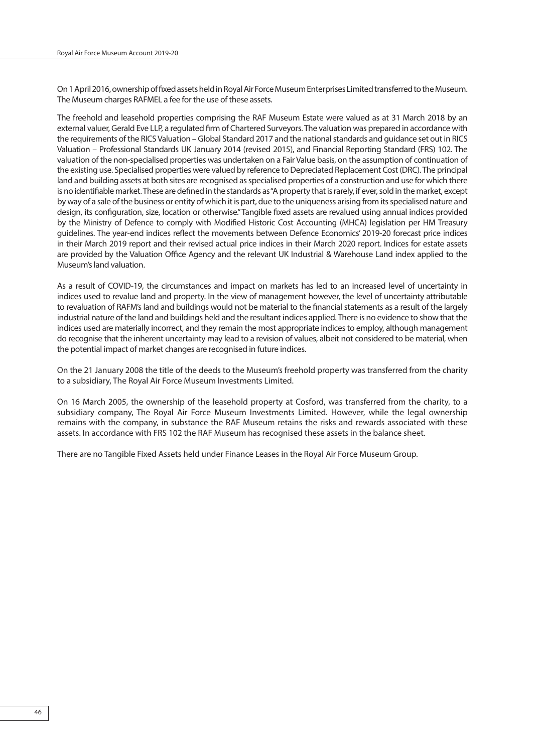On 1 April 2016, ownership of fixed assets held in Royal Air Force Museum Enterprises Limited transferred to the Museum. The Museum charges RAFMEL a fee for the use of these assets.

The freehold and leasehold properties comprising the RAF Museum Estate were valued as at 31 March 2018 by an external valuer, Gerald Eve LLP, a regulated firm of Chartered Surveyors. The valuation was prepared in accordance with the requirements of the RICS Valuation – Global Standard 2017 and the national standards and guidance set out in RICS Valuation – Professional Standards UK January 2014 (revised 2015), and Financial Reporting Standard (FRS) 102. The valuation of the non-specialised properties was undertaken on a Fair Value basis, on the assumption of continuation of the existing use. Specialised properties were valued by reference to Depreciated Replacement Cost (DRC). The principal land and building assets at both sites are recognised as specialised properties of a construction and use for which there is no identifiable market. These are defined in the standards as "A property that is rarely, if ever, sold in the market, except by way of a sale of the business or entity of which it is part, due to the uniqueness arising from its specialised nature and design, its configuration, size, location or otherwise." Tangible fixed assets are revalued using annual indices provided by the Ministry of Defence to comply with Modified Historic Cost Accounting (MHCA) legislation per HM Treasury guidelines. The year-end indices reflect the movements between Defence Economics' 2019-20 forecast price indices in their March 2019 report and their revised actual price indices in their March 2020 report. Indices for estate assets are provided by the Valuation Office Agency and the relevant UK Industrial & Warehouse Land index applied to the Museum's land valuation.

As a result of COVID-19, the circumstances and impact on markets has led to an increased level of uncertainty in indices used to revalue land and property. In the view of management however, the level of uncertainty attributable to revaluation of RAFM's land and buildings would not be material to the financial statements as a result of the largely industrial nature of the land and buildings held and the resultant indices applied. There is no evidence to show that the indices used are materially incorrect, and they remain the most appropriate indices to employ, although management do recognise that the inherent uncertainty may lead to a revision of values, albeit not considered to be material, when the potential impact of market changes are recognised in future indices.

On the 21 January 2008 the title of the deeds to the Museum's freehold property was transferred from the charity to a subsidiary, The Royal Air Force Museum Investments Limited.

On 16 March 2005, the ownership of the leasehold property at Cosford, was transferred from the charity, to a subsidiary company, The Royal Air Force Museum Investments Limited. However, while the legal ownership remains with the company, in substance the RAF Museum retains the risks and rewards associated with these assets. In accordance with FRS 102 the RAF Museum has recognised these assets in the balance sheet.

There are no Tangible Fixed Assets held under Finance Leases in the Royal Air Force Museum Group.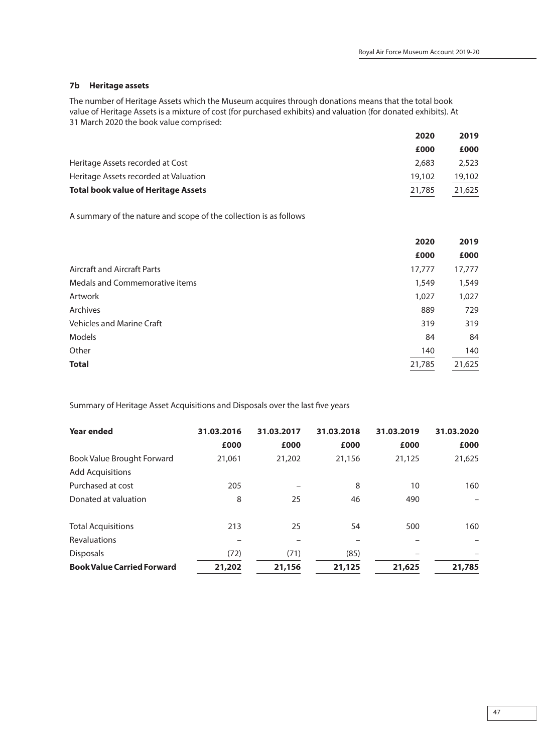#### **7b Heritage assets**

The number of Heritage Assets which the Museum acquires through donations means that the total book value of Heritage Assets is a mixture of cost (for purchased exhibits) and valuation (for donated exhibits). At 31 March 2020 the book value comprised:

|                                            | 2020   | 2019   |
|--------------------------------------------|--------|--------|
|                                            | £000   | £000   |
| Heritage Assets recorded at Cost           | 2,683  | 2,523  |
| Heritage Assets recorded at Valuation      | 19,102 | 19,102 |
| <b>Total book value of Heritage Assets</b> | 21,785 | 21,625 |

A summary of the nature and scope of the collection is as follows

|                                | 2020   | 2019   |
|--------------------------------|--------|--------|
|                                | £000   | £000   |
| Aircraft and Aircraft Parts    | 17,777 | 17,777 |
| Medals and Commemorative items | 1,549  | 1,549  |
| Artwork                        | 1,027  | 1,027  |
| Archives                       | 889    | 729    |
| Vehicles and Marine Craft      | 319    | 319    |
| Models                         | 84     | 84     |
| Other                          | 140    | 140    |
| <b>Total</b>                   | 21,785 | 21,625 |

Summary of Heritage Asset Acquisitions and Disposals over the last five years

| <b>Year ended</b>                 | 31.03.2016 | 31.03.2017 | 31.03.2018 | 31.03.2019 | 31.03.2020 |
|-----------------------------------|------------|------------|------------|------------|------------|
|                                   | £000       | £000       | £000       | £000       | £000       |
| Book Value Brought Forward        | 21,061     | 21,202     | 21,156     | 21,125     | 21,625     |
| <b>Add Acquisitions</b>           |            |            |            |            |            |
| Purchased at cost                 | 205        |            | 8          | 10         | 160        |
| Donated at valuation              | 8          | 25         | 46         | 490        | -          |
| <b>Total Acquisitions</b>         | 213        | 25         | 54         | 500        | 160        |
| Revaluations                      |            |            |            |            |            |
| <b>Disposals</b>                  | (72)       | (71)       | (85)       |            |            |
| <b>Book Value Carried Forward</b> | 21,202     | 21,156     | 21,125     | 21,625     | 21,785     |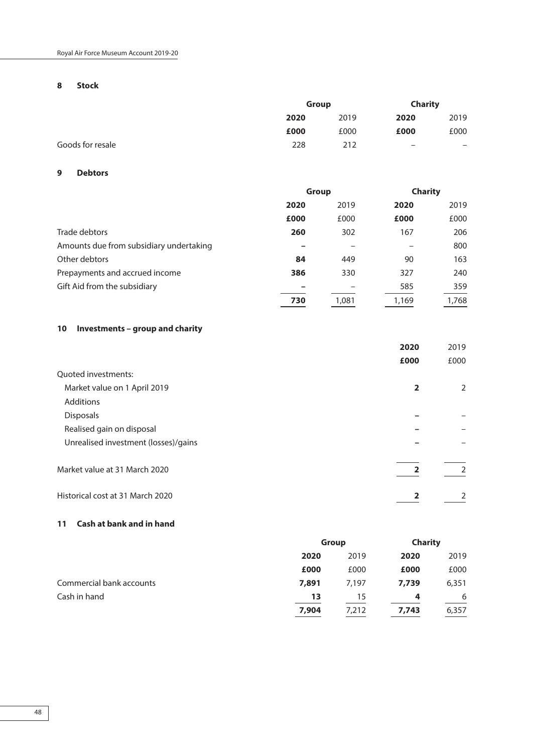#### **8 Stock**

|                  | Group |      |                          | <b>Charity</b>           |  |
|------------------|-------|------|--------------------------|--------------------------|--|
|                  | 2020  | 2019 | 2020                     | 2019                     |  |
|                  | £000  | £000 | £000                     | £000                     |  |
| Goods for resale | 228   | 212  | $\overline{\phantom{m}}$ | $\overline{\phantom{m}}$ |  |

## **9 Debtors**

|                                         | <b>Group</b> |       | <b>Charity</b> |       |
|-----------------------------------------|--------------|-------|----------------|-------|
|                                         | 2020         | 2019  | 2020           | 2019  |
|                                         | £000         | £000  | £000           | £000  |
| Trade debtors                           | 260          | 302   | 167            | 206   |
| Amounts due from subsidiary undertaking |              |       |                | 800   |
| Other debtors                           | 84           | 449   | 90             | 163   |
| Prepayments and accrued income          | 386          | 330   | 327            | 240   |
| Gift Aid from the subsidiary            |              |       | 585            | 359   |
|                                         | 730          | 1,081 | 1,169          | 1,768 |

## **10 Investments – group and charity**

|                                      | 2020                    | 2019          |
|--------------------------------------|-------------------------|---------------|
|                                      | £000                    | £000          |
| Quoted investments:                  |                         |               |
| Market value on 1 April 2019         | $\overline{\mathbf{2}}$ | 2             |
| Additions                            |                         |               |
| <b>Disposals</b>                     |                         |               |
| Realised gain on disposal            |                         |               |
| Unrealised investment (losses)/gains |                         |               |
| Market value at 31 March 2020        | 2                       | $\mathcal{L}$ |
| Historical cost at 31 March 2020     | 2                       | 2             |

## **11 Cash at bank and in hand**

|                          |       | Group |       | <b>Charity</b> |  |
|--------------------------|-------|-------|-------|----------------|--|
|                          | 2020  | 2019  | 2020  | 2019           |  |
|                          | £000  | £000  | £000  | £000           |  |
| Commercial bank accounts | 7,891 | 7.197 | 7,739 | 6,351          |  |
| Cash in hand             | 13    | 15    | 4     | 6              |  |
|                          | 7,904 | 7,212 | 7,743 | 6,357          |  |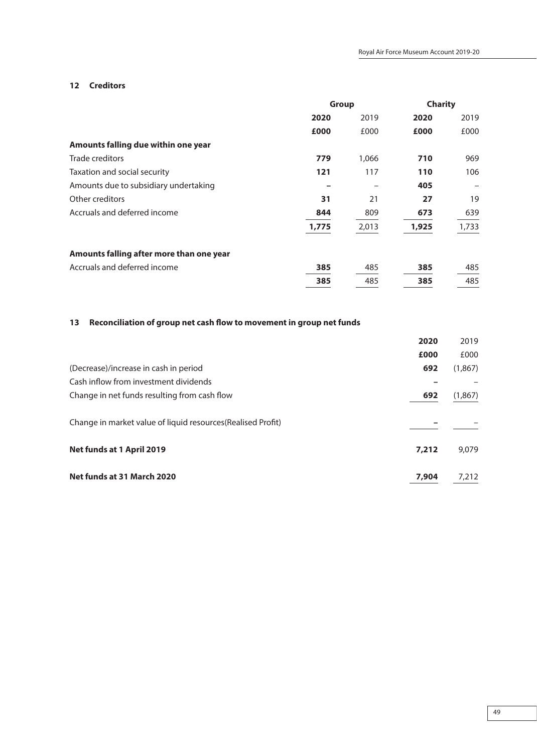#### **12 Creditors**

|                                          | <b>Group</b> |       |       | <b>Charity</b> |  |
|------------------------------------------|--------------|-------|-------|----------------|--|
|                                          | 2020         | 2019  | 2020  | 2019           |  |
|                                          | £000         | £000  | £000  | £000           |  |
| Amounts falling due within one year      |              |       |       |                |  |
| Trade creditors                          | 779          | 1.066 | 710   | 969            |  |
| Taxation and social security             | 121          | 117   | 110   | 106            |  |
| Amounts due to subsidiary undertaking    |              |       | 405   |                |  |
| Other creditors                          | 31           | 21    | 27    | 19             |  |
| Accruals and deferred income             | 844          | 809   | 673   | 639            |  |
|                                          | 1,775        | 2,013 | 1,925 | 1,733          |  |
| Amounts falling after more than one year |              |       |       |                |  |
| Accruals and deferred income             | 385          | 485   | 385   | 485            |  |
|                                          | 385          | 485   | 385   | 485            |  |

## **13 Reconciliation of group net cash flow to movement in group net funds**

|                                                              | 2020  | 2019    |
|--------------------------------------------------------------|-------|---------|
|                                                              | £000  | £000    |
| (Decrease)/increase in cash in period                        | 692   | (1,867) |
| Cash inflow from investment dividends                        |       |         |
| Change in net funds resulting from cash flow                 | 692   | (1,867) |
|                                                              |       |         |
| Change in market value of liquid resources (Realised Profit) |       |         |
|                                                              |       |         |
| Net funds at 1 April 2019                                    | 7,212 | 9,079   |
|                                                              |       |         |
| Net funds at 31 March 2020                                   | 7,904 | 7.212   |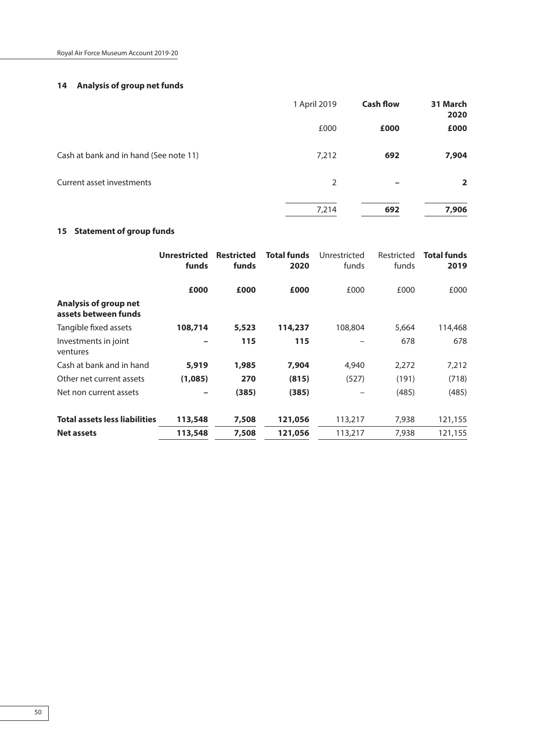## **14 Analysis of group net funds**

|                                        | 1 April 2019   | <b>Cash flow</b> | 31 March<br>2020 |  |
|----------------------------------------|----------------|------------------|------------------|--|
|                                        | £000           | £000             | £000             |  |
| Cash at bank and in hand (See note 11) | 7,212          | 692              | 7,904            |  |
| Current asset investments              | $\overline{2}$ |                  | $\overline{2}$   |  |
|                                        | 7,214          | 692              | 7,906            |  |

## **15 Statement of group funds**

|                                                      | <b>Unrestricted</b><br>funds | <b>Restricted</b><br>funds | <b>Total funds</b><br>2020 | Unrestricted<br>funds | Restricted<br>funds | <b>Total funds</b><br>2019 |
|------------------------------------------------------|------------------------------|----------------------------|----------------------------|-----------------------|---------------------|----------------------------|
|                                                      | £000                         | £000                       | £000                       | £000                  | £000                | £000                       |
| <b>Analysis of group net</b><br>assets between funds |                              |                            |                            |                       |                     |                            |
| Tangible fixed assets                                | 108,714                      | 5,523                      | 114,237                    | 108,804               | 5,664               | 114,468                    |
| Investments in joint<br>ventures                     |                              | 115                        | 115                        |                       | 678                 | 678                        |
| Cash at bank and in hand                             | 5,919                        | 1,985                      | 7,904                      | 4,940                 | 2,272               | 7,212                      |
| Other net current assets                             | (1,085)                      | 270                        | (815)                      | (527)                 | (191)               | (718)                      |
| Net non current assets                               |                              | (385)                      | (385)                      |                       | (485)               | (485)                      |
| <b>Total assets less liabilities</b>                 | 113,548                      | 7,508                      | 121,056                    | 113,217               | 7,938               | 121,155                    |
| Net assets                                           | 113,548                      | 7,508                      | 121,056                    | 113,217               | 7,938               | 121,155                    |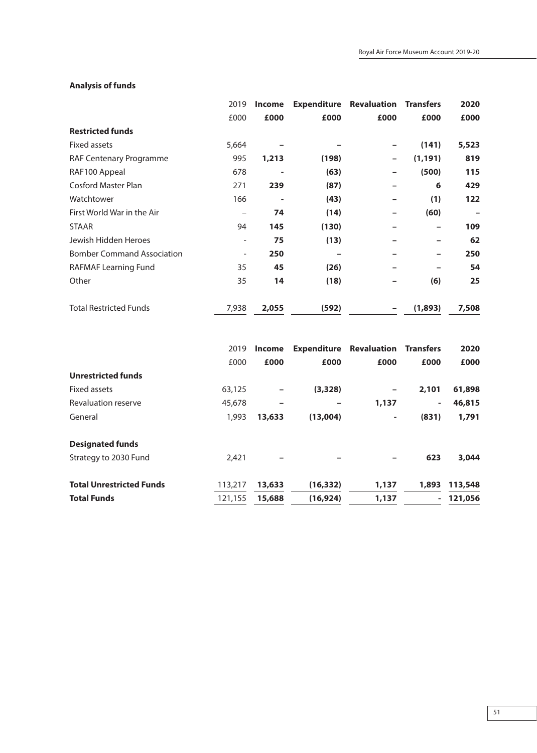## **Analysis of funds**

|                                   | 2019  | <b>Income</b> | <b>Expenditure</b> | <b>Revaluation</b> | <b>Transfers</b> | 2020  |
|-----------------------------------|-------|---------------|--------------------|--------------------|------------------|-------|
|                                   | £000  | £000          | £000               | £000               | £000             | £000  |
| <b>Restricted funds</b>           |       |               |                    |                    |                  |       |
| Fixed assets                      | 5,664 |               |                    |                    | (141)            | 5,523 |
| RAF Centenary Programme           | 995   | 1,213         | (198)              | -                  | (1, 191)         | 819   |
| RAF100 Appeal                     | 678   |               | (63)               |                    | (500)            | 115   |
| <b>Cosford Master Plan</b>        | 271   | 239           | (87)               |                    | 6                | 429   |
| Watchtower                        | 166   |               | (43)               |                    | (1)              | 122   |
| First World War in the Air        |       | 74            | (14)               |                    | (60)             |       |
| <b>STAAR</b>                      | 94    | 145           | (130)              |                    |                  | 109   |
| Jewish Hidden Heroes              | -     | 75            | (13)               |                    |                  | 62    |
| <b>Bomber Command Association</b> |       | 250           |                    |                    |                  | 250   |
| RAFMAF Learning Fund              | 35    | 45            | (26)               |                    |                  | 54    |
| Other                             | 35    | 14            | (18)               |                    | (6)              | 25    |
| <b>Total Restricted Funds</b>     | 7,938 | 2,055         | (592)              |                    | (1,893)          | 7,508 |

|                                 | 2019    | <b>Income</b> |           | <b>Expenditure Revaluation Transfers</b> |                          | 2020    |
|---------------------------------|---------|---------------|-----------|------------------------------------------|--------------------------|---------|
|                                 | £000    | £000          | £000      | £000                                     | £000                     | £000    |
| Unrestricted funds              |         |               |           |                                          |                          |         |
| Fixed assets                    | 63,125  | -             | (3,328)   | -                                        | 2,101                    | 61,898  |
| Revaluation reserve             | 45,678  | -             |           | 1,137                                    | $\overline{\phantom{a}}$ | 46,815  |
| General                         | 1,993   | 13,633        | (13,004)  | $\overline{\phantom{a}}$                 | (831)                    | 1,791   |
| <b>Designated funds</b>         |         |               |           |                                          |                          |         |
| Strategy to 2030 Fund           | 2,421   | -             |           |                                          | 623                      | 3,044   |
| <b>Total Unrestricted Funds</b> | 113,217 | 13,633        | (16, 332) | 1,137                                    | 1,893                    | 113,548 |
| <b>Total Funds</b>              | 121,155 | 15,688        | (16, 924) | 1,137                                    | ۰.                       | 121,056 |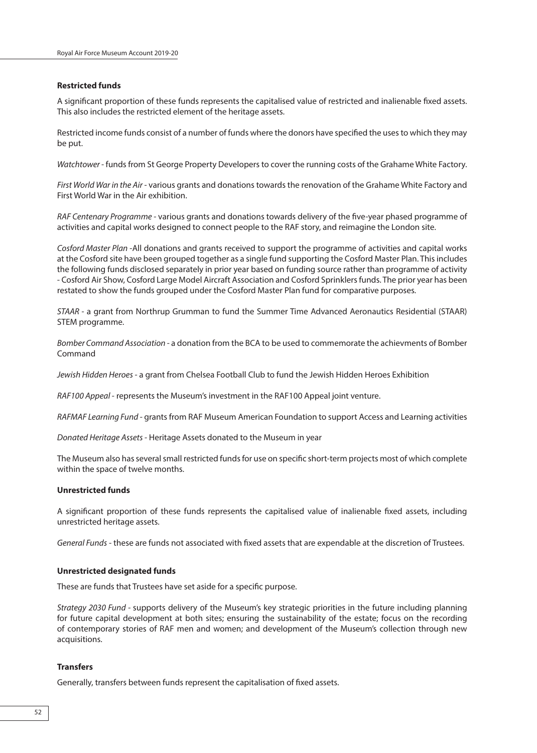#### **Restricted funds**

A significant proportion of these funds represents the capitalised value of restricted and inalienable fixed assets. This also includes the restricted element of the heritage assets.

Restricted income funds consist of a number of funds where the donors have specified the uses to which they may be put.

*Watchtower -* funds from St George Property Developers to cover the running costs of the Grahame White Factory.

*First World War in the Air -* various grants and donations towards the renovation of the Grahame White Factory and First World War in the Air exhibition.

*RAF Centenary Programme -* various grants and donations towards delivery of the five-year phased programme of activities and capital works designed to connect people to the RAF story, and reimagine the London site.

*Cosford Master Plan -*All donations and grants received to support the programme of activities and capital works at the Cosford site have been grouped together as a single fund supporting the Cosford Master Plan. This includes the following funds disclosed separately in prior year based on funding source rather than programme of activity - Cosford Air Show, Cosford Large Model Aircraft Association and Cosford Sprinklers funds. The prior year has been restated to show the funds grouped under the Cosford Master Plan fund for comparative purposes.

*STAAR -* a grant from Northrup Grumman to fund the Summer Time Advanced Aeronautics Residential (STAAR) STEM programme.

*Bomber Command Association -* a donation from the BCA to be used to commemorate the achievments of Bomber Command

*Jewish Hidden Heroes -* a grant from Chelsea Football Club to fund the Jewish Hidden Heroes Exhibition

*RAF100 Appeal -* represents the Museum's investment in the RAF100 Appeal joint venture.

*RAFMAF Learning Fund -* grants from RAF Museum American Foundation to support Access and Learning activities

*Donated Heritage Assets -* Heritage Assets donated to the Museum in year

The Museum also has several small restricted funds for use on specific short-term projects most of which complete within the space of twelve months.

#### **Unrestricted funds**

A significant proportion of these funds represents the capitalised value of inalienable fixed assets, including unrestricted heritage assets.

*General Funds* - these are funds not associated with fixed assets that are expendable at the discretion of Trustees.

#### **Unrestricted designated funds**

These are funds that Trustees have set aside for a specific purpose.

*Strategy 2030 Fund -* supports delivery of the Museum's key strategic priorities in the future including planning for future capital development at both sites; ensuring the sustainability of the estate; focus on the recording of contemporary stories of RAF men and women; and development of the Museum's collection through new acquisitions.

#### **Transfers**

Generally, transfers between funds represent the capitalisation of fixed assets.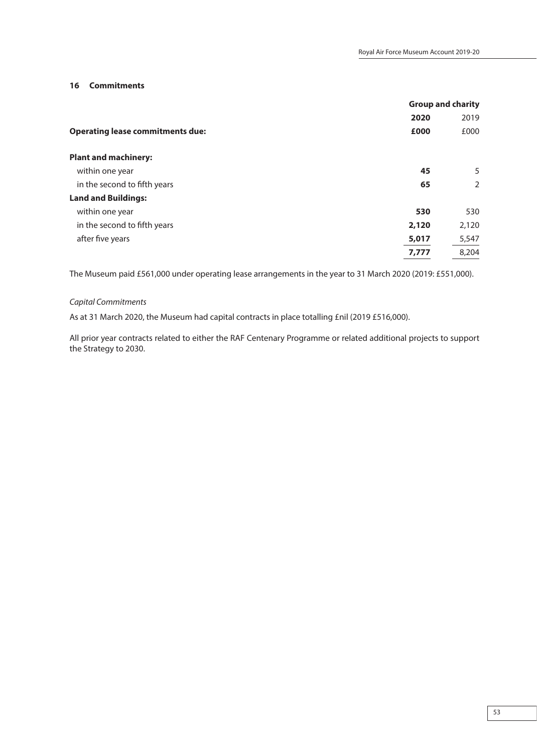#### **16 Commitments**

|                                         | <b>Group and charity</b> |       |  |
|-----------------------------------------|--------------------------|-------|--|
|                                         | 2020                     | 2019  |  |
| <b>Operating lease commitments due:</b> | £000                     | £000  |  |
| <b>Plant and machinery:</b>             |                          |       |  |
| within one year                         | 45                       | 5     |  |
| in the second to fifth years            | 65                       | 2     |  |
| <b>Land and Buildings:</b>              |                          |       |  |
| within one year                         | 530                      | 530   |  |
| in the second to fifth years            | 2,120                    | 2,120 |  |
| after five years                        | 5,017                    | 5,547 |  |
|                                         | 7,777                    | 8,204 |  |
|                                         |                          |       |  |

The Museum paid £561,000 under operating lease arrangements in the year to 31 March 2020 (2019: £551,000).

#### *Capital Commitments*

As at 31 March 2020, the Museum had capital contracts in place totalling £nil (2019 £516,000).

All prior year contracts related to either the RAF Centenary Programme or related additional projects to support the Strategy to 2030.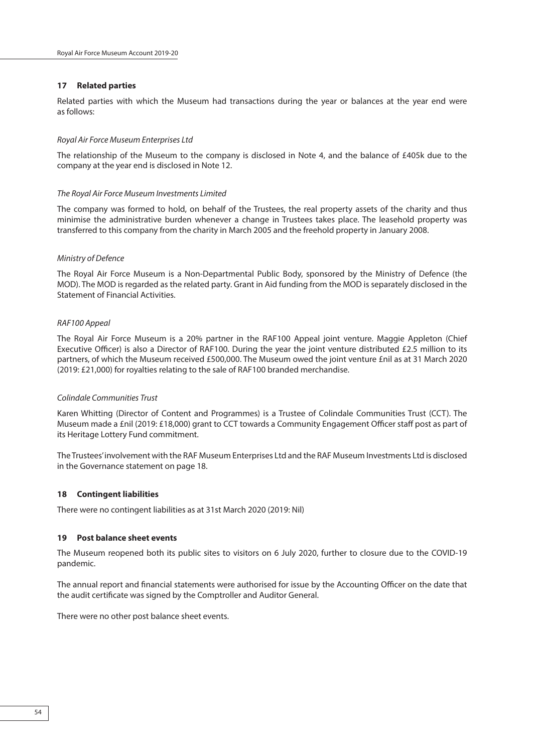#### **17 Related parties**

Related parties with which the Museum had transactions during the year or balances at the year end were as follows:

#### *Royal Air Force Museum Enterprises Ltd*

The relationship of the Museum to the company is disclosed in Note 4, and the balance of £405k due to the company at the year end is disclosed in Note 12.

#### *The Royal Air Force Museum Investments Limited*

The company was formed to hold, on behalf of the Trustees, the real property assets of the charity and thus minimise the administrative burden whenever a change in Trustees takes place. The leasehold property was transferred to this company from the charity in March 2005 and the freehold property in January 2008.

#### *Ministry of Defence*

The Royal Air Force Museum is a Non-Departmental Public Body, sponsored by the Ministry of Defence (the MOD). The MOD is regarded as the related party. Grant in Aid funding from the MOD is separately disclosed in the Statement of Financial Activities.

#### *RAF100 Appeal*

The Royal Air Force Museum is a 20% partner in the RAF100 Appeal joint venture. Maggie Appleton (Chief Executive Officer) is also a Director of RAF100. During the year the joint venture distributed £2.5 million to its partners, of which the Museum received £500,000. The Museum owed the joint venture £nil as at 31 March 2020 (2019: £21,000) for royalties relating to the sale of RAF100 branded merchandise.

#### *Colindale Communities Trust*

Karen Whitting (Director of Content and Programmes) is a Trustee of Colindale Communities Trust (CCT). The Museum made a £nil (2019: £18,000) grant to CCT towards a Community Engagement Officer staff post as part of its Heritage Lottery Fund commitment.

The Trustees' involvement with the RAF Museum Enterprises Ltd and the RAF Museum Investments Ltd is disclosed in the Governance statement on page 18.

#### **18 Contingent liabilities**

There were no contingent liabilities as at 31st March 2020 (2019: Nil)

#### **19 Post balance sheet events**

The Museum reopened both its public sites to visitors on 6 July 2020, further to closure due to the COVID-19 pandemic.

The annual report and financial statements were authorised for issue by the Accounting Officer on the date that the audit certificate was signed by the Comptroller and Auditor General.

There were no other post balance sheet events.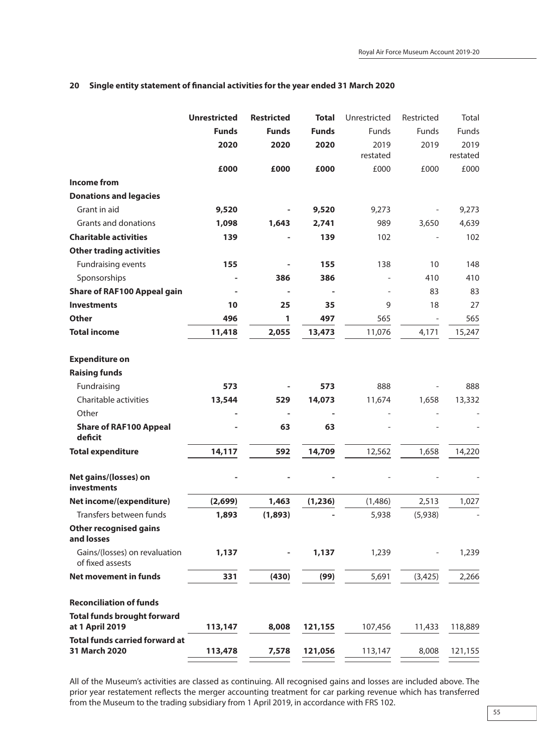| 20 Single entity statement of financial activities for the year ended 31 March 2020 |  |  |  |  |
|-------------------------------------------------------------------------------------|--|--|--|--|
|                                                                                     |  |  |  |  |

|                                                        | <b>Unrestricted</b> | <b>Restricted</b> | <b>Total</b> | Unrestricted | Restricted | Total        |
|--------------------------------------------------------|---------------------|-------------------|--------------|--------------|------------|--------------|
|                                                        | <b>Funds</b>        | <b>Funds</b>      | <b>Funds</b> | <b>Funds</b> | Funds      | <b>Funds</b> |
|                                                        | 2020                | 2020              | 2020         | 2019         | 2019       | 2019         |
|                                                        |                     |                   |              | restated     |            | restated     |
|                                                        | £000                | £000              | £000         | £000         | £000       | £000         |
| <b>Income from</b>                                     |                     |                   |              |              |            |              |
| <b>Donations and legacies</b>                          |                     |                   |              |              |            |              |
| Grant in aid                                           | 9,520               |                   | 9,520        | 9,273        |            | 9,273        |
| Grants and donations                                   | 1,098               | 1,643             | 2,741        | 989          | 3,650      | 4,639        |
| <b>Charitable activities</b>                           | 139                 |                   | 139          | 102          |            | 102          |
| <b>Other trading activities</b>                        |                     |                   |              |              |            |              |
| Fundraising events                                     | 155                 |                   | 155          | 138          | 10         | 148          |
| Sponsorships                                           |                     | 386               | 386          |              | 410        | 410          |
| <b>Share of RAF100 Appeal gain</b>                     |                     |                   |              |              | 83         | 83           |
| <b>Investments</b>                                     | 10                  | 25                | 35           | 9            | 18         | 27           |
| <b>Other</b>                                           | 496                 | 1                 | 497          | 565          |            | 565          |
| <b>Total income</b>                                    | 11,418              | 2,055             | 13,473       | 11,076       | 4,171      | 15,247       |
| <b>Expenditure on</b>                                  |                     |                   |              |              |            |              |
| <b>Raising funds</b>                                   |                     |                   |              |              |            |              |
| Fundraising                                            | 573                 |                   | 573          | 888          |            | 888          |
| Charitable activities                                  | 13,544              | 529               | 14,073       | 11,674       | 1,658      | 13,332       |
| Other                                                  |                     |                   |              |              |            |              |
| <b>Share of RAF100 Appeal</b><br>deficit               |                     | 63                | 63           |              |            |              |
| <b>Total expenditure</b>                               | 14,117              | 592               | 14,709       | 12,562       | 1,658      | 14,220       |
| Net gains/(losses) on<br>investments                   |                     |                   |              |              |            |              |
| Net income/(expenditure)                               | (2,699)             | 1,463             | (1, 236)     | (1,486)      | 2,513      | 1,027        |
| Transfers between funds                                | 1,893               | (1,893)           |              | 5,938        | (5,938)    |              |
| <b>Other recognised gains</b><br>and losses            |                     |                   |              |              |            |              |
| Gains/(losses) on revaluation<br>of fixed assests      | 1,137               |                   | 1,137        | 1,239        |            | 1,239        |
| <b>Net movement in funds</b>                           | 331                 | (430)             | (99)         | 5,691        | (3, 425)   | 2,266        |
| <b>Reconciliation of funds</b>                         |                     |                   |              |              |            |              |
| <b>Total funds brought forward</b>                     |                     |                   |              |              |            |              |
| at 1 April 2019                                        | 113,147             | 8,008             | 121,155      | 107,456      | 11,433     | 118,889      |
| <b>Total funds carried forward at</b><br>31 March 2020 | 113,478             | 7,578             | 121,056      | 113,147      | 8,008      | 121,155      |

All of the Museum's activities are classed as continuing. All recognised gains and losses are included above. The prior year restatement reflects the merger accounting treatment for car parking revenue which has transferred from the Museum to the trading subsidiary from 1 April 2019, in accordance with FRS 102.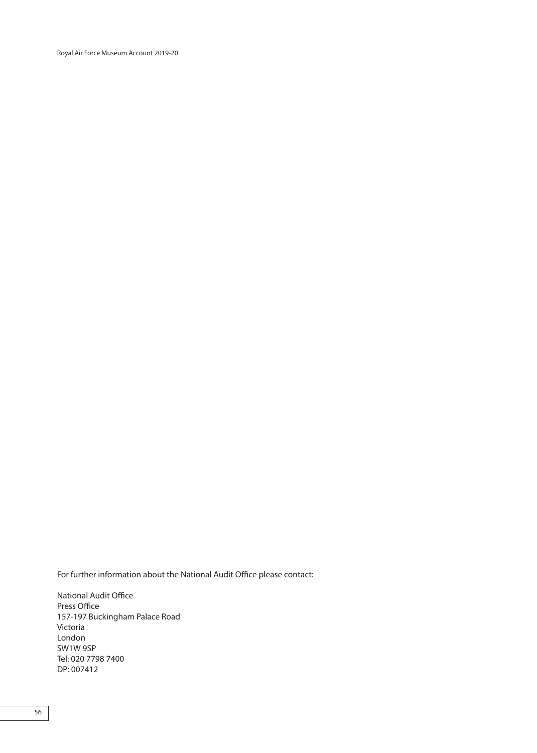For further information about the National Audit Office please contact:

National Audit Office Press Office 157-197 Buckingham Palace Road Victoria London SW1W 9SP Tel: 020 7798 7400 DP: 007412